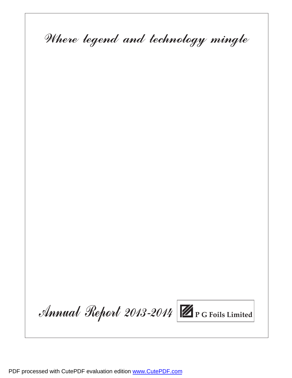*Where legend and technology mingle* Annual Report 2013-2014 **L** P G Foils Limited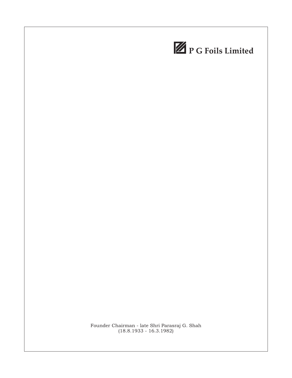

Founder Chairman - late Shri Parasraj G. Shah (18.8.1933 - 16.3.1982)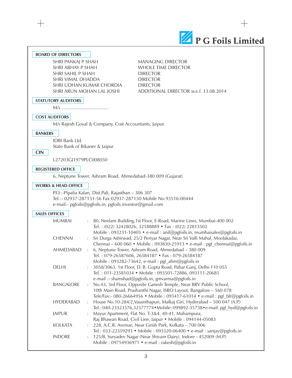

# **BOARD OF DIRECTORS**

SHRI PANKAJ P SHAH MANAGING DIRECTOR SHRI ABHAY P SHAH WHOLE TIME DIRECTOR SHRI SAHIL P SHAH DIRECTOR SHRI VIMAL DHADDA DIRECTOR SHRI UDHAN KUMAR CHORDIA DIRECTOR

SHRI ARUN MOHAN LAL JOSHI ADDITIONAL DIRECTOR w.e.f. 13.08.2014

# **STATUTORY AUDITORS**

M/s ....................................

# **COST AUDITORS**

M/s Rajesh Goyal & Company, Cost Accountants, Jaipur.

# **BANKERS**

IDBI Bank Ltd. State Bank of Bikaner & Jaipur

# **CIN**

L27203GJ1979PLC008050

# **REGISTERED OFFICE**

6, Neptune Tower, Ashram Road, Ahmedabad-380 009 (Gujarat)

# **WORKS & HEAD OFFICE**

P.O.:-Pipalia Kalan, Dist.Pali, Rajasthan – 306 307 Tel.:- 02937-287151-56 Fax:02937-287150 Mobile No.93516-00444 e-mail:- pgfoils@pgfoils.in, pgfoils.investor@gmail.com

# **SALES OFFICES**

| <b>MUMBAI</b>    |                      | : 80, Neelam Building, 1st Floor, E-Road, Marine Lines, Mumbai-400 002          |
|------------------|----------------------|---------------------------------------------------------------------------------|
|                  |                      | Tel.: (022) 32428026, 32188889 • Fax: (022) 22813502                            |
|                  |                      | Mobile: 093231-10405 • e-mail: anil@pgfoils.in, mumbaisales@pgfoils.in          |
| <b>CHENNAI</b>   | $\ddot{\cdot}$       | Sri Durga Ashirwad, 25/2 Periyar Nagar, Near Sri Valli Mahal, Moolakadai,       |
|                  |                      | Chennai - 600 060 · Mobile : 093830-25913 · e-mail : pgf_chennai@pgfoils.in     |
| <b>AHMEDABAD</b> | $\ddot{\cdot}$       | 6, Neptune Tower, Ashram Road, Ahmedabad - 380 009                              |
|                  |                      | Tel.: 079-26587606, 26584187 • Fax: 079-26584187                                |
|                  |                      | Mobile: 093282-73642, e-mail: pgf ahm@pgfoils.in                                |
| <b>DELHI</b>     | $\ddot{\cdot}$       | 3058/3063, 1st Floor, D. B. Gupta Road, Pahar Ganj, Delhi-110 055               |
|                  |                      | Tel.: 011-23581034 • Mobile: 093501-72886, 093111-20685                         |
|                  |                      | e-mail :- shamshad@pgfoils.in, gmvarma@pgfoils.in                               |
| <b>BANGALORE</b> | $\ddot{\cdot}$       | No.43, 3rd Floor, Opposite Ganesh Temple, Near BRV Public School,               |
|                  |                      | 10th Main Road, Prashanthi Nagar, ISRO Layout, Bangalore - 560 078              |
|                  |                      | Tele/Fax:- 080-26664956 • Mobile : 093417-61014 • e-mail : pgf blr@pgfoils.in   |
| <b>HYDERABAD</b> | $\ddot{\phantom{a}}$ | House No.10-284/2, Vasanthapuri, Malkaj Giri, Hyderabad - 500 047 (A.P.)        |
|                  |                      | Tel.: 040-23323576,32577774 · Mobile: 099892-35738 · e-mail: pgf_hyd@pgfoils.in |
| <b>JAIPUR</b>    | $\ddot{\cdot}$       | Mayur Apartment, Flat No. T-3&4, 40-41, Mahampura,                              |
|                  |                      | Raj Bhawan Road, Civil Line, Jaipur · Mobile : 094144-05083                     |
| KOLKATA          | $\ddot{\cdot}$       | 228, A.C.R. Avenue, Near Girish Park, Kolkata - 700 006                         |
|                  |                      | Tel.: 033-22359293 • Mobile : 093320-06400 • e-mail : sanjay@pgfoils.in         |
| <b>INDORE</b>    | $\ddot{\cdot}$       | 125/B, Suryadev Nagar (Near Shivam Dairy), Indore - 452009 (M.P.)               |
|                  |                      | Mobile: 09754936971 • e-mail: rakesh@pgfoils.in                                 |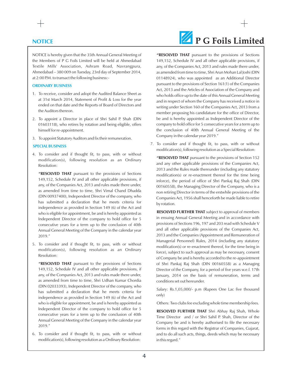NOTICE is hereby given that the 35th Annual General Meeting of the Members of P G Foils Limited will be held at Ahmedabad Textile Mills' Association, Ashram Road, Navrangpura, Ahmedabad – 380 009 on Tuesday, 23rd day of September 2014, at 2:00 P.M. to transact the following business:-

# **ORDINARY BUSINESS**

- 1. To receive, consider and adopt the Audited Balance Sheet as at 31st March 2014, Statement of Profit & Loss for the year ended on that date and the Reports of Board of Directors and the Auditors thereon.
- 2. To appoint a Director in place of Shri Sahil P. Shah (DIN 01603118), who retires by rotation and being eligible, offers himself for re-appointment.
- 3. To appoint Statutory Auditors and fix their remuneration.

# **SPECIAL BUSINESS**

4. To consider and if thought fit, to pass, with or without modification(s), following resolution as an Ordinary Resolution:

**"RESOLVED THAT** pursuant to the provisions of Sections 149,152, Schedule IV and all other applicable provisions, if any, of the Companies Act, 2013 and rules made there under, as amended from time to time, Shri Vimal Chand Dhadda (DIN 00937400), Independent Director of the company, who has submitted a declaration that he meets criteria for independence as provided in Section 149 (6) of the Act and who is eligible for appointment, be and is hereby appointed as Independent Director of the company to hold office for 5 consecutive years for a term up to the conclusion of 40th Annual General Meeting of the Company in the calendar year 2019."

5. To consider and if thought fit, to pass, with or without modification(s), following resolution as an Ordinary Resolution:

**"RESOLVED THAT** pursuant to the provisions of Sections 149,152, Schedule IV and all other applicable provisions, if any, of the Companies Act, 2013 and rules made there under, as amended from time to time, Shri Udhan Kumar Chordia (DIN 02033393), Independent Director of the company, who has submitted a declaration that he meets criteria for independence as provided in Section 149 (6) of the Act and who is eligible for appointment, be and is hereby appointed as Independent Director of the company to hold office for 5 consecutive years for a term up to the conclusion of 40th Annual General Meeting of the Company in the calendar year 2019."

6. To consider and if thought fit, to pass, with or without modification(s), following resolution as a Ordinary Resolution:

**NOTICE P G Foils Limited** 

**"RESOLVED THAT** pursuant to the provisions of Sections 149,152, Schedule IV and all other applicable provisions, if any, of the Companies Act, 2013 and rules made there under, as amended from time to time, Shri Arun Mohan Lal Joshi (DIN 01148924), who was appointed as an Additional Director pursuant to the provisions of Section 161(1) of the Companies Act, 2013 and the Articles of Association of the Company and who holds office up to the date of this Annual General Meeting and in respect of whom the Company has received a notice in writing under Section 160 of the Companies Act, 2013 from a member proposing his candidature for the office of Director, be and is hereby appointed as Independent Director of the company to hold office for 5 consecutive years for a term up to the conclusion of 40th Annual General Meeting of the Company in the calendar year 2019."

7. To consider and if thought fit, to pass, with or without modification(s), following resolution as a Special Resolution:

**"RESOLVED THAT** pursuant to the provisions of Section 152 and any other applicable provisions of the Companies Act, 2013 and the Rules made thereunder (including any statutory modification(s) or re-enactment thereof for the time being inforce), the period of office of Shri Pankaj Raj Shah (DIN 00160558), the Managing Director of the Company, who is a non retiring Director in terms of the erstwhile provisions of the Companies Act, 1956 shall henceforth be made liable to retire by rotation.

**RESOLVED FURTHER THAT** subject to approval of members in ensuing Annual General Meeting and in accordance with provisions of Sections 196, 197 and 203 read with Schedule V and all other applicable provisions of the Companies Act, 2013 and the Companies (Appointment and Remuneration of Managerial Personnel) Rules, 2014 (including any statutory modification(s) or re-enactment thereof, for the time being in force), subject to such approval as may be necessary, consent of Company be and is hereby accorded to the re-appointment of Shri Pankaj Raj Shah (DIN 00160558) as a Managing Director of the Company, for a period of five years w.e.f. 17th January, 2014 on the basis of remuneration, terms and conditions set out hereunder.

Salary: Rs.1,05,000/- p.m (Rupees One Lac five thousand only)

Others: Two clubs fee excluding whole time membership fees.

**RESOLVED FURTHER THAT** Shri Abhay Raj Shah, Whole Time Director and / or Shri Sahil P. Shah, Director of the Company be and is hereby authorised to file the necessary forms in this regard with the Registrar of Companies, Gujarat, and to do all such acts, things, deeds which may be necessary in this regard."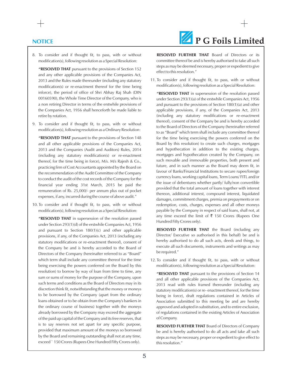# **NOTICE P G Foils Limited**

8. To consider and if thought fit, to pass, with or without modification(s), following resolution as a Special Resolution:

**"RESOLVED THAT** pursuant to the provisions of Section 152 and any other applicable provisions of the Companies Act, 2013 and the Rules made thereunder (including any statutory modification(s) or re-enactment thereof for the time being inforce), the period of office of Shri Abhay Raj Shah (DIN 00160590), the Whole Time Director of the Company, who is a non retiring Director in terms of the erstwhile provisions of the Companies Act, 1956 shall henceforth be made liable to retire by rotation.

9. To consider and if thought fit, to pass, with or without modification(s), following resolution as a Ordinary Resolution:

**"RESOLVED THAT** pursuant to the provisions of Section 148 and all other applicable provisions of the Companies Act, 2013 and the Companies (Audit and Auditors) Rules, 2014 (including any statutory modification(s) or re-enactment thereof, for the time being in force), M/s. M/s Rajesh & Co., practicing firm of Cost Accountants appointed by the Board on the recommendation of the Audit Committee of the Company to conduct the audit of the cost records of the Company for the financial year ending 31st March, 2015 be paid the remuneration of Rs. 25,000/- per annum plus out of pocket expenses, if any, incurred during the course of above audit."

10. To consider and if thought fit, to pass, with or without modification(s), following resolution as a Special Resolution:

**"RESOLVED THAT** in supersession of the resolution passed under Section 293(1)(d) of the erstwhile Companies Act, 1956 and pursuant to Section 180(1)(c) and other applicable provisions, if any, of the Companies Act, 2013 (including any statutory modifications or re-enactment thereof), consent of the Company be and is hereby accorded to the Board of Directors of the Company (hereinafter referred to as "Board" which term shall include any committee thereof for the time being exercising the powers conferred on the Board by this resolution) to borrow by way of loan from time to time, any sum or sums of money for the purpose of the Company, upon such terms and conditions as the Board of Directors may in its discretion think fit, notwithstanding that the money or moneys to be borrowed by the Company (apart from the ordinary loans obtained or to be obtain from the Company's bankers in the ordinary course of business) together with the moneys already borrowed by the Company may exceed the aggregate of the paid up capital of the Company and its free reserves, that is to say reserves not set apart for any specific purpose, provided that maximum amount of the moneys so borrowed by the Board and remaining outstanding shall not at any time, exceed ` 150 Crores (Rupees One Hundred Fifty Crores only).

**RESOLVED FURTHER THAT** Board of Directors or its committee thereof be and is hereby authorised to take all such steps as may be deemed necessary, proper or expedient to give effect to this resolution."

11. To consider and if thought fit, to pass, with or without modification(s), following resolution as a Special Resolution:

**"RESOLVED THAT** in supersession of the resolution passed under Section 293(1)(a) of the erstwhile Companies Act, 1956 and pursuant to the provisions of Section 180(1)(a) and other applicable provisions, if any, of the Companies Act, 2013 (including any statutory modifications or re-enactment thereof), consent of the Company be and is hereby accorded to the Board of Directors of the Company (hereinafter referred to as "Board" which term shall include any committee thereof for the time being exercising the powers conferred on the Board by this resolution) to create such charges, mortgages and hypothecation in addition to the existing charges, mortgages and hypothecation created by the Company, on such movable and immovable properties, both present and future, and in such manner as the Board may deem fit, in favour of Banks/Financial Institutions to secure rupee/foreign currency loans, working capital loans, Term Loans/ FITL and/or the issue of debentures whether partly/ fully/non convertible provided that the total amount of loans together with interest thereon, additional interest, compound interest, liquidated damages, commitment charges, premia on prepayments or on redemption, costs, charges, expenses and all other moneys payable by the Company in respect of said loans, shall not, at any time exceed the limit of  $\bar{\tau}$  150 Crores (Rupees One Hundred Fifty Crores only).

**RESOLVED FURTHER THAT** the Board (including any Director/ Executive so authorised in this behalf) be and is hereby authorised to do all such acts, deeds and things, to execute all such documents, instruments and writings as may be required."

12. To consider and if thought fit, to pass, with or without modification(s), following resolution as a Special Resolution:

**"RESOLVED THAT** pursuant to the provisions of Section 14 and all other applicable provisions of the Companies Act, 2013 read with rules framed thereunder (including any statutory modification(s) or re- enactment thereof, for the time being in force), draft regulations contained in Articles of Association submitted to this meeting be and are hereby approved and adopted in substitution, and to entire exclusion, of regulations contained in the existing Articles of Association of Company.

**RESOLVED FURTHER THAT** Board of Directors of Company be and is hereby authorised to do all acts and take all such steps as may be necessary, proper or expedient to give effect to this resolution."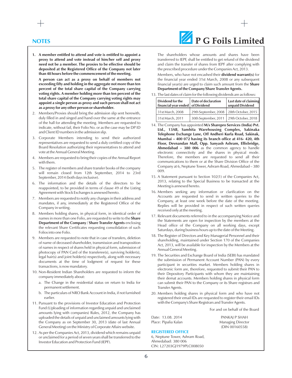**1. A member entitled to attend and vote is entitled to appoint a proxy to attend and vote instead of him/her self and proxy need not be a member. The proxies to be effective should be deposited at the Registered Office of the Company not later** 

**than 48 hours before the commencement of the meeting. A person can act as a proxy on behalf of members not exceeding fifty and holding in the aggregate not more than ten percent of the total share capital of the Company carrying voting rights. A member holding more than ten percent of the total share capital of the Company carrying voting rights may appoint a single person as proxy and such person shall not act as a proxy for any other person or shareholder.**

- 2. Members/Proxies should bring the admission slip sent herewith, duly filled in and singed and hand over the same at the entrance of the hall for attending the meeting. Members are requested to indicate, without fail, their Folio No. or as the case may be DP ID and Client ID numbers in the admission slip.
- 3. Corporate Members intending to send their authorized representatives are requested to send a duly certified copy of the Board Resolution authorizing their representatives to attend and vote at the Annual General Meeting.
- 4. Members are requested to bring their copies of the Annual Report with them.
- 5. The register of members and share transfer books of the company will remain closed from 12th September, 2014 to 23rd September, 2014 (both days inclusive).
- 6. The information and the details of the directors to be reappointed, to be provided in terms of clause 49 of the Listing Agreement with Stock Exchanges is annexed hereto.
- 7. Members are requested to notify any changes in their address and mandates, if any, immediately at the Registered Office of the Company in writing.
- 8. Members holding shares, in physical form, in identical order of names in more than one Folio, are requested to write to the **Share Department of the Company / Share Transfer Agents** enclosing the relevant Share Certificates requesting consolidation of such Folios into one Folio.
- 9. Members are requested to note that in case of transfers, deletion of name of deceased shareholder, transmission and transposition of names in respect of shares held in physical form, submission of photocopy of PAN Card of the transferee(s), surviving holder(s), legal hair(s) and joint holder(s) respectively, along with necessary documents at the time of lodgment of request for these transactions, is now mandatory.
- 10. Non-Resident Indian Shareholders are requested to inform the company immediately about:
	- a. The Change in the residential status on return to India for permanent settlement.
	- b. The particulars of NRO Bank Account in India, if not furnished earlier.
- 11. Pursuant to the provisions of Investor Education and Protection Fund (Uploading of information regarding unpaid and unclaimed amounts lying with companies) Rules, 2012, the Company has uploaded the details of unpaid and unclaimed amounts lying with the Company as on September 30, 2013 (date of last Annual General Meeting) on the Ministry of Corporate Affairs website.
- 12. As per the Companies Act, 2013, dividend which remains unpaid or unclaimed for a period of seven years shall be transferred to the Investor Education and Protection Fund (IEPF).

The shareholders whose amounts and shares have been transferred to IEPF, shall be entitled to get refund of the dividend and claim the transfer of shares from IEPF after complying with

the prescribed procedure under the Companies Act, 2013. Members, who have not encashed their **dividend warrant(s)** for the financial year ended 31st March, 2008 or any subsequent financial year(s) are urged to claim such amount from the **Share Department of the Company/Share Transfer Agents.**

## 13. The last dates of claim for the following dividends are as follows:

| Dividend for the<br>financial year ended   of Dividend | Date of declaration  | Last date of claiming<br>unpaid Dividend |  |
|--------------------------------------------------------|----------------------|------------------------------------------|--|
| 31st March, 2008                                       | 29th September, 2008 | 28th October, 2015                       |  |
| 31st March, 2011                                       | 30th September, 2011 | 29th October, 2018                       |  |

- 14. The Company has appointed **M/s Sharepro Services (India) Pvt. Ltd., 13AB, Samhita Warehousing Complex, Sakinaka Telephone Exchange Lane, Off Andheri Kurla Road, Sakinak, Mumbai – 400 072 having its branch office at 416- 420, 4th Floor, Devnandan Mall, Opp. Sanyash Ashram, Ellisbridge, Ahmedabad – 380 006** as the common agency to handle electronic connectivity and the shares in physical mode. Therefore, the members are requested to send all their communications to them or at the Share Division Office of the Company at 6, Neptune Tower, Ashram Road, Ahmedabad – 380 009.
- 15. A Statement pursuant to Section 102(1) of the Companies Act, 2013, relating to the Special Business to be transacted at the Meeting is annexed hereto.
- 16. Members seeking any information or clarification on the Accounts are requested to send in written queries to the Company, at least one week before the date of the meeting. Replies will be provided in respect of such written queries received only at the meeting.
- 17. Relevant documents referred to in the accompanying Notice and the Statements are open for inspection by the members at the Head office of the Company on all working days, except Saturdays, during business hours up to the date of the Meeting.
- 18. The Register of Directors and Key Managerial Personnel and their shareholding, maintained under Section 170 of the Companies Act, 2013, will be available for inspection by the Members at the Annual General Meeting.
- 19. The Securities and Exchange Board of India (SEBI) has mandated the submission of Permanent Account Number (PAN) by every participant in securities market. Members holding shares in electronic form are, therefore, requested to submit their PAN to their Depository Participants with whom they are maintaining their demat accounts. Members holding shares in physical form can submit their PAN to the Company or its Share registrars and Transfer Agents.
- 20. Members holding shares in physical form and who have not registered their email IDs are requested to register their email IDs with the Company's Share Registrars and Transfer Agents.

For and on behalf of the Board

Date: 13.08. 2014 PANKAJ P SHAH Place: Pipalia Kalan Managing Director

(DIN 00160558)

# **REGISTERED OFFICE**

6, Neptune Tower, Ashram Road, Ahmedabad: 380 006 CIN: L27203GJ1979PLC008050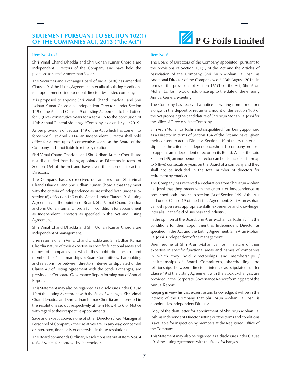

# **Item No. 4 to 5**

Shri Vimal Chand Dhadda and Shri Udhan Kumar Chordia are independent Directors of the Company and have held the positions as such for more than 5 years.

The Securities and Exchange Board of India (SEBI) has amended Clause 49 of the Listing Agreement inter alia stipulating conditions for appointment of independent directors by a listed company.

It is proposed to appoint Shri Vimal Chand Dhadda and Shri Udhan Kumar Chordia as Independent Directors under Section 149 of the Act and Clause 49 of Listing Agreement to hold office for 5 (Five) consecutive years for a term up to the conclusion of 40th Annual General Meeting of Company in calendar year 2019.

As per provisions of Section 149 of the Act which has come into force w.e.f. 1st April 2014, an Independent Director shall hold office for a term upto 5 consecutive years on the Board of the Company and is not liable to retire by rotation.

Shri Vimal Chand Dhadda and Shri Udhan Kumar Chordia are not disqualified from being appointed as Directors in terms of Section 164 of the Act and have given their consent to act as Directors.

The Company has also received declarations from Shri Vimal Chand Dhadda and Shri Udhan Kumar Chordia that they meet with the criteria of independence as prescribed both under subsection (6) of Section 149 of the Act and under Clause 49 of Listing Agreement. In the opinion of Board, Shri Vimal Chand Dhadda and Shri Udhan Kumar Chordia fulfill conditions for appointment as Independent Directors as specified in the Act and Listing Agreement.

Shri Vimal Chand Dhadda and Shri Udhan Kumar Chordia are independent of management.

Brief resume of Shri Vimal Chand Dhadda and Shri Udhan Kumar Chordia nature of their expertise in specific functional areas and names of companies in which they hold directorships and memberships / chairmanships of Board Committees, shareholding and relationships between directors inter-se as stipulated under Clause 49 of Listing Agreement with the Stock Exchanges, are provided in Corporate Governance Report forming part of Annual Report.

This Statement may also be regarded as a disclosure under Clause 49 of the Listing Agreement with the Stock Exchanges. Shri Vimal Chand Dhadda and Shri Udhan Kumar Chordia are interested in the resolutions set out respectively at Item Nos. 4 to 6 of Notice with regard to their respective appointments.

Save and except above, none of other Directors / Key Managerial Personnel of Company / their relatives are, in any way, concerned or interested, financially or otherwise, in these resolutions.

The Board commends Ordinary Resolutions set out at Item Nos. 4 to 6 of Notice for approval by shareholders.

# **Item No. 6**

The Board of Directors of the Company appointed, pursuant to the provisions of Section 161(1) of the Act and the Articles of Association of the Company, Shri Arun Mohan Lal Joshi as Additional Director of the Company w.e.f. 13th August, 2014. In terms of the provisions of Section 161(1) of the Act, Shri Arun Mohan Lal Joshi would hold office up to the date of the ensuing Annual General Meeting.

The Company has received a notice in writing from a member alongwith the deposit of requisite amount under Section 160 of the Act proposing the candidature of Shri Arun Mohan Lal Joshi for the office of Director of the Company.

Shri Arun Mohan Lal Joshi is not disqualified from being appointed as a Director in terms of Section 164 of the Act and have given their consent to act as Director. Section 149 of the Act inter alia stipulates the criteria of independence should a company propose to appoint an independent director on its Board. As per the said Section 149, an independent director can hold office for a term up to 5 (five) consecutive years on the Board of a company and they shall not be included in the total number of directors for retirement by rotation.

The Company has received a declaration from Shri Arun Mohan Lal Joshi that they meets with the criteria of independence as prescribed both under sub-section (6) of Section 149 of the Act and under Clause 49 of the Listing Agreement. Shri Arun Mohan Lal Joshi possesses appropriate skills, experience and knowledge, inter alia, in the field of Business and Industry .

In the opinion of the Board, Shri Arun Mohan Lal Joshi fulfills the conditions for their appointment as Independent Director as specified in the Act and the Listing Agreement. Shri Arun Mohan Lal Joshi is independent of the management.

Brief resume of Shri Arun Mohan Lal Joshi nature of their expertise in specific functional areas and names of companies in which they hold directorships and memberships / chairmanships of Board Committees, shareholding and relationships between directors inter-se as stipulated under Clause 49 of the Listing Agreement with the Stock Exchanges, are provided in the Corporate Governance Report forming part of the Annual Report.

Keeping in view his vast expertise and knowledge, it will be in the interest of the Company that Shri Arun Mohan Lal Joshi is appointed as Independent Director.

Copy of the draft letter for appointment of Shri Arun Mohan Lal Joshi as Independent Director setting out the terms and conditions is available for inspection by members at the Registered Office of the Company.

This Statement may also be regarded as a disclosure under Clause 49 of the Listing Agreement with the Stock Exchanges.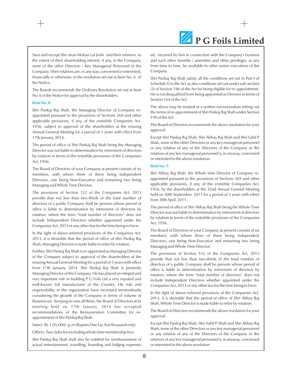

Save and except Shri Arun Mohan Lal Joshi and their relatives, to the extent of their shareholding interest, if any, in the Company, none of the other Directors / Key Managerial Personnel of the Company / their relatives are, in any way, concerned or interested, financially or otherwise, in the resolution set out at Item No. 6 of the Notice.

The Boards recommends the Ordinary Resolution set out at Item No. 6 of the Notice for approval by the shareholders.

# **Item No. 8**

Shri Pankaj Raj Shah, the Managing Director of Company reappointed pursuant to the provisions of Sections 269 and other applicable provisions, if any, of the erstwhile Companies Act, 1956, subject to approval of the shareholders at the ensuing Annual General Meeting for a period of 5 years with effect from 17th January, 2014.

The period of office of Shri Pankaj Raj Shah being the Managing Director was not liable to determination by retirement of directors by rotation in terms of the erstwhile provisions of the Companies Act, 1956.

The Board of Directors of your Company at present consists of six members, with whom three of them being Independent Directors, one being Non-Executive and remaining two being Managing and Whole Time Director.

The provisions of Section 152 of the Companies Act, 2013 provide that not less than two-thirds of the total number of directors of a public Company shall be persons whose period of office is liable to determination by retirement of directors by rotation, where the term "total number of directors" does not include Independent Directors whether appointed under the Companies Act, 2013 or any other law for the time being in force.

In the light of above-referred provisions of the Companies Act, 2013, it is desirable that the period of office of Shri Pankaj Raj Shah, Managing Director is made liable to retire by rotation.

Further, Shri Pankaj Raj Shah is re-appointed as Managing Director of the Company subject to approval of the shareholders at the ensuing Annual General Meeting for a period of 5 years with effect from 17th January, 2014. Shri Pankaj Raj Shah is presently Managing Director of the Company. He has played an integral and very important role in building P G Foils Ltd a very reputed and well-known foil manufacturer of the Country. His role and responsibility, in the organization have increased tremendously considering the growth of the Company in terms of volume of Business etc. Keeping in view all these, the Board of Directors at its meeting held on 17th January, 2014 has accepted recommendations of the Remuneration Committee for reappointment of Shri Pankaj Raj Shah.

Salary: Rs.1,05,000/- p.m (Rupees One Lac five thousand only)

Others: Two clubs fee excluding whole time membership fees.

Shri Pankaj Raj Shah shall also be entitled for reimbursement of actual entertainment, travelling, boarding and lodging expenses etc. incurred by him in connection with the Company's business and such other benefits / amenities and other privileges, as any from time to time, be available to other senior executives of the Company.

Shri Pankaj Raj Shah satisfy all the conditions set out in Part-I of Schedule V to the Act as also conditions set out under sub-section (3) of Section 196 of the Act for being eligible for re-appointment. He is not disqualified from being appointed as Director in terms of Section 164 of the Act.

The above may be treated as a written memorandum setting out the terms of re-appointment of Shri Pankaj Raj Shah under Section 190 of the Act.

The Board of Directors recommends the above resolution for your approval.

Except Shri Pankaj Raj Shah, Shri Abhay Raj Shah and Shri Sahil P Shah, none of the other Directors or any key managerial personnel or any relative of any of the Directors of the Company or the relatives of any key managerial personnel is, in anyway, concerned or interested in the above resolution.

# **Item No. 9**

Shri Abhay Raj Shah, the Whole time Director of Company reappointed pursuant to the provisions of Sections 269 and other applicable provisions, if any, of the erstwhile Companies Act, 1956, by the shareholders at the 32nd Annual General Meeting held on 30th September, 2011 for a period of 5 years with effect from 30th April, 2011.

The period of office of Shri Abhay Raj Shah being the Whole Time Director was not liable to determination by retirement of directors by rotation in terms of the erstwhile provisions of the Companies Act, 1956.

The Board of Directors of your Company at present consists of six members, with whom three of them being Independent Directors, one being Non-Executive and remaining two being Managing and Whole Time Director.

The provisions of Section 152 of the Companies Act, 2013 provide that not less than two-thirds of the total number of directors of a public Company shall be persons whose period of office is liable to determination by retirement of directors by rotation, where the term "total number of directors" does not include Independent Directors whether appointed under the Companies Act, 2013 or any other law for the time being in force.

In the light of above-referred provisions of the Companies Act, 2013, it is desirable that the period of office of Shri Abhay Raj Shah, Whole Time Director is made liable to retire by rotation.

The Board of Directors recommends the above resolution for your approval.

Except Shri Pankaj Raj Shah, Shri Sahil P. Shah and Shri Abhay Raj Shah, none of the other Directors or any key managerial personnel or any relative of any of the Directors of the Company or the relatives of any key managerial personnel is, in anyway, concerned or interested in the above resolution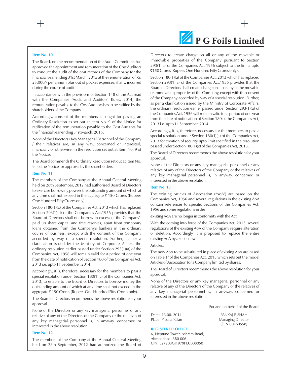

# **Item No. 10**

The Board, on the recommendation of the Audit Committee, has approved the appointment and remuneration of the Cost Auditors to conduct the audit of the cost records of the Company for the financial year ending 31st March, 2015 at the remuneration of Rs. 25,000/- per annum plus out of pocket expenses, if any, incurred during the course of audit.

In accordance with the provisions of Section 148 of the Act read with the Companies (Audit and Auditors) Rules, 2014, the remuneration payable to the Cost Auditors has to be ratified by the shareholders of the Company.

Accordingly, consent of the members is sought for passing an Ordinary Resolution as set out at Item No. 9 of the Notice for ratification of the remuneration payable to the Cost Auditors for the financial year ending 31st March, 2015.

None of the Directors / Key Managerial Personnel of the Company / their relatives are, in any way, concerned or interested, financially or otherwise, in the resolution set out at Item No. 9 of the Notice.

The Board commends the Ordinary Resolution set out at Item No. 9 of the Notice for approval by the shareholders.

# **Item No. 11**

The members of the Company at the Annual General Meeting held on 28th September, 2012 had authorised Board of Directors to exercise borrowing powers the outstanding amount of which at any time shall not exceed in the aggregate  $\bar{\bar{\tau}}$  150 Crores (Rupees One Hundred Fifty Crores only).

Section 180(1)(c) of the Companies Act, 2013 which has replaced Section 293(1)(d) of the Companies Act,1956 provides that the Board of Directors shall not borrow in excess of the Company's paid up share capital and free reserves, apart from temporary loans obtained from the Company's bankers in the ordinary course of business, except with the consent of the Company accorded by way of a special resolution. Further, as per a clarification issued by the Ministry of Corporate Affairs, the ordinary resolution earlier passed under Section 293(1)(a) of the Companies Act, 1956 will remain valid for a period of one year from the date of notification of Section 180 of the Companies Act, 2013 i.e. upto 11 September, 2014.

Accordingly, it is, therefore, necessary for the members to pass a special resolution under Section 180(1)(c) of the Companies Act, 2013, to enable to the Board of Directors to borrow money the outstanding amount of which at any time shall not exceed in the aggregate ₹150 Crores (Rupees One Hundred Fifty Crores only).

The Board of Directors recommends the above resolution for your approval.

None of the Directors or any key managerial personnel or any relative of any of the Directors of the Company or the relatives of any key managerial personnel is, in anyway, concerned or interested in the above resolution.

# **Item No. 12**

The members of the Company at the Annual General Meeting held on 28th September, 2012 had authorized the Board of Directors to create charge on all or any of the movable or immovable properties of the Company pursuant to Section 293(1)(a) of the Companies Act 1956 subject to the limits upto `150 Crores (Rupees One Hundred Fifty Crores only).

Section 180(1)(a) of the Companies Act, 2013 which has replaced Section 293(1)(a) of the Companies Act,1956 provides that the Board of Directors shall create charge on all or any of the movable or immovable properties of the Company, except with the consent of the Company accorded by way of a special resolution. Further, as per a clarification issued by the Ministry of Corporate Affairs, the ordinary resolution earlier passed under Section 293(1)(a) of the Companies Act, 1956 will remain valid for a period of one year from the date of notification of Section 180 of the Companies Act, 2013 i.e. upto 11 September, 2014.

Accordingly, it is, therefore, necessary for the members to pass a special resolution under Section 180(1)(a) of the Companies Act, 2013 for creation of security upto limit specified in the resolution passed under Section180(1)(c) of the Companies Act, 2013.

The Board of Directors recommends the above resolution for your approval.

None of the Directors or any key managerial personnel or any relative of any of the Directors of the Company or the relatives of any key managerial personnel is, in anyway, concerned or interested in the above resolution.

# **Item No. 13**

The existing Articles of Association ("AoA") are based on the Companies Act, 1956 and several regulations in the existing AoA contain references to specific Sections of the Companies Act, 1956 and some regulations in the

existing AoA are no longer in conformity with the Act.

With the coming into force of the Companies Act, 2013, several regulations of the existing AoA of the Company require alteration or deletion. Accordingly, it is proposed to replace the entire existing AoA by a set of new

# Articles.

The new AoA to be substituted in place of existing AoA are based on Table 'F' of the Companies Act, 2013 which sets out the model Articles of Association for a Company limited by shares.

The Board of Directors recommends the above resolution for your approval.

None of the Directors or any key managerial personnel or any relative of any of the Directors of the Company or the relatives of any key managerial personnel is, in anyway, concerned or interested in the above resolution.

For and on behalf of the Board

(DIN 00160558)

Date: 13.08. 2014 PANKAJ P SHAH Place: Pipalia Kalan Managing Director

# **REGISTERED OFFICE**

6, Neptune Tower, Ashram Road, Ahmedabad: 380 006 CIN: L27203GJ1979PLC008050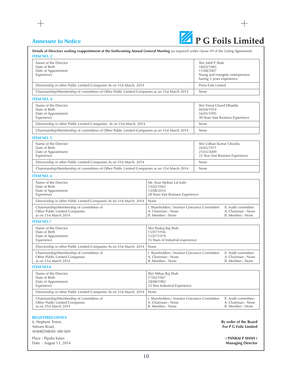# **Annexure to Notice**

 $\!+\!$ 

Date: August 13, 2014



| Name of the Director<br>Date of Birth<br>Date of Appointment<br>Experience                          |                                                                                           | Shri Sahil P Shah<br>18/03/1985<br>11/08/2007<br>having 3 years experience | Young and energetic entrepreneur                                |
|-----------------------------------------------------------------------------------------------------|-------------------------------------------------------------------------------------------|----------------------------------------------------------------------------|-----------------------------------------------------------------|
| Directorship in other Public Limited Companies As on 31st March, 2014                               |                                                                                           | Prem Foils Limted                                                          |                                                                 |
| Chairmanship/Membership of committees of Other Public Limited Companies as on 31st March 2014       |                                                                                           | None                                                                       |                                                                 |
| <b>ITEM NO. 4</b>                                                                                   |                                                                                           |                                                                            |                                                                 |
| Name of the Director<br>Date of Birth<br>Date of Appointment<br>Experience                          |                                                                                           | Shri Vimal Chand Dhadda<br>04/04/1954<br>16/05/1995                        | 38 Years Vast Business Experience                               |
| Directorship in other Public Limited Companies As on 31st March, 2014                               |                                                                                           | None                                                                       |                                                                 |
| Chairmanship/Membership of committees of Other Public Limited Companies as on 31st March 2014       |                                                                                           | None                                                                       |                                                                 |
| <b>ITEM NO. 5</b>                                                                                   |                                                                                           |                                                                            |                                                                 |
| Name of the Director<br>Date of Birth<br>Date of Appointment<br>Experience                          |                                                                                           | Shri Udhan Kumar Chordia<br>24/05/1971<br>21/03/2009                       | 22 Year Vast Business Experience                                |
| Directorship in other Public Limited Companies As on 31st March, 2014                               |                                                                                           | None                                                                       |                                                                 |
| Chairmanship/Membership of committees of Other Public Limited Companies as on 31st March 2014       |                                                                                           | None                                                                       |                                                                 |
| <b>ITEM NO. 6</b>                                                                                   |                                                                                           |                                                                            |                                                                 |
| Name of the Director<br>Date of Birth<br>Date of Appointment<br>Experience                          | Mr. Arun Mohan Lal Joshi<br>13/02/1965<br>13/08/2014<br>28 Years Vast Business Experience |                                                                            |                                                                 |
| Directorship in other Public Limited Companies As on 31st March, 2014                               | None                                                                                      |                                                                            |                                                                 |
| Chairmanship/Membership of committees of<br>Other Public Limited Companies<br>as on 31st March 2014 | I. Shareholders / Investor Grievance Committee:<br>A. Chairman:- None<br>B. Member:- None |                                                                            | II. Audit committee:<br>A. Chairman: - None<br>B. Member:- None |
| <b>ITEM NO.7</b>                                                                                    |                                                                                           |                                                                            |                                                                 |
| Name of the Director<br>Date of Birth<br>Date of Appointment<br>Experience                          | Shri Pankaj Raj Shah<br>15/07/1956<br>11/07/1979<br>35 Years of Industrial experience     |                                                                            |                                                                 |
| Directorship in other Public Limited Companies As on 31st March, 2014                               | None                                                                                      |                                                                            |                                                                 |
| Chairmanship/Membership of committees of<br>Other Public Limited Companies<br>as on 31st March 2014 | I. Shareholders / Investor Grievance Committee:<br>A. Chairman:- None<br>B. Member:- None |                                                                            | II. Audit committee:<br>A. Chairman: - None<br>B. Member:- None |
| <b>ITEM NO.8</b>                                                                                    |                                                                                           |                                                                            |                                                                 |
| Name of the Director<br>Date of Birth<br>Date of Appointment<br>Experience                          | Shri Abhay Raj Shah<br>17/02/1967<br>28/08/1982<br>32 Year Industrial Experience          |                                                                            |                                                                 |
| Directorship in other Public Limited Companies As on 31st March, 2014                               | None                                                                                      |                                                                            |                                                                 |
| Chairmanship/Membership of committees of<br>Other Public Limited Companies<br>as on 31st March 2014 | I. Shareholders / Investor Grievance Committee:<br>A. Chairman:- None<br>B. Member:- None |                                                                            | II. Audit committee:<br>A. Chairman: - None<br>B. Member:- None |
| <b>REGISTERED OFFICE</b><br>6, Neptune Tower,<br>Ashram Road,<br>AHMEDABAD-380 009                  |                                                                                           |                                                                            | By order of the Board<br>For P G Foils Limited                  |

Place : Pipalia Kalan **( PANKAJ P SHAH ) ( PANKAJ P SHAH ) ( PANKAJ P SHAH ) ( PANKAJ P SHAH ) (** PANKAJ P SHAH )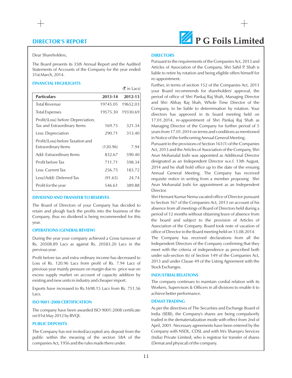# **DIRECTOR'S REPORT P G Foils Limited**

# Dear Shareholders,

The Board presents its 35th Annual Report and the Audited Statements of Accounts of the Company for the year ended 31st March, 2014.

# **FINANCIAL HIGHLIGHTS**

|                                    |          | $\mathbf{N}$ III Lacs |
|------------------------------------|----------|-----------------------|
| <b>Particulars</b>                 | 2013-14  | 2012-13               |
| <b>Total Revenue</b>               | 19745.05 | 19652.03              |
| <b>Total Expenses</b>              | 19575.30 | 19330.69              |
| Profit/(Loss) before Depreciation, |          |                       |
| Tax and Extraordinary Items        | 169.75   | 321.34                |
| Less: Depreciation                 | 290.71   | 313.40                |
| Profit/(Loss) before Taxation and  |          |                       |
| Extraordinary Items                | (120.96) | 7.94                  |
| Add: Extraordinary Items           | 832.67   | 590.40                |
| Profit before Tax                  | 711.71   | 598.34                |
| Less: Current Tax                  | 256.75   | 183.72                |
| Less/(Add): Deferred Tax           | (91.65)  | 24.74                 |
| Profit for the year                | 546.61   | 389.88                |

# **DIVIDEND AND TRANSFER TO RESERVES**

The Board of Directors of your Company has decided to retain and plough back the profits into the business of the Company, thus no dividend is being recommended for this year.

# **OPERATIONS (GENERAL REVIEW)**

During the year your company achieved a Gross turnover of Rs. 20508.89 Lacs as against Rs. 20583.20 Lacs in the previous year.

Profit before tax and extra ordinary income has decreased to Loss of Rs. 120.96 Lacs from profit of Rs. 7.94 Lacs of previous year mainly pressure on margin due to price war on excess supply market on account of capacity addition by existing and new units in industry and cheaper import.

Exports have increased to Rs.1698.15 Lacs from Rs. 751.56 Lacs.

# **ISO 9001-2008 CERTIFICATION**

The company have been awarded ISO 9001:2008 certificate on 01st May 2012 by BVQI.

# **PUBLIC DEPOSITS**

The Company has not invited/accepted any deposit from the public within the meaning of the section 58A of the companies Act, 1956 and the rules made there under.

 $(F \in \mathbb{R} \cup \{c \} \cap \{c\})$ 

Pursuant to the requirements of the Companies Act, 2013 and Articles of Association of the Company, Shri Sahil P. Shah is liable to retire by rotation and being eligible offers himself for re-appointment.

Further, in terms of section 152 of the Companies Act, 2013 your Board recommends for shareholders' approval, the period of office of Shri Pankaj Raj Shah, Managing Director and Shri Abhay Raj Shah, Whole Time Director of the Company, to be liable to determination by rotation. Your directors has approved in its board meeting held on 17.01.2014, re-appointment of Shri Pankaj Raj Shah as Managing Director of the Company for further period of 5 years from 17.01.2014 on terms and conditions as mentioned in Notice of the forthcoming Annual General Meeting.

Pursuant to the provisions of Section 161(1) of the Companies Act, 2013 and the Articles of Association of the Company, Shri Arun Mohanalal Joshi was appointed as Additional Director designated as an Independent Director w.e.f. 13th August, 2014 and he shall hold office up to the date of the ensuing Annual General Meeting. The Company has received requisite notice in writing from a member proposing Shri Arun Mohanalal Joshi for appointment as an Independent Director.

Shri Hemant Kumar Nema vacated office of Director pursuant to Section 167 of the Companies Act, 2013 on account of his absence from all meetings of Board of Directors held during a period of 12 months without obtaining leave of absence from the board and subject to the provision of Articles of Association of the Company. Board took note of vacation of office of Director in the Board meeting held on 13.08.2014.

The Company has received declarations from all the Independent Directors of the Company confirming that they meet with the criteria of independence as prescribed both under sub-section (6) of Section 149 of the Companies Act, 2013 and under Clause 49 of the Listing Agreement with the Stock Exchanges.

# **INDUSTRIAL RELATIONS**

The company continues to maintain cordial relation with its Workers, Supervisors & Officers in all divisions to enable it to achieve better performance.

# **DEMAT TRADING**

As per the directives of The Securities and Exchange Board of India (SEBI), the Company's shares are being compulsorily traded in the dematerialization mode with effect from 2nd of April, 2001. Necessary agreements have been entered by the Company with NSDL, CDSL and with M/s Sharepro Services (India) Private Limited, who is registrar for transfer of shares (Demat and physical) of the company.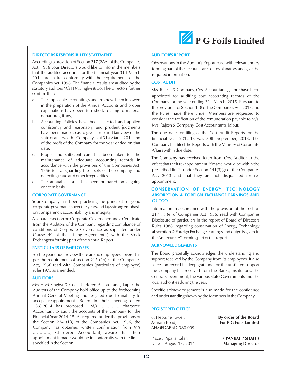

# **DIRECTORS RESPONSIBILITY STATEMENT**

According to provision of Section 217 (2AA) of the Companies Act, 1956 your Directors would like to inform the members that the audited accounts for the financial year 31st March 2014 are in full conformity with the requirements of the Companies Act, 1956. The financial results are audited by the statutory auditors M/s H M Singhvi & Co. The Directors further confirm that:-

- a. The applicable accounting standards have been followed in the preparation of the Annual Accounts and proper explanations have been furnished, relating to material departures, if any;
- b. Accounting Policies have been selected and applied consistently and reasonably, and prudent judgments have been made so as to give a true and fair view of the state of affairs of the Company as at 31st March 2014 and of the profit of the Company for the year ended on that date;
- c. Proper and sufficient care has been taken for the maintenance of adequate accounting records in accordance with the provisions of the Companies Act, 1956 for safeguarding the assets of the company and detecting fraud and other irregularities.
- d. The annual account has been prepared on a going concern basis.

# **CORPORATE GOVERNANCE**

Your Company has been practicing the principals of good corporate governance over the years and lays strong emphasis on transparency, accountability and integrity.

A separate section on Corporate Governance and a Certificate from the Auditors of the Company regarding compliance of conditions of Corporate Governance as stipulated under Clause 49 of the Listing Agreement(s) with the Stock Exchange(s) forming part of the Annual Report.

# **PARTICULARS OF EMPLOYEES**

For the year under review there are no employees covered as per the requirement of section 217 (2A) of the Companies Act, 1956 read with Companies (particulars of employee) rules 1975 as amended.

# **AUDITORS**

M/s H M Singhvi & Co., Chartered Accountants, Jaipur the Auditors of the Company hold office up to the forthcoming Annual General Meeting and resigned due to inability to accept reappointment. Board in their meeting dated 13.8.2014 has proposed M/s. .............. chartered Accountant to audit the accounts of the company for the Financial Year 2014-15. As required under the provisions of the Section 224 (1B) of the Companies Act, 1956, the Company has obtained written confirmation from M/s ............., Chartered Accountant, aware that their appointment if made would be in conformity with the limits specified in the Section.

# **AUDITOR'S REPORT**

Observations in the Auditor's Report read with relevant notes forming part of the accounts are self-explanatory and give the required information.

# **COST AUDIT**

M/s. Rajesh & Company, Cost Accountants, Jaipur have been appointed for auditing cost accounting records of the Company for the year ending 31st March, 2015. Pursuant to the provisions of Section 148 of the Companies Act, 2013 and the Rules made there under, Members are requested to consider the ratification of the remuneration payable to M/s. M/s. Rajesh & Company, Cost Accountants, Jaipur.

The due date for filing of the Cost Audit Reports for the financial year 2012-13 was 30th September, 2013. The Company has filed the Reports with the Ministry of Corporate Affairs within due date.

The Company has received letter from Cost Auditor to the effect that their re-appointment, if made, would be within the prescribed limits under Section 141(3)(g) of the Companies Act, 2013 and that they are not disqualified for reappointment.

# **CONSERVATION OF ENERGY, TECHNOLOGY ABSORPTION & FOREIGN EXCHANGE EARNINGS AND OUTGO**

Information in accordance with the provision of the section 217 (1) (e) of Companies Act 1956, read with Companies Disclosure of particulars in the report of Board of Directors Rules 1988, regarding conservation of Energy, Technology absorption & Foreign Exchange earnings and outgo is given in the Annexure "A" forming part of this report.

# **ACKNOWLEDGEMENTS**

The Board gratefully acknowledges the understanding and support received by the Company from its employees. It also places on record its deep gratitude for the unstinted support the Company has received from the Banks, Institutions, the Central Government, the various State Governments and the local authorities during the year.

Specific acknowledgement is also made for the confidence and understanding shown by the Members in the Company.

# **REGISTERED OFFICE**

| 6, Neptune Tower,<br>Ashram Road,<br>AHMEDABAD-380 009 | By order of the Board<br><b>For P G Foils Limited</b> |
|--------------------------------------------------------|-------------------------------------------------------|
| Place: Pipalia Kalan                                   | (PANKAJ P SHAH)                                       |
| Date: August 13, 2014                                  | <b>Managing Director</b>                              |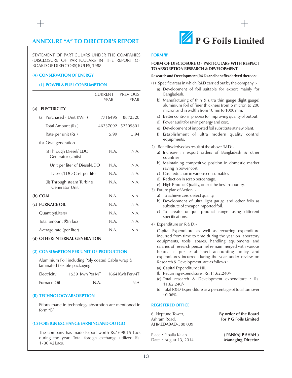STATEMENT OF PARTICULARS UNDER THE COMPANIES (DISCLOSURE OF PARTICULARS IN THE REPORT OF BOARD OF DIRECTORS) RULES, 1988

# **(A) CONSERVATION OF ENERGY**

# **(1) POWER & FUEL CONSUMPTION**

|                                                     | <b>CURRENT</b><br><b>YEAR</b> | <b>PREVIOUS</b><br><b>YEAR</b> |
|-----------------------------------------------------|-------------------------------|--------------------------------|
| <b>ELECTRICITY</b><br>(a)                           |                               |                                |
| (a) Purchased (Unit KWH)                            | 7716495                       | 8872520                        |
| Total Amount (Rs.)                                  |                               | 46237092 52709801              |
| Rate per unit (Rs.)                                 | 5.99                          | 5.94                           |
| (b) Own generation                                  |                               |                                |
| (i) Through Diesel/ LDO<br>Generator (Units)        | N.A.                          | N.A.                           |
| Unit per liter of Diesel/LDO                        | N.A.                          | NA.                            |
| Diesel/LDO Cost per liter                           | N.A.                          | N.A.                           |
| (ii) Through steam Turbine<br><b>Generator Unit</b> | N.A.                          | NA.                            |
| (b) COAL                                            | N.A.                          | N.A.                           |
| (c) FURNACE OIL                                     | N.A.                          | N.A.                           |
| Quantity(Liters)                                    | N.A.                          | N.A.                           |
| Total amount (₹In lacs)                             | N.A.                          | NA.                            |
| Average rate (per liter)                            | N.A.                          | N.A.                           |

**(d) OTHER/INTERNAL GENERATION**

# **(2) CONSUMPTION PER UNIT OF PRODUCTION**

Aluminium Foil including Poly coated Cable wrap & laminated flexible packaging

| Electricity | 1539 Kwh Per MT | 1664 Kwh Per MT |
|-------------|-----------------|-----------------|
| Furnace Oil | N.A.            | N.A             |

# **(B) TECHNOLOGY ABSORPTION**

Efforts made in technology absorption are mentioned in form "B"

# **(C) FOREIGN EXCHANGE EARNING AND OUTGO**

The company has made Export worth Rs.1698.15 Lacs during the year. Total foreign exchange utilized Rs. 1730.42 Lacs.



# **FORM 'B'**

# **FORM OF DISCLOSURE OF PARTICULARS WITH RESPECT TO ABSORPTION RESEARCH & DEVELOPMENT**

# **Research and Development (R&D) and benefits derived thereon :**

(1) Specific areas in which R&D carried out by the company :-

- a) Development of foil suitable for export mainly for Bangladesh.
- b) Manufacturing of thin & ultra thin gauge (light gauge) aluminium foil of finer thickness from 6 micron to 200 micron and in widths from 10mm to 1000 mm.
- c) Better control in process for improving quality of output
- d) Power audit for saving energy and cost.
- e) Development of imported foil substitute at new plant.
- f) Establishment of ultra modern quality control equipments.
- 2) Benefits derived as result of the above R&D:
	- a) Increase in export orders of Bangladesh & other countries
	- b) Maintaining competitive position in domestic market saving in power cost
	- c) Cost reduction in various consumables
	- d) Reduction in scrap percentage.
	- e) High Product Quality, one of the best in country.
- 3) Future plan of Action :
	- a) To achieve zero defect quality.
	- b) Development of ultra light gauge and other foils as substitute of cheaper imported foil.
	- c) To create unique product range using different specifications.
- 4) Expenditure on R & D:-

Capital Expenditure as well as recurring expenditure incurred from time to time during the year on laboratory equipments, tools, spares, handling equipments and salaries of research personnel remain merged with various heads as per established accounting policy and expenditures incurred during the year under review on Research & Development are as follows :

- (a) Capital Expenditure : NIL
- (b) Recurring expenditure : Rs. 11,62,240/-
- (c) Total research & Development expenditure : Rs. 11,62,240/-
- (d) Total R&D Expenditure as a percentage of total turnover : 0.06%

# **REGISTERED OFFICE**

| 6, Neptune Tower,     | By order of the Board        |
|-----------------------|------------------------------|
| Ashram Road,          | <b>For P G Foils Limited</b> |
| AHMEDABAD-380 009     |                              |
| Place: Pipalia Kalan  | (PANKAJ P SHAH)              |
| Date: August 13, 2014 | <b>Managing Director</b>     |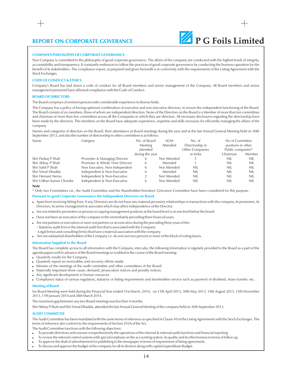

# **COMPANY'S PHILOSOPHY OF CORPORATE GOVERNANCE**

Your Company is committed to the philosophy of good corporate governance. The affairs of the company are conducted with the highest levels of integrity, accountability and transparency. It constantly endeavors to follow the practices of good corporate governance by conducting the business operation for the benefit of its stakeholders. The compliance report, as prepared and given herewith is in conformity with the requirements of the Listing Agreement with the Stock Exchanges.

# **CODE OF CONDUCT & ETHICS**

Company's Board has laid down a code of conduct for all Board members and senior management of the Company. All Board members and senior management personnel have affirmed compliance with the Code of Conduct.

# **BOARD OF DIRECTORS**

The Board comprises of eminent persons with considerable experience in diverse fields.

The Company has a policy of having optimum combination of executive and non executive directors, to ensure the independent functioning of the Board. The Board consists of six members, three of whom are independent directors. None of the Directors on the Board is a Member of more than ten committees and chairman of more than five committees across all the Companies in which they are directors. All necessary disclosures regarding the directorship have been made by the directors. The members on the Board have adequate experience, expertise and skills necessary for efficiently managing the affairs of the company.

Names and categories of directors on the Board, their attendance at Board meetings during the year and at the last Annual General Meeting held on 30th September 2013, and also the number of directorship in other committees is as follows:

| Name                     | Category                       | No. of Board<br>Meeting<br>attended | AGM<br>Attended | No. of<br>Directorship in<br>Other Companies | No of Committee<br>positions in other<br>Public companies* |            |
|--------------------------|--------------------------------|-------------------------------------|-----------------|----------------------------------------------|------------------------------------------------------------|------------|
|                          |                                | during the year                     |                 | in India                                     | Chairman                                                   | Member     |
| Shri Pankaj P Shah       | Promoter & Managing Director   | 6                                   | Not Attended    |                                              | NII.                                                       | <b>NIL</b> |
| Shri Abhay P Shah        | Promoter & Whole Time Director | 6                                   | Attended        |                                              | NII.                                                       | <b>NIL</b> |
| Shri Sahil P Shah        | Non Executive, Non Independent | 6                                   | Not Attended    | nil                                          | <b>NIL</b>                                                 | <b>NIL</b> |
| Shri Vimal Dhadda        | Independent & Non-Executive    | 6                                   | Attended        | <b>NIL</b>                                   | NII.                                                       | <b>NIL</b> |
| Shri Hemant Nema         | Independent & Non-Executive    |                                     | Not Attended    | <b>NIL</b>                                   | <b>NIL</b>                                                 | <b>NIL</b> |
| Shri Udhan Kumar Chordia | Independent & Non-Executive    | 6                                   | Not Attended    | nil                                          | <b>NIL</b>                                                 | <b>NIL</b> |

**Note** 

\* Only two Committees viz., the Audit Committee and the Shareholders'/Investors' Grievance Committee have been considered for this purpose.

# **Pursuant to good Corporate Governance the Independent Directors on Board**

- Apart from receiving Sitting Fees, if any, Directors are do not have any material pecuniary relationships or transactions with the company, its promoters, its Directors, its senior management & associates which may affect independence of the Director.
- ! Are not related to promoters or persons occupying management positions at the board level or at one level below the board.
- . Have not been an executive of the company in the immediately preceding three financial years.
- ! Are not partners or executives or were not partners or an executive during the preceding three years of the: - Statutory audit firm or the internal audit firm that is associated with the Company. - Legal firm(s) and consulting firm(s) that have a material association with the company.

! Are not substantial shareholders of the Company i.e. do not own two percent or more of the block of voting shares.

## **Information Supplied to the Board**

The Board has complete access to all information with the Company, inter-alia, the following information is regularly provided to the Board as a part of the agenda papers well in advance of the Board meetings or is tabled in the course of the Board meeting:

- ! Quarterly results for the Company.
- ! Quarterly report on receivables and recovery efforts made.
- ! Minutes of the meetings of the audit committee and other committees of the Board.
- ! Materially important show cause, demand, prosecution notices and penalty notices.
- . Any significant development in human resources.
- . Compliance status of various regulatory, statutory or listing requirements and shareholders service such as payment of dividend, share transfer, etc.

## **Meeting of Board**

Six Board Meeting were held during the Financial Year ended 31st March, 2014, on 11th April 2013, 30th May 2013, 14th August 2013, 13th November 2013, 17th January 2014 and 28th March 2014.

The maximum gap between any two Board meetings was less than 4 months.

Shri Abhay P Shah and Shri Vimal Dhadda, attended the last Annual General Meeting of the company held on 30th September 2013.

# **AUDIT COMMITTEE**

The Audit Committee has been mandated with the same terms of reference as specified in Clause 49 of the Listing Agreements with the Stock Exchanges. The terms of reference also conform to the requirements of Section 292A of the Act.

The Audit Committee functions with the following objectives:

- ! To provide directions and oversee comprehensively the operations of the internal & external audit functions and financial reporting
- To review the internal control systems with special emphasis on the accounting system, its quality and its effectiveness in terms of follow up.
- ! To approve the draft of advertisement for publishing in the newspaper in terms of requirement of listing agreements.
- ! To discuss and approve the budget of the company for all its division along with capital expenditure Budget.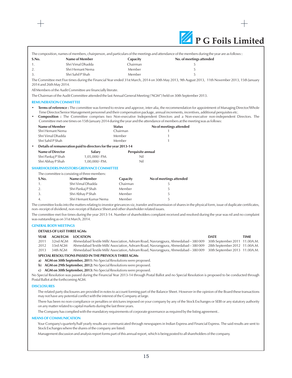

|                                                                                                                                                                                                                                                                          |                                                                                             |                   | The composition, names of members, chairperson, and particulars of the meetings and attendance of the members during the year are as follows::                                                                                                                                                                                                                                                                                                                                                                                                         |                                                                                                 |             |  |
|--------------------------------------------------------------------------------------------------------------------------------------------------------------------------------------------------------------------------------------------------------------------------|---------------------------------------------------------------------------------------------|-------------------|--------------------------------------------------------------------------------------------------------------------------------------------------------------------------------------------------------------------------------------------------------------------------------------------------------------------------------------------------------------------------------------------------------------------------------------------------------------------------------------------------------------------------------------------------------|-------------------------------------------------------------------------------------------------|-------------|--|
| S.No.                                                                                                                                                                                                                                                                    | Name of Member                                                                              | Capacity          | No. of meetings attended                                                                                                                                                                                                                                                                                                                                                                                                                                                                                                                               |                                                                                                 |             |  |
| 1.                                                                                                                                                                                                                                                                       | Shri Vimal Dhadda                                                                           | Chairman          | 5                                                                                                                                                                                                                                                                                                                                                                                                                                                                                                                                                      |                                                                                                 |             |  |
| 2.                                                                                                                                                                                                                                                                       | Shri Hemant Nema                                                                            | Member            | 5                                                                                                                                                                                                                                                                                                                                                                                                                                                                                                                                                      |                                                                                                 |             |  |
| 3.                                                                                                                                                                                                                                                                       | Shri Sahil P Shah                                                                           | Member            | 5                                                                                                                                                                                                                                                                                                                                                                                                                                                                                                                                                      |                                                                                                 |             |  |
|                                                                                                                                                                                                                                                                          |                                                                                             |                   | The Committee met Five times during the Financial Year ended 31st March, 2014 on 30th May 2013, 9th August 2013, 11th November 2013, 15th January                                                                                                                                                                                                                                                                                                                                                                                                      |                                                                                                 |             |  |
| 2014 and 26th May 2014.                                                                                                                                                                                                                                                  |                                                                                             |                   |                                                                                                                                                                                                                                                                                                                                                                                                                                                                                                                                                        |                                                                                                 |             |  |
|                                                                                                                                                                                                                                                                          | All Members of the Audit Committee are financially literate.                                |                   |                                                                                                                                                                                                                                                                                                                                                                                                                                                                                                                                                        |                                                                                                 |             |  |
|                                                                                                                                                                                                                                                                          |                                                                                             |                   | The Chairman of the Audit Committee attended the last Annual General Meeting ("AGM") held on 30th September 2013.                                                                                                                                                                                                                                                                                                                                                                                                                                      |                                                                                                 |             |  |
| <b>REMUNERATION COMMITTEE</b>                                                                                                                                                                                                                                            |                                                                                             |                   |                                                                                                                                                                                                                                                                                                                                                                                                                                                                                                                                                        |                                                                                                 |             |  |
| $\bullet$                                                                                                                                                                                                                                                                |                                                                                             |                   | Terms of reference: The committee was formed to review and approve, inter-alia, the recommendation for appointment of Managing Director/Whole<br>Time Director/Senior Management personnel and their compensation package, annual increments, incentives, additional perquisites etc.<br>Composition : The Committee comprises two Non-executive Independent Directors and a Non-executive non-independent Directors. The<br>Committee met one times on 15th January 2014 during the year and the attendance of members at the meeting was as follows: |                                                                                                 |             |  |
| Name of Member                                                                                                                                                                                                                                                           |                                                                                             | <b>Status</b>     | No of meetings attended                                                                                                                                                                                                                                                                                                                                                                                                                                                                                                                                |                                                                                                 |             |  |
| Shri Hemant Nema                                                                                                                                                                                                                                                         |                                                                                             | Chairman          | 1                                                                                                                                                                                                                                                                                                                                                                                                                                                                                                                                                      |                                                                                                 |             |  |
| Shri Vimal Dhadda                                                                                                                                                                                                                                                        |                                                                                             | Member            | 1                                                                                                                                                                                                                                                                                                                                                                                                                                                                                                                                                      |                                                                                                 |             |  |
| Shri Sahil P Shah                                                                                                                                                                                                                                                        |                                                                                             | Member            | $\mathbf{1}$                                                                                                                                                                                                                                                                                                                                                                                                                                                                                                                                           |                                                                                                 |             |  |
| $\bullet$                                                                                                                                                                                                                                                                | Details of remuneration paid to directors for the year 2013-14                              |                   |                                                                                                                                                                                                                                                                                                                                                                                                                                                                                                                                                        |                                                                                                 |             |  |
| Name of Director                                                                                                                                                                                                                                                         | Salary                                                                                      | Perquisite annual |                                                                                                                                                                                                                                                                                                                                                                                                                                                                                                                                                        |                                                                                                 |             |  |
| Shri Pankaj P Shah                                                                                                                                                                                                                                                       | $1,05,000/-$ P.M.                                                                           | Nil               |                                                                                                                                                                                                                                                                                                                                                                                                                                                                                                                                                        |                                                                                                 |             |  |
| Shri Abhay P Shah                                                                                                                                                                                                                                                        | $1,00,000/$ - P.M.                                                                          | Nil               |                                                                                                                                                                                                                                                                                                                                                                                                                                                                                                                                                        |                                                                                                 |             |  |
|                                                                                                                                                                                                                                                                          | <b>SHAREHOLDERS/INVESTORS GREIVANCE COMMITTEE</b>                                           |                   |                                                                                                                                                                                                                                                                                                                                                                                                                                                                                                                                                        |                                                                                                 |             |  |
|                                                                                                                                                                                                                                                                          | The committee is consisting of three members:                                               |                   |                                                                                                                                                                                                                                                                                                                                                                                                                                                                                                                                                        |                                                                                                 |             |  |
| S.No.                                                                                                                                                                                                                                                                    | Name of Member                                                                              | Capacity          | No of meetings attended                                                                                                                                                                                                                                                                                                                                                                                                                                                                                                                                |                                                                                                 |             |  |
| 1.                                                                                                                                                                                                                                                                       | Shri Vimal Dhadda                                                                           | Chairman          | 5                                                                                                                                                                                                                                                                                                                                                                                                                                                                                                                                                      |                                                                                                 |             |  |
| 2.                                                                                                                                                                                                                                                                       | Shri Pankaj P Shah                                                                          | Member            | 5                                                                                                                                                                                                                                                                                                                                                                                                                                                                                                                                                      |                                                                                                 |             |  |
| 3.                                                                                                                                                                                                                                                                       | Shri Abhay P Shah                                                                           | Member            | 5                                                                                                                                                                                                                                                                                                                                                                                                                                                                                                                                                      |                                                                                                 |             |  |
| 4.                                                                                                                                                                                                                                                                       | Shri Hemant Kumar Nema                                                                      | Member            | 5                                                                                                                                                                                                                                                                                                                                                                                                                                                                                                                                                      |                                                                                                 |             |  |
|                                                                                                                                                                                                                                                                          | non-receipt of dividend, non-receipt of Balance Sheet and other shareholder related issues. |                   | The committee looks into the matters relating to investor grievances viz, transfer and transmission of shares in the physical form, issue of duplicate certificates,                                                                                                                                                                                                                                                                                                                                                                                   |                                                                                                 |             |  |
| was outstanding as on 31st March, 2014.                                                                                                                                                                                                                                  |                                                                                             |                   | The committee met five times during the year 2013-14. Number of shareholders complaint received and resolved during the year was nil and no complaint                                                                                                                                                                                                                                                                                                                                                                                                  |                                                                                                 |             |  |
| <b>GENERAL BODY MEETINGS</b>                                                                                                                                                                                                                                             |                                                                                             |                   |                                                                                                                                                                                                                                                                                                                                                                                                                                                                                                                                                        |                                                                                                 |             |  |
| <b>DETAILS OF LAST THREE AGMS</b>                                                                                                                                                                                                                                        |                                                                                             |                   |                                                                                                                                                                                                                                                                                                                                                                                                                                                                                                                                                        |                                                                                                 |             |  |
| <b>YEAR</b><br><b>AGM/EGM</b>                                                                                                                                                                                                                                            | <b>LOCATION</b>                                                                             |                   |                                                                                                                                                                                                                                                                                                                                                                                                                                                                                                                                                        | <b>DATE</b>                                                                                     | <b>TIME</b> |  |
| 32nd AGM<br>2011<br>2012<br>33rd AGM<br>2013<br>34th AGM                                                                                                                                                                                                                 |                                                                                             |                   | Ahmedabad Textile Mills' Association, Ashram Road, Navrangpura, Ahmedabad – 380 009<br>Ahmedabad Textile Mills' Association, Ashram Road, Navrangpura, Ahmedabad – 380 009<br>Ahmedabad Textile Mills' Association, Ashram Road, Navrangpura, Ahmedabad – 380 009                                                                                                                                                                                                                                                                                      | 30th September 2011 11.00A.M.<br>28th September 2012 11.00A.M.<br>30th September 2013 11.00A.M. |             |  |
|                                                                                                                                                                                                                                                                          | <b>SPECIAL RESOLUTIONS PASSED IN THE PREVIOUS THREE AGMs</b>                                |                   |                                                                                                                                                                                                                                                                                                                                                                                                                                                                                                                                                        |                                                                                                 |             |  |
|                                                                                                                                                                                                                                                                          | a) AGM on 30th September, 2011: No Special Resolutions were proposed.                       |                   |                                                                                                                                                                                                                                                                                                                                                                                                                                                                                                                                                        |                                                                                                 |             |  |
|                                                                                                                                                                                                                                                                          | <b>b</b> ) <b>AGM</b> on 29th September, 2012: No Special Resolutions were proposed.        |                   |                                                                                                                                                                                                                                                                                                                                                                                                                                                                                                                                                        |                                                                                                 |             |  |
|                                                                                                                                                                                                                                                                          |                                                                                             |                   |                                                                                                                                                                                                                                                                                                                                                                                                                                                                                                                                                        |                                                                                                 |             |  |
| c) AGM on 30th September, 2013: No Special Resolutions were proposed.<br>No Special Resolution was passed during the Financial Year 2013-14 through Postal Ballot and no Special Resolution is proposed to be conducted through<br>Postal Ballot at the forthcoming AGM. |                                                                                             |                   |                                                                                                                                                                                                                                                                                                                                                                                                                                                                                                                                                        |                                                                                                 |             |  |
| <b>DISCLOSURES</b>                                                                                                                                                                                                                                                       |                                                                                             |                   |                                                                                                                                                                                                                                                                                                                                                                                                                                                                                                                                                        |                                                                                                 |             |  |
|                                                                                                                                                                                                                                                                          | may not have any potential conflict with the interest of the Company at large.              |                   | The related party disclosures are provided in notes to account forming part of the Balance Sheet. However in the opinion of the Board these transactions                                                                                                                                                                                                                                                                                                                                                                                               |                                                                                                 |             |  |
|                                                                                                                                                                                                                                                                          |                                                                                             |                   | There has been no non-compliance or penalties or strictures imposed on your company by any of the Stock Exchanges or SEBI or any statutory authority                                                                                                                                                                                                                                                                                                                                                                                                   |                                                                                                 |             |  |
| on any matter related to capital markets during the last three years.                                                                                                                                                                                                    |                                                                                             |                   |                                                                                                                                                                                                                                                                                                                                                                                                                                                                                                                                                        |                                                                                                 |             |  |

The Company has complied with the mandatory requirements of corporate governance as required by the listing agreement..

# **MEANS OF COMMUNICATION**

 $\hspace{.011cm} +$ 

Your Company's quarterly/half yearly results are communicated through newspapers in Indian Express and Financial Express. The said results are sent to Stock Exchanges where the shares of the company are listed.

Management discussion and analysis report forms part of this annual report, which is being posted to all shareholders of the company.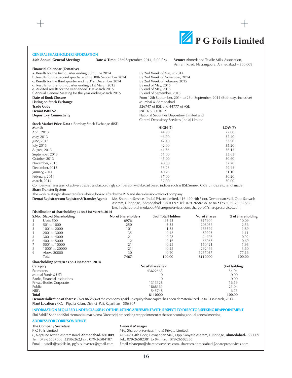

# **GENERAL SHAREHOLDER INFORMATION**

**35th Annual General Meeting: Date & Time:** 23rd September, 2014, 2:00 P.M. Venue: Ahmedabad Textile Mills' Association,

Ashram Road, Navrangpura, Ahmedabad – 380 009

# **Financial Calendar (Tentative)**

| a. Results for the first quarter ending 30th June 2014       | By 2nd Week of August 2014                                              |                     |
|--------------------------------------------------------------|-------------------------------------------------------------------------|---------------------|
| b. Results for the second quarter ending 30th September 2014 | By 2nd Week of November, 2014                                           |                     |
| c. Results for the third quarter ending 31st December 2014   | By 2nd Week of February, 2015                                           |                     |
| d. Results for the forth quarter ending 31st March 2015      | By end of May, 2015                                                     |                     |
| e. Audited results for the year ended 31st March 2015        | By end of May, 2015                                                     |                     |
| f. Annual General Meeting for the year ending March 2015     | By end of September, 2015                                               |                     |
| Date of Book Closure                                         | From 12th September, 2014 to 23th September, 2014 (Both days inclusive) |                     |
| <b>Listing on Stock Exchange</b>                             | Mumbai & Ahmedabad                                                      |                     |
| <b>Trade Code</b>                                            | 526747 of BSE and 44777 of ASE                                          |                     |
| Demat ISIN No.                                               | INE 078 D 01012                                                         |                     |
| <b>Depository Connectivity</b>                               | National Securities Depository Limited and                              |                     |
|                                                              | Central Depository Services (India) Limited                             |                     |
| <b>Stock Market Price Data: Bombay Stock Exchange (BSE)</b>  |                                                                         |                     |
| Month                                                        | HIGH( $\bar{z}$ )                                                       | LOW $(\bar{\zeta})$ |
| April, 2013                                                  | 44.90                                                                   | 27.00               |
| May, 2013                                                    | 46.90                                                                   | 32.40               |
| June, 2013                                                   | 42.40                                                                   | 33.90               |
| July, 2013                                                   | 42.00                                                                   | 35.20               |
| August, 2013                                                 | 41.85                                                                   | 36.15               |
| September, 2013                                              | 51.00                                                                   | 35.65               |
| October, 2013                                                | 45.00                                                                   | 30.60               |
| November, 2013                                               | 40.50                                                                   | 32.20               |
| December, 2013                                               | 35.25                                                                   | 29.45               |
| January, 2014                                                | 40.75                                                                   | 31.10               |
| February, 2014                                               | 37.00                                                                   | 30.20               |

March, 2014 37.90 30.00 Company's shares are not actively traded and accordingly comparison with broad based indices such as BSE Sensex, CRISIL index etc. is not made. **Share Transfer System**

The work relating to share transfers is being looked after by the RTA and share division office of company.

**Demat Registrar cum Registrar & Transfer Agent:** M/s. Sharepro Services (India) Private Limited, 416-420, 4th Floor, Devnandan Mall, Opp. Sanyash Ashram, Ellisbridge, Ahmedabad – 380 009 • Tel : 079-26582381 to 84 • Fax : 079-26582385 Email : sharepro.ahmedabad@shareproservices.com, sharepro@shareproservices.com

# **Distribution of shareholding as on 31st March, 2014**

|                               | S.No. Slab of Shareholding                  | No. of Shareholders | % of Total Holders | No. of Shares | % of Shareholding |
|-------------------------------|---------------------------------------------|---------------------|--------------------|---------------|-------------------|
|                               | $Up$ to $500$                               | 6976                | 93.43              | 817904        | 10.09             |
| $\overline{2}$                | 501 to 1000                                 | 250                 | 3.35               | 208086        | 2.56              |
| 3                             | 1001 to 2000                                | 101                 | 1.35               | 153399        | 1.89              |
| 4                             | 2001 to 3000                                | 35                  | 0.47               | 89923         | 1.11              |
| 5.                            | 3001 to 4000                                | 21                  | 0.28               | 74706         | 0.92              |
| 6                             | 4001 to 5000                                | 12                  | 0.16               | 56058         | 0.69              |
|                               | 5001 to 10000                               | 21                  | 0.28               | 160421        | 1.98              |
| 8                             | 10001 to 20000                              | 21                  | 0.28               | 292466        | 3.60              |
| 9                             | Above 20000                                 | 30                  | 0.40               | 6257037       | 77.16             |
|                               | Total                                       | 7467                | 100.00             | 8110000       | 100.00            |
|                               | Shareholding pattern as on 31st March, 2014 |                     |                    |               |                   |
|                               | Category                                    |                     | No of Shares held  |               | $%$ of holding    |
|                               | Promoters                                   |                     | 43822563           |               | 54.04             |
|                               | Mutual Funds & UTI                          |                     |                    |               | 0.00              |
| Banks, Financial Institutions |                                             |                     |                    | 0.00          |                   |
| Private Bodies Corporate      |                                             |                     | 1313328            | 16.19         |                   |
|                               | Public                                      |                     | 1868361            |               | 23.04             |
| NRI's                         |                                             |                     | 545748             |               | 6.73              |
| <b>Total</b>                  |                                             |                     | 8110000            |               | 100.00            |
|                               |                                             |                     |                    |               |                   |

**Dematerialization of shares:** Over **86.26%** of the company's paid up equity share capital has been dematerialized up to 31st March, 2014. **Plant Location :** P. O. – Pipalia Kalan, District- Pali, Rajasthan – 306 307

# **INFORMATION REQUIRED UNDER CLAUSE 49 OF THE LISTING AFREEMENT WITH RESPECT TO DIRECTOR SEEKING REAPPOINTMENT**

Shri Sahil P Shah and Shri Hemant Kumar Nema Director(s) are seeking reappointment at the forthcoming annual general meeting.

# **ADDRESS FOR CORRESONDENCE**

## **The Company Secretary, Ceneral Manager Company Secretary, Ceneral Manager**

P G Foils Limited M/s. Sharepro Services (India) Private Limited, 6, Neptune Tower, Ashram Road, **Ahmedabad-380 009** 416-420, 4th Floor, Devnandan Mall, Opp. Sanyash Ashram, Ellisbridge, **Ahmedabad- 380009** Tel.: 079-26587606, 32986262,Fax : 079-26584187 Tel.: 079-26582381 to 84, Fax : 079-26582385 Email : sharepro@shareproservices.com, sharepro.ahmedabad@shareproservices.com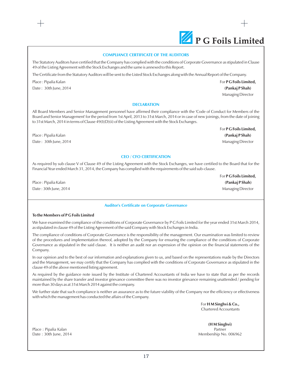# **COMPLIANCE CERTIFICATE OF THE AUDITORS**

The Statutory Auditors have certified that the Company has complied with the conditions of Corporate Governance as stipulated in Clause 49 of the Listing Agreement with the Stock Exchanges and the same is annexed to this Report.

The Certificate from the Statutory Auditors will be sent to the Listed Stock Exchanges along with the Annual Report of the Company.

Place : Pipalia Kalan For **P G Foils Limited,** The *P* G **Foils Limited,** The **P G Foils Limited,** The **P G Foils Limited,** The **P G Foils Limited,** The **P G Foils Limited**, The **P G Foils Limited**, The **P G Foils Limited** 

Managing Director

# **DECLARATION**

All Board Members and Senior Management personnel have affirmed their compliance with the 'Code of Conduct for Members of the Board and Senior Management' for the period from 1st April, 2013 to 31st March, 2014 or in case of new joinings, from the date of joining to 31st March, 2014 in terms of Clause 49(I)(D)(ii) of the Listing Agreement with the Stock Exchanges.

Place : Pipalia Kalan **(Pankaj P Shah)** Date : 30th June, 2014 Managing Director Number of the State of the Managing Director Number of the Managing Director

# **CEO / CFO CERTIFICATION**

As required by sub clause V of Clause 49 of the Listing Agreement with the Stock Exchanges, we have certified to the Board that for the Financial Year ended March 31, 2014, the Company has complied with the requirements of the said sub-clause.

Place : Pipalia Kalan **(Pankaj P Shah)** Date : 30th June, 2014 Managing Director Number of the State of the Managing Director Number of the Managing Director

# **Auditor's Certificate on Corporate Governance**

# **To the Members of P G Foils Limited**

We have examined the compliance of the conditions of Corporate Governance by P G Foils Limited for the year ended 31st March 2014, as stipulated in clause 49 of the Listing Agreement of the said Company with Stock Exchanges in India.

The compliance of conditions of Corporate Governance is the responsibility of the management. Our examination was limited to review of the procedures and implementation thereof, adopted by the Company for ensuring the compliance of the conditions of Corporate Governance as stipulated in the said clause. It is neither an audit nor an expression of the opinion on the financial statements of the Company.

In our opinion and to the best of our information and explanations given to us, and based on the representations made by the Directors and the Management, we may certify that the Company has complied with the conditions of Corporate Governance as stipulated in the clause 49 of the above mentioned listing agreement.

As required by the guidance note issued by the Institute of Chartered Accountants of India we have to state that as per the records maintained by the share transfer and investor grievance committee there was no investor grievance remaining unattended / pending for more than 30 days as at 31st March 2014 against the company.

We further state that such compliance is neither an assurance as to the future viability of the Company nor the efficiency or effectiveness with which the management has conducted the affairs of the Company.

> For **H M Singhvi & Co.,** Chartered Accountants

**(H M Singhvi)** Date : 30th June, 2014 Membership No. 006962

Place : Pipalia Kalan Partner

# **P G Foils Limited**

For **P G Foils Limited,**

For **P G Foils Limited,**

Date : 30th June, 2014 **(Pankaj P Shah)**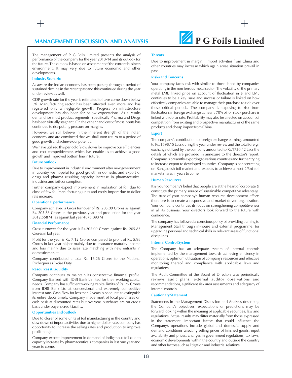# **MANAGEMENT DISCUSSION AND ANALYSIS**



The management of P G Foils Limited presents the analysis of performance of the company for the year 2013-14 and its outlook for the future. The outlook is based on assessment of the current business environment. It may very due to future economic and other developments.

# **Industry Scenario**

As aware the Indian economy has been passing through a period of sustained decline in the recent past and this continued during the year under review as well.

GDP growth rate for the year is estimated to have come down below 5%. Manufacturing sector has been affected even more and has registered only a negligible growth. Progress on infrastructure development has also been for below expectations. As a results demand for most product segments specifically Pharma and Drugs has been virtually stagnant. On the other hand cost of most inputs has continued to rise putting pressure on margins.

However, we still believe in the inherent strength of the Indian economy and are convinced that we shall soon return to a period of good growth and achieve our potential.

We have utilized this period of slow down for improve our efficiencies and cost competitiveness which has enable us to achieve a good growth and improved bottom line in future.

## **Future outlook**

Due to improvement in industrial environment after new government in country we hopeful for good growth in domestic and export of drugs and pharma resulting capacity increase in pharmaceutical industries and foil consumption.

Further company expect improvement in realization of foil due to close of few foil manufacturing units and costly import due to dollor rate increase.

# **Operational performance**

Company achieved a Gross turnover of Rs. 205.09 Crores as against Rs. 205.83 Crores in the previous year and production for the year 5012.558 MT as against last year 4875.093 MT.

# **Financial Performance**

Gross turnover for the year is Rs.205.09 Crores against Rs. 205.83 Crores in last year.

Profit for the year is Rs. 7.12 Crores compared to profit of Rs. 5.98 Crores in last year higher mainly due to insurance maturity income and loss mainly due to sales rate matching with new entrants in domestic market.

Company contributed a total Rs. 16.26 Crores to the National Exchequer as Excise Duty.

## **Resources & Liquidity**

Company continues to maintain its conservative financial profile. Company Banked with IDBI Bank Limited for their working capital needs. Company has sufficient working capital limits of Rs. 75 Crores from IDBI Bank Ltd at concessional and extremely competitive interest rate. Cash Flow for less than 2 years is adequate to extinguish its entire debts timely. Company made most of local purchases on cash basis at discounted rates but overseas purchases are on credit basis under buyer's credit facility.

# **Opportunities and outlook**

Due to closer of some units of foil manufacturing in the country and slow down of import activities due to higher dollor rate, company has opportunity to increase the selling rates and production to improve profit margin.

Company expect improvement in demand of indigenous foil due to capacity increase by pharmaceuticals companies in last one year and years to come.

# **Threats**

Due to improvement in margin, import activities from China and other countries may increase which again arose situation prevail in past.

# **Risks and Concerns**

Your company faces risk with similar to those faced by companies operating in the non ferrous metal sector. The volatility of the primary metal LME linked price on account of fluctuation in \$ and LME continues to be a key issue and success or failure is linked on how effectively companies are able to manage their purchase to tide over these critical periods. The company is exposing to risk from fluctuations in foreign exchange as nearly 70% of foil stock purchase is linked with dollar rate. Profitability may also be affected on account of competition from existing and prospective manufactures of the same products and cheap import from China.

# **Export**

The company's contribution to foreign exchange earnings amounted to Rs. 1698.15 Lacs during the year under review and the total foreign exchange utilized by the company amounted to Rs.1730.42 Lacs the details of which are provided in annexure to the director's report. Company is presently exporting to various countries and further trying to increase export to developed countries. Company is concentrating on Bangladesh foil market and expects to achieve almost 2/3rd foil market shares in years to come.

# **Human Resources**

It is your company's belief that people are at the heart of corporate & constitute the primary source of sustainable competitive advantage. The trust of your company's human resource development efforts therefore is to create a responsive and market driven organization. Your company continues its focus on strengthening competitiveness in all its business. Your directors look forward to the future with confidence.

The company has followed a conscious policy of providing training to Management Staff through in-house and external programme, for upgrading personal and technical skills in relevant areas of functional disciplines.

# **Internal Control System**

The Company has an adequate system of internal controls implemented by the management towards achieving efficiency in operations, optimum utilization of company's resources and effective monitoring thereof and compliance with applicable laws and regulations.

The Audit Committee of the Board of Directors also periodically reviews audit plans, external auditor observations and recommendations, significant risk area assessments and adequacy of internal controls.

## **Cautionary Statement**

Statements in the Management Discussion and Analysis describing the Company's objectives, expectations or predictions may be forward looking within the meaning of applicable securities, law and regulations. Actual results may differ materially from those expressed in the statement. Important factors that could influence the Company's operations include global and domestic supply and demand conditions affecting selling prices of finished goods, input availability and prices, changes in government regulations, tax laws, economic developments within the country and outside the country and other factors such as litigation and industrial relations.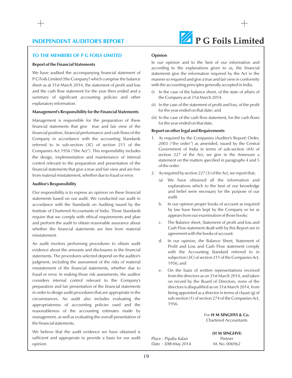

# **Report of the Financial Statements**

We have audited the accompanying financial statement of P G Foils Limited ('the Company') which comprise the balance sheet as at 31st March 2014, the statement of profit and loss and the cash flow statement for the year then ended and a summary of significant accounting policies and other explanatory information.

# **Management's Responsibility for the Financial Statements**

Management is responsible for the preparation of these financial statements that give true and fair view of the financial position, financial performance and cash flows of the Company in accordance with the accounting Standards referred to in sub-section (3C) of section 211 of the Companies Act 1956 ("the Act"). This responsibility includes the design, implementation and maintenance of internal control relevant to the preparation and presentation of the financial statements that give a true and fair view and are free from material misstatement, whether due to fraud or error.

# **Auditor's Responsibility**

Our responsibility is to express an opinion on these financial statements based on our audit. We conducted our audit in accordance with the Standards on Auditing issued by the Institute of Chartered Accountants of India. Those Standards require that we comply with ethical requirements and plan and perform the audit to obtain reasonable assurance about whether the financial statements are free from material misstatement.

An audit involves performing procedures to obtain audit evidence about the amounts and disclosures in the financial statements. The procedures selected depend on the auditor's judgment, including the assessment of the risks of material misstatement of the financial statements, whether due to fraud or error. In making those risk assessments, the auditor considers internal control relevant to the Company's preparation and fair presentation of the financial statements in order to design audit procedures that are appropriate in the circumstances. An audit also includes evaluating the appropriateness of accounting policies used and the reasonableness of the accounting estimates made by management, as well as evaluating the overall presentation of the financial statements.

We believe that the audit evidence we have obtained is sufficient and appropriate to provide a basis for our audit opinion.

# **Opinion**

In our opinion and to the best of our information and according to the explanations given to us, the financial statements give the information required by the Act in the manner so required and give a true and fair view in conformity with the accounting principles generally accepted in India.

- (i) In the case of the balance sheet, of the state of affairs of the Company as at 31st March 2014.
- (ii) In the case of the statement of profit and loss, of the profit for the year ended on that date; and
- (iii) In the case of the cash flow statement, for the cash flows for the year ended on that date.

# **Report on other legal and Requirements**

- 1. As required by the Companies (Auditor's Report) Order, 2003 ("the order") as amended, issued by the Central Government of India in terms of sub-section (4A) of section 227 of the Act, we give in the Annexure a statement on the matters specified in paragraphs 4 and 5 of the order.
- 2. As required by section 227 (3) of the Act, we report that;
	- (a) We have obtained all the information and explanations which to the best of our knowledge and belief were necessary for the purpose of our audit.
	- b. In our opinion proper books of account as required by law have been kept by the Company so far as appears from our examination of those books:
	- c. The Balance sheet, Statement of profit and loss and Cash Flow statement dealt with by this Report are in agreement with the books of account.
	- d. In our opinion, the Balance Sheet, Statement of Profit and Loss and Cash Flow statement comply with the Accounting Standard referred to in subjection (3C) of section 211 of the Companies Act, 1956; and
	- e. On the basis of written representations received from the directors as on 31st March 2014, and taken on record by the Board of Directors, none of the directors is disqualified as on 31st March 2014, from being appointed as a director in terms of clause (g) of sub-section (1) of section 274 of the Companies Act, 1956.

For **H M SINGHVI & Co.** Chartered Accountants

Place : Pipalia Kalan Partner Date: 30th May 2014 M. No. 006962

**(H M SINGHVI)**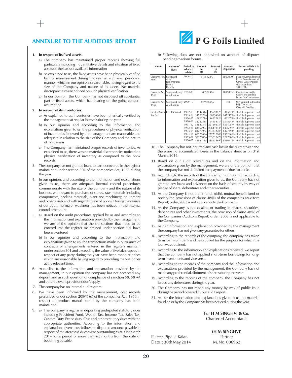# **ANNEXURE TO THE AUDITORS' REPORT**

# **1. In respect of its fixed assets.**

- a) The company has maintained proper records showing full particulars including quantitative details and situation of fixed assets on the basis of available information
- b) As explained to us, the fixed assets have been physically verified by the management during the year in a phased periodical manner, which in our opinion is reasonable, having regard to the size of the Company and nature of its assets. No material discrepancies were noticed on such physical verification
- c) In our opinion, the Company has not disposed off substantial part of fixed assets, which has bearing on the going concern assumption

# **2. In respect of its inventories**

- a) As explained to us, inventories have been physically verified by the management at regular intervals during the year.
- b) In our opinion and according to the information and explanations given to us, the procedures of physical verification of inventories followed by the management are reasonable and adequate in relation to the size of the Company and the nature of its business
- c) The Company has maintained proper records of inventories. As explained to us, there was no material discrepancies noticed on physical verification of inventory as compared to the book records.
- 3. The company has not granted loans to parties covered in the register maintained under section 301 of the companies Act, 1956 during the year.
- 4. In our opinion, and according to the information and explanations given to us, there are adequate internal control procedures commensurate with the size of the company and the nature of its business with regard to purchase of stores, raw materials including components, packing materials, plant and machinery, equipment and other assets and with regard to sale of goods. During the course of our audit, no major weakness has been noticed in the internal control procedure.
- 5. a) Based on the audit procedures applied by us and according to the information and explanations provided by the management, we are of the opinion that the transactions that need to be entered into the register maintained under section 301 have been so entered
	- b) In our opinion and according to the information and explanations given to us, the transactions made in pursuance of contracts or arrangements entered in the registers maintain under section 301 and exceeding the value of five lakh rupees in respect of any party during the year have been made at prices which are reasonable having regard to prevailing market prices at the relevant time.
- 6. According to the information and explanation provided by the management, in our opinion the company has not accepted any deposit and as such question of compliance of sanction 58, 58 AA and other relevant provisions don't apply.
- 7. The company has no internal audit system.
- 8. We have been informed by the management, cost records prescribed under section 209(1) (d) of the companies Act, 1956 in respect of product manufactured by the company has been maintained.
- 9. a) The company is regular in depositing undisputed statutory dues including Provident Fund, Wealth Tax, Income Tax, Sales Tax, Custom Duty, Excise duty, Cess and other statutory dues with the appropriate authorities. According to the information and explanations given to us, following, disputed amounts payable in respect of the aforesaid dues were outstanding as at 31st March 2014 for a period of more than six months from the date of becoming payable.

 b) Following dues are not deposited on account of disputes pending at various forums.

**P G Foils Limited**

| Name                 | Nature of<br>dues                                    | <b>Period</b> to<br>which it<br>relates                                                                    | Amount<br>in<br>(₹)                                                                                                          | <b>Interest</b><br>in<br>(3)                                                                               | Amount<br><b>Deposited</b> | Forum which it is<br>pending                                                                                                                                                                                                                                                                                                                                                 |
|----------------------|------------------------------------------------------|------------------------------------------------------------------------------------------------------------|------------------------------------------------------------------------------------------------------------------------------|------------------------------------------------------------------------------------------------------------|----------------------------|------------------------------------------------------------------------------------------------------------------------------------------------------------------------------------------------------------------------------------------------------------------------------------------------------------------------------------------------------------------------------|
| Customs Act,<br>1962 | Safeguard<br>duty<br>Redemption<br>Fine &<br>Penalty | 2009-10                                                                                                    | 11651284/-                                                                                                                   |                                                                                                            | 3800000/-                  | <b>Balance Demand Stayed</b><br>by the Commissioner of<br>Central Excise (Appeal)<br>vide order dated<br>30.01.2014                                                                                                                                                                                                                                                          |
| 1962                 | Customs Act, Safeguard duty<br>& valuation           | 2010-11                                                                                                    | 8858238/-                                                                                                                    |                                                                                                            | 3898883/-                  | Case is remanded by<br>CESTAT and pending<br>before Dy. Commissioner                                                                                                                                                                                                                                                                                                         |
| 1962                 | Customs Act, Safeguard duty<br>& valuation           | 2009-10                                                                                                    | 12576869/-                                                                                                                   |                                                                                                            | <b>NIL</b>                 | Stay granted in Hon'ble<br>High Court and<br>Case still Pending                                                                                                                                                                                                                                                                                                              |
| <b>Tax Act</b>       | Central Sales CST Demand                             | 1982-83<br>1983-84<br>1984-85<br>1990-91<br>1991-92<br>1992-93<br>1993-94<br>1994-95<br>1995-96<br>1996-97 | 413231/-<br>1472173/-<br>862071/-<br>3378241/-<br>5364057/-<br>8396797/-<br>8327394/-<br>8952669/-<br>9217606/-<br>8256211/- | 1559802/-<br>$6093420/-$<br>4462262/-<br>9415971/-<br>22129275/-<br>29641954/-<br>27323270/-<br>27771200/- |                            | 413231/-Hon'ble Supreme court<br>1472173/-Hon'ble Supreme court<br>862071/- Hon'ble Supreme court<br>3378241/- Hon'ble Supreme court<br>5364057/- Hon'ble Supreme court<br>8396797/- Hon'ble Supreme court<br>8327394/- Hon'ble Supreme court<br>8952669/- Hon'ble Supreme court<br>26301247/- 9217606/- Hon'ble Supreme court<br>21892569/- 8256211/- Hon'ble Supreme court |

- 10. The Company has not incurred any cash loss in the current year and there are no accumulated losses in the balance sheet as on 31st March, 2014.
- 11. Based on our audit procedures and on the information and explanation given by the management, we are of the opinion that the company has not defaulted in repayment of dues to banks.
- 12. According to the records of the company, in our opinion according to information and explanation given to us, the Company has not granted any loans and advances on the basis of security by way of pledge of share, debentures and other securities.
- 13. As the Company is not a chit fund, nidhi, mutual benefit fund or society the provisions of clause 4(xiii) of the companies (Auditor's Report) order, 2003 is not applicable to the Company.
- 14. As the Company is not dealing or trading in shares, securities, debentures and other investments, the provision of clause 4(xiv) of the Companies (Auditor's Report) order, 2003 is not applicable to the Company.
- 15. As per information and explanation provided by the management the company has not given any guarantee for others.
- 16. According to the records of the company, the company has taken term loan from Bank and has applied for the purpose for which the loan was obtained.
- 17. According to the information and explanations received, we report that the company has not applied short-term borrowings for longterm investments and vice versa.
- 18. According to the records of the company and the information and explanations provided by the management, the Company has not made any preferential allotment of shares during the year.
- 19. According to the records of the company, the Company has not issued any debentures during the year.
- 20. The Company has not raised any money by way of public issue during the period covered by our audit report.
- 21. As per the information and explanations given to us, no material fraud on or by the Company has been noticed during the year.

For **H M SINGHVI & Co.** Chartered Accountants

**(H M SINGHVI)**

Place : Pipalia Kalan Partner<br>
Date : 30th May 2014 M. No. 006962 Date:  $30th$  May 2014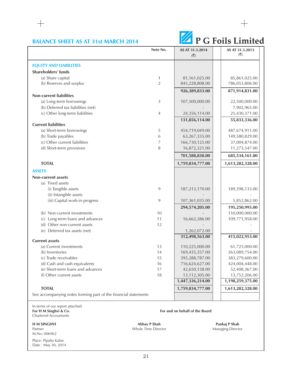



# **BALANCE SHEET AS AT 31st MARCH 2014 P G Foils Limited**

 $\hspace{0.1cm} +$ 

|                                                                 | Note No.       | AS AT 31.3.2014<br>$(\overline{\zeta})$ | AS AT 31.3.2013<br>(3)            |
|-----------------------------------------------------------------|----------------|-----------------------------------------|-----------------------------------|
|                                                                 |                |                                         |                                   |
| <b>EQUITY AND LIABILITIES</b>                                   |                |                                         |                                   |
| Shareholders' funds                                             |                |                                         |                                   |
| (a) Share capital                                               | $\mathbf{1}$   | 81,161,025.00                           | 85,861,025.00                     |
| (b) Reserves and surplus                                        | $\overline{2}$ | 845,228,808.00                          | 786,053,806.00                    |
|                                                                 |                | 926,389,833.00                          | 871,914,831.00                    |
| <b>Non-current liabilities</b>                                  |                |                                         |                                   |
| (a) Long-term borrowings                                        | 3              | 107,500,000.00                          | 22,500,000.00                     |
| (b) Deferred tax liabilities (net)                              |                |                                         | 7,902,965.00                      |
| (c) Other long-term liabilities                                 | $\overline{4}$ | 24,356,114.00                           | 25,430,371.00                     |
|                                                                 |                | 131,856,114.00                          | 55,833,336.00                     |
| <b>Current liabilities</b>                                      |                |                                         |                                   |
| (a) Short-term borrowings                                       | 5              | 454,719,049.00                          | 487,674,911.00                    |
| (b) Trade payables                                              | 6              | 63,267,335.00                           | 149,580,829.00                    |
| (c) Other current liabilities                                   | $\overline{7}$ | 166,730,125.00                          | 37,004,874.00                     |
| (d) Short-term provisions                                       | 8              | 16,872,321.00                           | 11,273,547.00                     |
|                                                                 |                | 701,588,830.00                          | 685,534,161.00                    |
| <b>TOTAL</b>                                                    |                | 1,759,834,777.00                        | 1,613,282,328.00                  |
| <b>ASSETS</b>                                                   |                |                                         |                                   |
| <b>Non-current assets</b>                                       |                |                                         |                                   |
| (a) Fixed assets                                                |                |                                         |                                   |
| (i) Tangible assets                                             | 9              | 187,213,170.00                          | 189,398,133.00                    |
| (ii) Intangible assets                                          |                |                                         |                                   |
| (iii) Capital work-in-progress                                  | 9              | 107,361,035.00                          | 5,852,862.00                      |
|                                                                 |                | 294,574,205.00                          | 195,250,995.00                    |
| (b) Non-current investments                                     | 10             |                                         | 110,000,000.00                    |
| (c) Long-term loans and advances                                | 11             | 16,662,286.00                           | 109,771,958.00                    |
| (d) Other non-current assets                                    | 12             |                                         |                                   |
| (e) Deferred tax assets (net)                                   |                | 1,262,072.00                            |                                   |
|                                                                 |                | 312,498,563.00                          | 415,022,953.00                    |
| <b>Current assets</b>                                           |                |                                         |                                   |
| (a) Current investments                                         | 13             | 110,225,000.00                          | 61,725,000.00                     |
| (b) Inventories                                                 | 14             | 169,435,357.00                          | 263,089,754.00                    |
| (c) Trade receivables                                           | 15             | 395,288,787.00                          | 383,279,600.00                    |
| (d) Cash and cash equivalents                                   | 16             | 716,624,627.00                          | 424,004,448.00                    |
| (e) Short-term loans and advances                               | 17             | 42,650,138.00                           | 52,408,367.00                     |
| (f) Other current assets                                        | 18             | 13,112,305.00<br>1,447,336,214.00       | 13,752,206.00<br>1,198,259,375.00 |
|                                                                 |                |                                         |                                   |
| <b>TOTAL</b>                                                    |                | 1,759,834,777.00                        | 1,613,282,328.00                  |
| See accompanying notes forming part of the financial statements |                |                                         |                                   |

In terms of our report attached. For H M Singhvi & Co.<br>Chartered Accountants

**H M SINGHVI** Partner M.No: 006962

For and on behalf of the Board

Whole Time Director

**Abhay P Shah P Shah P Shah P Shah P Shah P Shah P Shah P Shah P Shah Managing Director** 

Place: Pipalia Kalan Date : May 30, 2014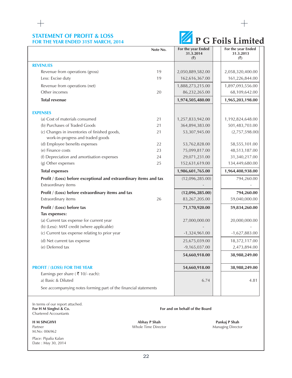

 $+$ 



# **FOR THE YEAR ENDED 31ST MARCH, 2014 P G Foils Limited**

|                                                                                    | Note No. | For the year Ended<br>31.3.2014<br>$(\overline{\zeta})$ | For the year Ended<br>31.3.2013<br>(₹) |
|------------------------------------------------------------------------------------|----------|---------------------------------------------------------|----------------------------------------|
| <b>REVENUES</b>                                                                    |          |                                                         |                                        |
| Revenue from operations (gross)                                                    | 19       | 2,050,889,582.00                                        | 2,058,320,400.00                       |
| Less: Excise duty                                                                  | 19       | 162,616,367.00                                          | 161,226,844.00                         |
| Revenue from operations (net)                                                      |          | 1,888,273,215.00                                        | 1,897,093,556.00                       |
| Other incomes                                                                      | 20       | 86,232,265.00                                           | 68,109,642.00                          |
| <b>Total revenue</b>                                                               |          | 1,974,505,480.00                                        | 1,965,203,198.00                       |
| <b>EXPENSES</b>                                                                    |          |                                                         |                                        |
| (a) Cost of materials consumed                                                     | 21       | 1,257,833,942.00                                        | 1,192,824,648.00                       |
| (b) Purchases of Traded Goods                                                      | 21       | 364,894,383.00                                          | 501,483,703.00                         |
| (c) Changes in inventories of finished goods,<br>work-in-progress and traded goods | 21       | 53,307,945.00                                           | (2,757,598.00)                         |
| (d) Employee benefits expenses                                                     | 22       | 53,762,828.00                                           | 58,555,101.00                          |
| (e) Finance costs                                                                  | 23       | 75,099,817.00                                           | 48,513,187.00                          |
| (f) Depreciation and amortisation expenses                                         | 24       | 29,071,231.00                                           | 31,340,217.00                          |
| (g) Other expenses                                                                 | 25       | 152,631,619.00                                          | 134,449,680.00                         |
| <b>Total expenses</b>                                                              |          | 1,986,601,765.00                                        | 1,964,408,938.00                       |
| Profit / (Loss) before exceptional and extraordinary items and tax                 |          | (12,096,285.00)                                         | 794,260.00                             |
| Extraordinary items                                                                |          |                                                         |                                        |
| Profit / (Loss) before extraordinary items and tax                                 |          | (12,096,285.00)                                         | 794,260.00                             |
| Extraordinary items                                                                | 26       | 83,267,205.00                                           | 59,040,000.00                          |
| Profit / (Loss) before tax                                                         |          | 71,170,920.00                                           | 59,834,260.00                          |
| Tax expenses:                                                                      |          |                                                         |                                        |
| (a) Current tax expense for current year                                           |          | 27,000,000.00                                           | 20,000,000.00                          |
| (b) (Less): MAT credit (where applicable)                                          |          |                                                         |                                        |
| (c) Current tax expense relating to prior year                                     |          | $-1,324,961.00$                                         | $-1,627,883.00$                        |
| (d) Net current tax expense                                                        |          | 25,675,039.00                                           | 18,372,117.00                          |
| (e) Deferred tax                                                                   |          | $-9,165,037.00$                                         | 2,473,894.00                           |
|                                                                                    |          | 54,660,918.00                                           | 38,988,249.00                          |
| <b>PROFIT / (LOSS) FOR THE YEAR</b>                                                |          | 54,660,918.00                                           | 38,988,249.00                          |
| Earnings per share (₹ 10/- each):                                                  |          |                                                         |                                        |
| a) Basic & Diluted                                                                 |          | 6.74                                                    | 4.81                                   |
| See accompanying notes forming part of the financial statements                    |          |                                                         |                                        |

In terms of our report attached.<br>For H M Singhvi & Co. Chartered Accountants

**H M SINGHVI** Partner M.No: 006962

Place: Pipalia Kalan Date : May 30, 2014 For and on behalf of the Board

Whole Time Director

**Abhay P Shah Pankaj P Shah Pankaj P Shah Pankaj P Shah Pankaj P Shah Managing Director**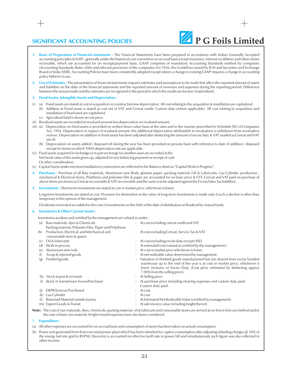

- 1. Basis of Preparation of Financial statements: The Financial Statements have been prepared in accordance with Indian Generally Accepted accounting principles (GAAP) , generally under the historical cost convention on accrual basis except insurance, Interest on debtors and other claims receivable, which are accounted for on receipt/payment basis. GAAP comprises of mandatory Accounting Standards notified by companies (Accounting Standards) Rules 2006 and relevant provisions of the companies Act 1956, the Guidelines issued by ICAI and Securities and Exchange Board of India (SEBI). Accounting Policies have been consistently adopted except where a change in existing GAAP requires a change in accounting policy hitherto in use.
- **2. Use of Estimates :** The presentation of financial statements requires estimates and assumptions to be made that affect the reported amount of assets and liabilities on the date of the financial statements and the reported amount of revenues and expenses during the reporting period. Difference between the actual results and the estimates are recognized in the period in which the results are known /materialised.

# **3. Fixed Assets, Intangible Assets and Depreciation :**

- (i) (a) Fixed assets are stated at cost of acquisition or construction less depreciation. All cost relating to the acquisition & installation are capitalized. (b) Addition in Fixed assets is stated at cost net of VAT and Cenvat credit, Custom duty (where applicable). All cost relating to acquisition and installation of fixed asset are capitalized.
	- (c) Agricultural land is shown at cost price.
- (ii) Revalued assets are recorded at revalued amount less depreciation on revalued amount.
- (iii) (a) Depreciation on fixed assets is provided on written down value basis at the rates and in the manner prescribed in Schedule XIV of Companies Act, 1956. Depreciation in respect of revalued amount, the additional depreciation attributable to revaluation is withdrawn from revaluation reserve. Depreciation on addition in fixed assets has been adjusted after deducting the amount of excise duty & VAT availed as Cenvat and VAT set off.
	- (b) Depreciation on assets added / disposed off during the year has been provided on prorata basis with reference to date of addition / disposed except for items on which 100% depreciation rate are applicable.
- (iv) Fixed assets acquired in exchange or in part exchange for another asset are recorded at the Net book value of the assets given up, adjusted for any balancing payment or receipt of cash Or other consideration.
- (v) Capital Assets under erection/installation/construction are reflected in the Balance sheet as "Capital Work in Progress".
- 4. Purchases : Purchase of all Raw materials, Aluminium wire Rods, glassine paper, packing material, Oil & Lubricants, Gas Cylinder, production , mechanical & Electrical stores, Polythene and polyester film & paper are accounted for on basic price & CST. Cenvat and VAT paid on purchase of above items are shown as Cenvat recoverable & VAT recoverable and the same is to be adjusted against the Excise/Sales Tax liabilities.
- **5. Investments :** Short term investments are stated at cost or market price, whichever is lower.

Long term Investments are stated at cost. Provision for diminution in the value of long-term investments is made only if such a decline is other than temporary in the opinion of the management.

Dividends reinvested are added to the cost of investments on the NAV of the date of distribution of dividend by mutual funds

# **6. Inventories & Other Current Assets :**

Inventories as taken and certified by the management are valued as under:

| (a) | Raw materials, dyes & Chemicals                                         | At cost excluding cenvat credit and VAT.                                                                                                                                                                                                                                     |
|-----|-------------------------------------------------------------------------|------------------------------------------------------------------------------------------------------------------------------------------------------------------------------------------------------------------------------------------------------------------------------|
|     | Packing material, Polyester Film, Paper and Polythene                   |                                                                                                                                                                                                                                                                              |
| (b) | Production, Electrical, and Mechanical and<br>consumable store & spares | : At cost excluding Cenvat, Service Tax & VAT                                                                                                                                                                                                                                |
| (C) | Oil & lubricants                                                        | : At cost excluding excise duty except HSD.                                                                                                                                                                                                                                  |
| (d) | Work in process                                                         | At estimated cost (valued as certified by the management.)                                                                                                                                                                                                                   |
| (e) | Aluminium wire rods                                                     | : At cost or market price whichever is lower.                                                                                                                                                                                                                                |
| (f) | Scrap & rejected goods                                                  | At net realizable value determined by management.                                                                                                                                                                                                                            |
| (g) | Finished goods                                                          | : Valuation of finished goods manufactured but not cleared from excise bonded<br>warehouse up to the end of the year is at cost or market price, whichever is<br>lower inclusive of Excise Duty. (Cost price estimated by deducting approx<br>7.00% from the selling price). |
| (h) | Stock at port & in transit                                              | : At Selling price                                                                                                                                                                                                                                                           |
|     | Stock in transit/ware house(Purchase)                                   | : At purchase price including clearing expenses and custom duty paid.<br>Custom duty paid.                                                                                                                                                                                   |
| (i) | DEPB licences Purchased                                                 | $:$ At cost.                                                                                                                                                                                                                                                                 |
| (k) | Gas Cylinder                                                            | $:$ At cost                                                                                                                                                                                                                                                                  |
| (1) | Returned Material outside factory                                       | At Estimated Net Realizable Value (certified by management).                                                                                                                                                                                                                 |
|     | (m) Export Goods in Transit                                             | At sale invoice value including freight thereof.                                                                                                                                                                                                                             |

**Note:** The cost of raw materials, dyes, chemicals, packing material, oil & lubricant and consumable stores are arrived at on first in first out method and in the case of basic raw material, freight inward expenses have also been considered.

# **7. Expenditure :**

(a) All other expenses are accounted for on accrual basis and consumption of stores has been taken on actual consumption.

(b) Power unit generated from Enercon wind power plant which has been wheeled for captive consumption after adjusting wheeling charges @ 10% of the energy fed into grid to RVPNL Discom(s) is accounted on effective tariff rate in power bill and simultaneously such figure was also reflected in other income.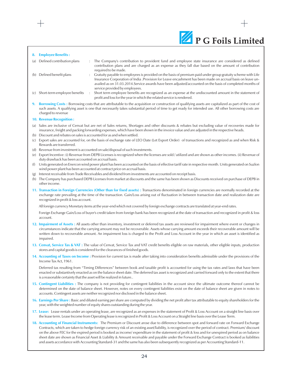# **P G Foils Limited**

| 8.  | <b>Employee Benefits:</b>                                                                                                                                                                                                                                                                                                                   |  |                                                                                                                                                                                                                                                                                                                                                                           |  |  |  |
|-----|---------------------------------------------------------------------------------------------------------------------------------------------------------------------------------------------------------------------------------------------------------------------------------------------------------------------------------------------|--|---------------------------------------------------------------------------------------------------------------------------------------------------------------------------------------------------------------------------------------------------------------------------------------------------------------------------------------------------------------------------|--|--|--|
| (a) | Defined contribution plans                                                                                                                                                                                                                                                                                                                  |  | The Company's contribution to provident fund and employee state insurance are considered as defined<br>contribution plans and are charged as an expense as they fall due based on the amount of contribution<br>required to be made.                                                                                                                                      |  |  |  |
|     | (b) Defined benefit plans                                                                                                                                                                                                                                                                                                                   |  | Gratuity payable to employees is provided on the basis of premium paid under group gratuity scheme with Life<br>Insurance Corporation of India . Provision for Leave encashment has been made on accrual basis on leave un-<br>availed as on 31.03.2014.Service awards have been adjusted/accounted on the basis of completed months of<br>service provided by employees. |  |  |  |
| (C) | Short-term employee benefits                                                                                                                                                                                                                                                                                                                |  | Short term employee benefits are recognized as an expense at the undiscounted amount in the statement of<br>profit and loss for the year in which the related service is rendered.                                                                                                                                                                                        |  |  |  |
| 9.  | <b>Borrowing Costs:</b> Borrowing costs that are attributable to the acquisition or construction of qualifying assets are capitalized as part of the cost of<br>such assets. A qualifying asset is one that necessarily takes substantial period of time to get ready for intended use. All other borrowing costs are<br>charged to revenue |  |                                                                                                                                                                                                                                                                                                                                                                           |  |  |  |
|     | 10. Revenue Recognition:                                                                                                                                                                                                                                                                                                                    |  |                                                                                                                                                                                                                                                                                                                                                                           |  |  |  |
| (a) | Sales are inclusive of Cenvat but are net of Sales returns, Shortages and other discounts & rebates but excluding value of recoveries made for                                                                                                                                                                                              |  |                                                                                                                                                                                                                                                                                                                                                                           |  |  |  |

- insurance, freight and packing forwarding expenses, which have been shown in the invoice value and are adjusted in the respective heads.
- (b) Discount and rebates on sales is accounted for as and when settled.
- (c) Export sales are accounted for, on the basis of exchange rate of LEO Date (Let Export Order) of transactions and recognized as and when Risk & Rewards are transferred.
- (d) Revenue from investment is accounted on sale/disposal of such investments.
- (e) Export Incentive: (i) Revenue from DEPB Licenses is recognized when the licenses are sold / utilized and are shown as other incomes. (ii) Revenue of duty drawback has been accounted on accrual basis.
- (f) Units generated on Enercon wind power plant has been accounted on the basis of effective tariff rate in respective month. Units generated on Suzlon wind power plant has been accounted at contract price on accrual basis.
- Interest receivable from Trade Receivables and dividend from investments are accounted on receipt basis.
- (h) The Company has purchased DEPB Licenses from market at discounts and the same has been shown as Discounts received on purchase of DEPB in other income.
- 11. Transaction in Foreign Currencies (Other than for fixed assets): Transactions denominated in foreign currencies are normally recorded at the exchange rate prevailing at the time of the transaction. Gain/Loss arising out of fluctuation in between transaction date and realization date are recognized in profit & loss account.

All foreign currency Monetary items at the year-end which not covered by foreign exchange contracts are translated at year-end rates.

Foreign Exchange Gain/Loss of buyer's credit taken from foreign bank has been recognized at the date of transaction and recognized in profit & loss account.

- **12. Impairment of Assets :**  All assets other than inventory, investment or deferred tax assets are reviewed for impairment where event or changes in circumstances indicate that the carrying amount may not be recoverable. Assets whose carrying amount exceeds their recoverable amount will be written down to recoverable amount. An impairment loss is charged to the Profit and Loss Account in the year in which an asset is identified as impaired.
- 13. Cenvat, Service Tax & VAT: The value of Cenvat, Service Tax and VAT credit benefits eligible on raw materials, other eligible inputs, production stores and capital goods is considered for the clearances of finished goods.
- **14. Accounting of Taxes on Income :**  Provision for current tax is made after taking into consideration benefits admissible under the provisions of the Income Tax Act, 1961.

Deferred tax resulting from "Timing Differences" between book and taxable profit is accounted for using the tax rates and laws that have been enacted or substantively enacted as on the balance sheet date. The deferred tax asset is recognized and carried forward only to the extent that there is a reasonable certainty that the asset will be realized in future..

- **15. Contingent Liabilities :**  The company is not providing for contingent liabilities in the account since the ultimate outcome thereof cannot be determined on the date of balance sheet. However, notes on every contingent liabilities exist on the date of balance sheet are given in notes to accounts. Contingent assets are neither recognized nor disclosed in the balance sheet.
- **16. Earnings Per Share :**  Basic and diluted earning per share are computed by dividing the net profit after tax attributable to equity shareholders for the year, with the weighted number of equity shares outstanding during the year.
- **17. Lease:**  Lease rentals under an operating lease, are recognized as an expenses in the statement of Profit & Loss Account on a straight line basis over the lease term. Lease Income from Operating lease is recognized in Profit & Loss Account on a Straight line basis over the Lease Term.
- **18. Accounting of Financial Instruments:**  The Premium or Discount arose due to difference between spot and forward rate on Forward Exchange Contracts, which are taken to hedge foreign currency risk of an existing asset/liability, is recognized over the period of contract. Premium/ discount on the above FEC for the expired period is booked as income/ expenditure in the statement of profit & loss and for unexpired period as on balance sheet date are shown as Financial Asset & Liability & Amount receivable and payable under the Forward Exchange Contract is booked as liabilities and assets accordance with Accounting Standard-31 and the same has also been subsequently recognized as per Accounting Standard-11.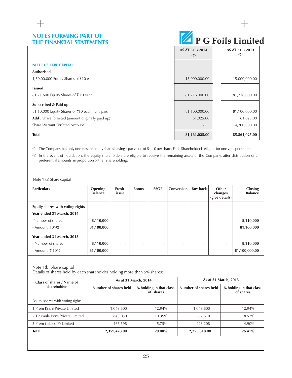# **NOTES FORMING PART OF**

 $\hspace{.011cm} +$ 



|                                                   | AS AT 31.3.2014<br>$(\overline{\zeta})$ | AS AT 31.3.2013<br>$(\overline{\zeta})$ |
|---------------------------------------------------|-----------------------------------------|-----------------------------------------|
| <b>NOTE 1 SHARE CAPITAL</b>                       |                                         |                                         |
| <b>Authorised</b>                                 |                                         |                                         |
| 1,50,00,000 Equity Shares of ₹10 each             | 15,000,000.00                           | 15,000,000.00                           |
| <b>Issued</b>                                     |                                         |                                         |
| 81,21,600 Equity Shares of ₹10 each               | 81,216,000.00                           | 81,216,000.00                           |
| Subscribed & Paid up                              |                                         |                                         |
| 81,10,000 Equity Shares of ₹10 each, fully paid   | 81,100,000.00                           | 81,100,000.00                           |
| Add : Share forfeited (amount originally paid up) | 61,025.00                               | 61,025.00                               |
| Share Warrant Forfitted Account                   |                                         | 4,700,000.00                            |
| <b>Total</b>                                      | 81,161,025.00                           | 85,861,025.00                           |

(i) The Company has only one class of equity shares having a par value of Rs. 10 per share. Each Shareholder is eligible for one vote per share.

(ii) In the event of liquidation, the equity shareholders are eligible to receive the remaining assets of the Company, after distribution of all preferential amounts, in proportion of their shareholding.

Note 1 (a) Share capital

| <b>Particulars</b>                                                                                     | Opening<br><b>Balance</b> | Fresh<br>issue | <b>Bonus</b>             | <b>ESOP</b>              | Conversion               | <b>Buy back</b> | Other<br>changes<br>(give details) | Closing<br><b>Balance</b>  |
|--------------------------------------------------------------------------------------------------------|---------------------------|----------------|--------------------------|--------------------------|--------------------------|-----------------|------------------------------------|----------------------------|
| Equity shares with voting rights<br>Year ended 31 March, 2014<br>-Number of shares<br>- Amount (10/-₹) | 8,110,000<br>81,100,000   | ۰              | $\overline{a}$           | -                        | $\overline{\phantom{a}}$ |                 |                                    | 8,110,000<br>81,100,000    |
| Year ended 31 March, 2013<br>- Number of shares<br>- Amount ( $\bar{\tau}$ 10/-)                       | 8,110,000<br>81,100,000   | -              | $\overline{\phantom{a}}$ | $\overline{\phantom{a}}$ | $\overline{\phantom{a}}$ |                 |                                    | 8,110,000<br>81,100,000.00 |

Note 1(b) Share capital

Details of shares held by each shareholder holding more than 5% shares:

| Class of shares / Name of        |                       | As at 31 March, 2014                 | As at 31 March, 2013  |                                      |  |  |
|----------------------------------|-----------------------|--------------------------------------|-----------------------|--------------------------------------|--|--|
| shareholder                      | Number of shares held | % holding in that class<br>of shares | Number of shares held | % holding in that class<br>of shares |  |  |
| Equity shares with voting rights |                       |                                      |                       |                                      |  |  |
| 1 Prem Krishi Private Limited    | 1,049,800             | 12.94%                               | 1,049,800             | 12.94%                               |  |  |
| 2 Tirumula Irons Private Limited | 843,030               | 10.39%                               | 782,610               | 8.57%                                |  |  |
| 3 Prem Cables (P) Limited        | 466,598               | 5.75%                                | 423,208               | 4.90%                                |  |  |
| <b>Total</b>                     | 2,359,428.00          | 29.08%                               | 2,255,618.00          | 26.41%                               |  |  |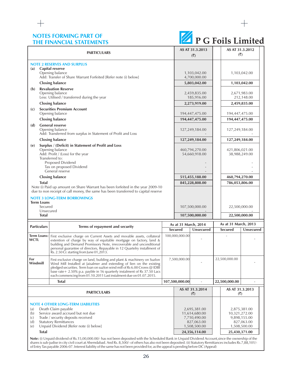$+$ 



 $\hspace{1.0cm} + \hspace{1.0cm}$ 

|     | <b>PARTICULARS</b>                                                                                                                                                                                 | AS AT 31.3.2013<br>$(\overline{\zeta})$ | AS AT 31.3.2012<br>$(\overline{\zeta})$ |
|-----|----------------------------------------------------------------------------------------------------------------------------------------------------------------------------------------------------|-----------------------------------------|-----------------------------------------|
| (a) | <b>NOTE 2 RESERVES AND SURPLUS</b><br>Capital reserve<br>Opening balance<br>Add: Transfer of Share Warrant Forfeited [Refer note (i) below]                                                        | 1,103,042.00<br>4,700,000.00            | 1,103,042.00                            |
|     | <b>Closing balance</b>                                                                                                                                                                             | 5,803,042.00                            | 1,103,042.00                            |
| (b) | <b>Revaluation Reserve</b><br>Opening balance<br>Less: Utilised / transferred during the year                                                                                                      | 2,459,835.00<br>185,916.00              | 2,671,983.00<br>212,148.00              |
|     | <b>Closing balance</b>                                                                                                                                                                             | 2,273,919.00                            | 2,459,835.00                            |
| (c) | <b>Securities Premium Account</b><br>Opening balance                                                                                                                                               | 194,447,475.00                          | 194,447,475.00                          |
|     | <b>Closing balance</b>                                                                                                                                                                             | 194,447,475.00                          | 194,447,475.00                          |
| (d) | <b>General reserve</b><br>Opening balance<br>Add: Transferred from surplus in Statement of Profit and Loss                                                                                         | 127,249,184.00                          | 127,249,184.00                          |
|     | <b>Closing balance</b>                                                                                                                                                                             | 127,249,184.00                          | 127,249,184.00                          |
| (e) | Surplus / (Deficit) in Statement of Profit and Loss<br>Opening balance<br>Add: Profit / (Loss) for the year<br>Transferred to:<br>Proposed Dividend<br>Tax on proposed Dividend<br>General reserve | 460,794,270.00<br>54,660,918.00         | 421,806,021.00<br>38,988,249.00         |
|     | <b>Closing balance</b>                                                                                                                                                                             | 515,455,188.00                          | 460,794,270.00                          |
|     | <b>Total</b>                                                                                                                                                                                       | 845,228,808.00                          | 786,053,806.00                          |
|     | Note (i) Paid up amount on Share Warrant has been forfeited in the year 2009-10<br>due to non receipt of call money, the same has been transferred to capital reserve                              |                                         |                                         |
|     | <b>NOTE 3 LONG-TERM BORROWINGS</b>                                                                                                                                                                 |                                         |                                         |
|     | <b>Term Loans</b><br>Secured<br>Unsecured                                                                                                                                                          | 107,500,000.00                          | 22,500,000.00                           |
|     | <b>Total</b>                                                                                                                                                                                       | 107,500,000.00                          | 22,500,000.00                           |

| <b>Particulars</b>                                                                                                                                                                                                                                                              | Terms of repayment and security                                                                                                                                                                                                                                                                                                                                                     |                                                                             |                | As at 31 March, 2014   |                                | As at 31 March, 2013                                       |           |
|---------------------------------------------------------------------------------------------------------------------------------------------------------------------------------------------------------------------------------------------------------------------------------|-------------------------------------------------------------------------------------------------------------------------------------------------------------------------------------------------------------------------------------------------------------------------------------------------------------------------------------------------------------------------------------|-----------------------------------------------------------------------------|----------------|------------------------|--------------------------------|------------------------------------------------------------|-----------|
|                                                                                                                                                                                                                                                                                 |                                                                                                                                                                                                                                                                                                                                                                                     |                                                                             | <b>Secured</b> | <b>Unsecured</b>       |                                | <b>Secured</b>                                             | Unsecured |
| <b>Term Loans:</b><br><b>WCTL</b>                                                                                                                                                                                                                                               | First exclusive charge on Current Assets and movable assets, collateral<br>extention of charge by way of equitable mortgage on factory, land &<br>building and Demand Promissory Note, irrecoverable and unconditional<br>personal guarantee of directors, Repayable in 12 Quartelry installment of<br>Rs. 2.50 Cr. starting from June 01, 2013.                                    |                                                                             | 100,000,000.00 |                        |                                |                                                            |           |
| For<br>Windmill                                                                                                                                                                                                                                                                 | First exclusive charge on land, building and plant & machinery on Suzlon<br>Wind Mill Installed at Jaisalmer and extending of lien on the existing<br>pledged securities. Term loan on suzlon wind mill of Rs 6.00 Crores @ IDBI<br>base rate + 2.50% p.a. payble in 16 quarterly instalment of Rs 37.50 Lacs<br>each commencing from 01.10.2011 Last instalment due on 01.07.2015. | 7,500,000.00                                                                |                |                        | 22,500,000.00                  |                                                            |           |
|                                                                                                                                                                                                                                                                                 | <b>Total</b>                                                                                                                                                                                                                                                                                                                                                                        |                                                                             | 107,500,000.00 |                        |                                | 22,500,000.00                                              |           |
|                                                                                                                                                                                                                                                                                 | <b>PARTICULARS</b>                                                                                                                                                                                                                                                                                                                                                                  | AS AT 31.3.2014<br>$(\overline{\zeta})$                                     |                | AS AT 31.3.2013<br>(₹) |                                |                                                            |           |
| <b>NOTE 4 OTHER LONG-TERM LIABILITIES</b><br>Death Claim payable<br>(a)<br>Service award accrued but not due<br>(b)<br>Trade / security deposits received<br>$\left( c\right)$<br>(d)<br><b>Statutory Remittances</b><br>Unpaid Dividend [Refer note (i) below]<br>(e)<br>Total |                                                                                                                                                                                                                                                                                                                                                                                     | 2,695,381.00<br>11,614,680.00<br>7,710,490.00<br>827,063.00<br>1,508,500.00 |                |                        | 10,321,272.00<br>25,430,371.00 | 2,875,381.00<br>9,898,155.00<br>827,063.00<br>1,508,500.00 |           |
|                                                                                                                                                                                                                                                                                 |                                                                                                                                                                                                                                                                                                                                                                                     |                                                                             |                | 24,356,114.00          |                                |                                                            |           |

**Note:** (i) Unpaid dividend of Rs.15,00,000.00/- has not been deposited with the Scheduled Bank in Unpaid Dividend Account,since the ownership of the shares is sub-judise in city civil court at Ahemdabad. And Rs. 8,500/- of others has also not been deposited. (ii) Statutory Remittances includes Rs.7,88,101/ of Entry Tax payable 2006-07. Interest liability of the same has not been provided for, as the appeal is pending before DC (Appeal)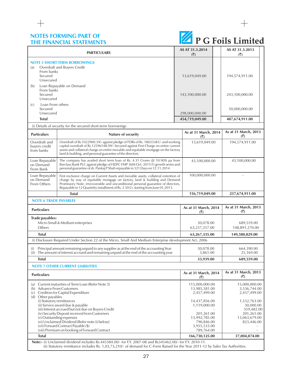

|                                                                                                                                                                                                                                                                                                                                                                                            | <b>PARTICULARS</b>                                                                                                                                                                                                                                                                                                             |               | AS AT 31.3.2014<br>$(\overline{\zeta})$                                                                  |                | AS AT 31.3.2013<br>$(\overline{\zeta})$                                                                          |
|--------------------------------------------------------------------------------------------------------------------------------------------------------------------------------------------------------------------------------------------------------------------------------------------------------------------------------------------------------------------------------------------|--------------------------------------------------------------------------------------------------------------------------------------------------------------------------------------------------------------------------------------------------------------------------------------------------------------------------------|---------------|----------------------------------------------------------------------------------------------------------|----------------|------------------------------------------------------------------------------------------------------------------|
| (a)<br>From banks<br>Secured<br>Unsecured                                                                                                                                                                                                                                                                                                                                                  | <b>NOTE 5 SHORT-TERM BORROWINGS</b><br>Overdraft and Buyers Credit                                                                                                                                                                                                                                                             | 13,619,049.00 |                                                                                                          |                | 194,574,911.00                                                                                                   |
| (b)<br>From banks<br>Secured<br>Unsecured                                                                                                                                                                                                                                                                                                                                                  | Loan Repayable on Demand                                                                                                                                                                                                                                                                                                       |               | 143,100,000.00                                                                                           |                | 243,100,000.00                                                                                                   |
| Loan From others<br>(c)<br>Secured<br>Unsecured                                                                                                                                                                                                                                                                                                                                            |                                                                                                                                                                                                                                                                                                                                |               | 298,000,000.00                                                                                           |                | 50,000,000.00                                                                                                    |
| <b>Total</b>                                                                                                                                                                                                                                                                                                                                                                               |                                                                                                                                                                                                                                                                                                                                |               | 454,719,049.00                                                                                           |                | 487,674,911.00                                                                                                   |
|                                                                                                                                                                                                                                                                                                                                                                                            | (i) Details of security for the secured short-term borrowings:                                                                                                                                                                                                                                                                 |               |                                                                                                          |                |                                                                                                                  |
| <b>Particulars</b>                                                                                                                                                                                                                                                                                                                                                                         | Nature of security                                                                                                                                                                                                                                                                                                             |               | As at 31 March, 2014<br>(3)                                                                              |                | As at 31 March, 2013<br>(₹)                                                                                      |
| Overdraft and<br>buyers credit<br>from banks                                                                                                                                                                                                                                                                                                                                               | Overdraft of Rs 1022900.39/- against pledge of FDRs of Rs. 18033381/- and working<br>capital overdraft of Rs.12596148.99/- Secured against First Charge on entire current<br>assets and collateral charge on entire movable and equitable mortgage on the factory<br>land & building, and personal guarantee of the directors. |               | 13,619,049.00                                                                                            | 194,574,911.00 |                                                                                                                  |
| Loan Repayable<br>on Demand<br>From Bank                                                                                                                                                                                                                                                                                                                                                   | The company has availed short term loan of Rs. 4.31 Crores $@$ 10.90% pa from<br>Barclays Bank PLC against pledge of HDFC FMP 36M Oct. 2011(1) growth series and<br>personal guarantee of sh. Pankaj P Shah repayable in 321 Days on 12.11.2014                                                                                |               | 43,100,000.00                                                                                            |                | 43,100,000.00                                                                                                    |
| Loan Repayable<br>First exclusive charge on Current Assets and movable assets, collateral extention of<br>on Demand<br>charge by way of equitable mortgage on factory, land & building and Demand<br>Promissory Note, irrecoverable and unconditional personal guarantee of directors,<br>From Others<br>Repayable in 12 Quartelry installment of Rs. 2.50 Cr. starting from June 01,2013. |                                                                                                                                                                                                                                                                                                                                |               | 100,000,000.00                                                                                           |                |                                                                                                                  |
|                                                                                                                                                                                                                                                                                                                                                                                            | <b>Total</b>                                                                                                                                                                                                                                                                                                                   |               |                                                                                                          | 156,719,049.00 | 237,674,911.00                                                                                                   |
| <b>NOTE 6 TRADE PAYABLES</b>                                                                                                                                                                                                                                                                                                                                                               |                                                                                                                                                                                                                                                                                                                                |               |                                                                                                          |                |                                                                                                                  |
| <b>Particulars</b>                                                                                                                                                                                                                                                                                                                                                                         |                                                                                                                                                                                                                                                                                                                                |               | As at 31 March, 2014<br>$(\overline{\zeta})$                                                             |                | As at 31 March, 2013<br>(₹)                                                                                      |
| Trade payables:<br>Others                                                                                                                                                                                                                                                                                                                                                                  | Micro Small & Medium enterprises                                                                                                                                                                                                                                                                                               |               | 30,078.00<br>63,237,257.00                                                                               |                | 689,559.00<br>148,891,270.00                                                                                     |
| <b>Total</b>                                                                                                                                                                                                                                                                                                                                                                               |                                                                                                                                                                                                                                                                                                                                |               | 63,267,335.00                                                                                            |                | 149,580,829.00                                                                                                   |
|                                                                                                                                                                                                                                                                                                                                                                                            | (i) Disclosure Required Under Section 22 of the Micro, Small And Medium Enterprise development Act, 2006                                                                                                                                                                                                                       |               |                                                                                                          |                |                                                                                                                  |
| $\left( 1\right)$                                                                                                                                                                                                                                                                                                                                                                          | Principal amount remaining unpaid to any supplier as at the end of the accounting Year<br>(ii) The amount of interest accrued and remaining unpaid at the end of the accounting year                                                                                                                                           |               | 30,078.00<br>3,861.00                                                                                    |                | 664,390.00<br>25,169.00                                                                                          |
| <b>Total</b>                                                                                                                                                                                                                                                                                                                                                                               |                                                                                                                                                                                                                                                                                                                                |               | 33,939.00                                                                                                |                | 689,559.00                                                                                                       |
|                                                                                                                                                                                                                                                                                                                                                                                            | <b>NOTE 7 OTHER CURRENT LIABILITIES</b>                                                                                                                                                                                                                                                                                        |               |                                                                                                          |                |                                                                                                                  |
| <b>Particulars</b>                                                                                                                                                                                                                                                                                                                                                                         |                                                                                                                                                                                                                                                                                                                                |               | As at 31 March, 2014<br>$(\overline{\zeta})$                                                             |                | As at 31 March, 2013<br>$(\overline{\zeta})$                                                                     |
| (a) Current maturities of Term Loan (Refer Note 3)<br>(b) Advance From Customers<br>Creditors for Capital Expenditure<br>$\left( c\right)$<br>(d) Other payables                                                                                                                                                                                                                           |                                                                                                                                                                                                                                                                                                                                |               | 115,000,000.00<br>13,985,581.00<br>2,457,499.00                                                          |                | 15,000,000.00<br>3,536,744.00<br>2,457,499.00                                                                    |
| (i) Statutory remittances<br>(ii) Service award due & payable<br>(iii) Interest accrued but not due on Buyers Credit<br>(iv) Security Deposit received from Customers<br>(v) Outstanding expenses<br>(vi) Unclaimed Dividend [Refer note (i) below]<br>(vii) Forward Contract Payable (\$)<br>(viii) Premium on booking of Forward Contract                                                |                                                                                                                                                                                                                                                                                                                                |               | 14,437,856.00<br>1,119,000.00<br>201,261.00<br>13,992,785.00<br>790,846.00<br>3,955,533.00<br>789,764.00 |                | 1,532,763.00<br>30,000.00<br>359,482.00<br>201,261.00<br>13,063,679.00<br>823,446.00<br>$\overline{\phantom{a}}$ |
| <b>Total</b>                                                                                                                                                                                                                                                                                                                                                                               | Note:- (i) Unclaimed dividend includes Rs.445384.00/- for F.Y. 2007-08 and Rs345462.00/- for F.Y. 2010-11.                                                                                                                                                                                                                     |               | 166,730,125.00                                                                                           |                | 37,004,874.00                                                                                                    |

(ii) Statutory remittance includes Rs. 1,03,73,210/- of demand for C-Form Raised for the Year 2011-12 by Sales Tax Authorities.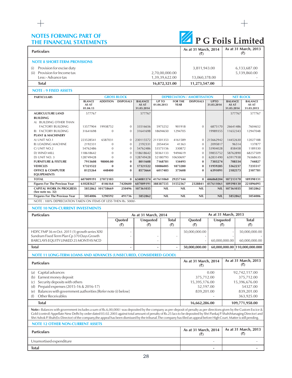

| <b>Particulars</b>                  |                | As at 31 March, 2014 | As at 31 March, 2013<br>(₹) |  |  |  |  |
|-------------------------------------|----------------|----------------------|-----------------------------|--|--|--|--|
| <b>NOTE 8 SHORT-TERM PROVISIONS</b> |                |                      |                             |  |  |  |  |
| Provision for excise duty<br>(i)    |                | 3,811,943.00         | 6,133,687.00                |  |  |  |  |
| (ii) Provision for Income tax       | 2,70,00,000.00 |                      | 5,139,860.00                |  |  |  |  |
| Less:- Advance tax                  | 1,39,39,622.00 | 13,060,378.00        |                             |  |  |  |  |
| Total                               | 16,872,321.00  | 11,273,547.00        |                             |  |  |  |  |

# **NOTE : 9 FIXED ASSETS**

 $+$ 

| <b>PARTICULARS</b>                                                                                                                                                                                                                                                                                                                                                                                                                                                                                                               |                                    |                 | <b>GROSS BLOCK</b>           |                                       |                     |                               |            | <b>DEPRECIATION / AMORTISATION</b>           |                           |                                       | <b>NET BLOCK</b>                             |
|----------------------------------------------------------------------------------------------------------------------------------------------------------------------------------------------------------------------------------------------------------------------------------------------------------------------------------------------------------------------------------------------------------------------------------------------------------------------------------------------------------------------------------|------------------------------------|-----------------|------------------------------|---------------------------------------|---------------------|-------------------------------|------------|----------------------------------------------|---------------------------|---------------------------------------|----------------------------------------------|
|                                                                                                                                                                                                                                                                                                                                                                                                                                                                                                                                  | <b>BLANCE</b><br>AS AT<br>01.04.13 | <b>ADDITION</b> | <b>DISPOSALS</b>             | <b>BALANCE</b><br>AS AT<br>31.03.2014 | UP TO<br>01.04.2013 | <b>FOR THE</b><br><b>YEAR</b> |            | <b>DISPOSALS</b>                             | <b>UPTO</b><br>31.03.2014 | <b>BALANCE</b><br>AS AT<br>31.03.2014 | <b>BALANCE</b><br>AS AT<br>31.03.2013        |
|                                                                                                                                                                                                                                                                                                                                                                                                                                                                                                                                  |                                    |                 |                              |                                       |                     |                               |            |                                              |                           |                                       |                                              |
| <b>AGRICULTURE LAND</b>                                                                                                                                                                                                                                                                                                                                                                                                                                                                                                          | 577767                             |                 |                              | 577767                                |                     |                               |            |                                              |                           | 577767                                | 577767                                       |
| <b>BUILDING</b>                                                                                                                                                                                                                                                                                                                                                                                                                                                                                                                  |                                    |                 |                              |                                       |                     |                               |            |                                              |                           |                                       |                                              |
| A) BUILDING OTHER THAN                                                                                                                                                                                                                                                                                                                                                                                                                                                                                                           |                                    |                 |                              |                                       |                     |                               |            |                                              |                           |                                       |                                              |
| <b>FACTORY BUILDING</b>                                                                                                                                                                                                                                                                                                                                                                                                                                                                                                          | 13577904                           | 19938752        | $\mathbf 0$                  | 33516656                              | 5973252             |                               | 901918     | $\mathbf{0}$                                 | 6875170                   | 26641486                              | 7604652                                      |
| <b>B) FACTORY BUILDING</b>                                                                                                                                                                                                                                                                                                                                                                                                                                                                                                       | 31641698                           |                 | $\mathbf{0}$<br>$\mathbf{0}$ | 31641698                              | 18694650            |                               | 1294705    |                                              | 19989355                  | 11652343                              | 12947048                                     |
| <b>PLANT &amp; MACHINERY</b>                                                                                                                                                                                                                                                                                                                                                                                                                                                                                                     |                                    |                 |                              |                                       |                     |                               |            |                                              |                           |                                       |                                              |
| A) UNIT NO.1                                                                                                                                                                                                                                                                                                                                                                                                                                                                                                                     | 223528541                          | 6587031         | $\mathbf{0}$                 | 230115572                             | 211501353           |                               | 4161589    | $\mathbf{0}$                                 | 215662942                 | 14452630                              | 12027188                                     |
| <b>B) LOADING MACHINE</b>                                                                                                                                                                                                                                                                                                                                                                                                                                                                                                        | 2192331                            |                 | $\mathbf{0}$<br>$\mathbf{0}$ | 2192331                               | 2054454             |                               | 41363      | $\mathbf{0}$                                 | 2095817                   | 96514                                 | 137877                                       |
| C) UNIT NO.2                                                                                                                                                                                                                                                                                                                                                                                                                                                                                                                     | 54762486                           |                 | $\mathbf{0}$<br>$\mathbf{0}$ | 54762486                              | 53573156            |                               | 330872     | $\mathbf{0}$                                 | 53904028                  | 858458                                | 1189330                                      |
| D) WIND MILL                                                                                                                                                                                                                                                                                                                                                                                                                                                                                                                     | 118618642                          |                 | $\mathbf{0}$<br>$\mathbf{0}$ | 118618642                             | 50361133            |                               | 9494619    | $\mathbf{0}$                                 | 59855752                  | 58762890                              | 68257509                                     |
| D) UNIT NO. 3                                                                                                                                                                                                                                                                                                                                                                                                                                                                                                                    | 128749428                          |                 | $\mathbf{0}$<br>$\mathbf{0}$ | 128749428                             | 52180793            | 10650697                      |            | $\mathbf{0}$                                 | 62831490                  | 65917938                              | 76568635                                     |
| <b>FURNITURE &amp; FIXTURE</b>                                                                                                                                                                                                                                                                                                                                                                                                                                                                                                   | 7913608                            | 98000.00        | $\bf{0}$                     | 8011608                               | 7168781             |                               | 134493     | $\bf{0}$                                     | 7303274                   | 708334                                | 744827                                       |
| <b>VEHICLES</b>                                                                                                                                                                                                                                                                                                                                                                                                                                                                                                                  | 17321522                           |                 | $\bf{0}$<br>$\bf{0}$         | 17321522                              | 10086005            |                               | 1873280    | $\bf{0}$                                     | 11959285                  | 5362237                               | 7235517                                      |
| <b>OFFICE &amp; COMPUTER</b>                                                                                                                                                                                                                                                                                                                                                                                                                                                                                                     | 8125264                            | 448400          | $\bf{0}$                     | 8573664                               | 6017483             |                               | 373608     | $\bf{0}$                                     | 6391091                   | 2182573                               | 2107781                                      |
| <b>EQUIPEMENTS</b>                                                                                                                                                                                                                                                                                                                                                                                                                                                                                                               |                                    |                 |                              |                                       |                     |                               |            |                                              |                           |                                       |                                              |
| <b>TOTAL</b>                                                                                                                                                                                                                                                                                                                                                                                                                                                                                                                     | 607009191                          | 27072183        | $\bf{0}$                     | 634081374                             | 417611060           | 29257144                      |            | $\bf{0}$                                     | 446868204                 | 187213170                             | 189398131                                    |
| <b>Figures For The Previous Year</b>                                                                                                                                                                                                                                                                                                                                                                                                                                                                                             | 610283627                          | 4146164         | 7420600                      | 607009191                             | 388387535           | 31552367                      |            | 2328841                                      | 417611061                 | 189398130                             | 221896093                                    |
| <b>CAPITAL WORK IN PROGRESS</b><br>(See note no. 32)                                                                                                                                                                                                                                                                                                                                                                                                                                                                             | 5852862 101758669                  |                 | 250496                       | 107361035                             | <b>NIL</b>          |                               | <b>NIL</b> | <b>NIL</b>                                   | <b>NIL</b>                | 107361035                             | 5852862                                      |
| <b>Firgures For The Previous Year</b>                                                                                                                                                                                                                                                                                                                                                                                                                                                                                            | 5054006                            | 1290592         | 491736                       | 5852862                               | <b>NIL</b>          |                               | <b>NIL</b> | <b>NIL</b>                                   | <b>NIL</b>                | 5852862                               | 5054006                                      |
| NOTE: 100% DEPRECIATION TAKEN ON ITEMS OF LESS THEN Rs. 5000/-                                                                                                                                                                                                                                                                                                                                                                                                                                                                   |                                    |                 |                              |                                       |                     |                               |            |                                              |                           |                                       |                                              |
| <b>NOTE 10 NON-CURRENT INVESTMENTS</b>                                                                                                                                                                                                                                                                                                                                                                                                                                                                                           |                                    |                 |                              |                                       |                     |                               |            |                                              |                           |                                       |                                              |
| <b>Particulars</b>                                                                                                                                                                                                                                                                                                                                                                                                                                                                                                               |                                    |                 |                              | As at 31 March, 2014                  |                     |                               |            |                                              | As at 31 March, 2013      |                                       |                                              |
|                                                                                                                                                                                                                                                                                                                                                                                                                                                                                                                                  |                                    |                 | Quoted                       | Unquoted                              |                     | <b>Total</b>                  |            | Quoted                                       | Unquoted                  |                                       | <b>Total</b>                                 |
|                                                                                                                                                                                                                                                                                                                                                                                                                                                                                                                                  |                                    |                 | (3)                          | $(\overline{\zeta})$                  |                     | $(\overline{\zeta})$          |            | $(\overline{\zeta})$                         | (3)                       |                                       | $(\overline{\zeta})$                         |
| HDFC FMP 36 m Oct. 2011 (1) growth series XIXI                                                                                                                                                                                                                                                                                                                                                                                                                                                                                   |                                    |                 |                              |                                       |                     |                               |            | 50,000,000.00                                |                           |                                       | 50,000,000.00                                |
| Sundram Fixed Term Plan Cp 370 Days Growth                                                                                                                                                                                                                                                                                                                                                                                                                                                                                       |                                    |                 |                              |                                       |                     | $\overline{a}$                |            |                                              |                           |                                       |                                              |
| BARCLAYS EQUITY LINKED 25 MONTHS NCD                                                                                                                                                                                                                                                                                                                                                                                                                                                                                             |                                    |                 |                              |                                       |                     |                               |            |                                              | 60,000,000.00             |                                       | 60,000,000.00                                |
| <b>Total</b>                                                                                                                                                                                                                                                                                                                                                                                                                                                                                                                     |                                    |                 |                              |                                       |                     |                               |            | 50,000,000.00                                |                           |                                       | 60,000,000.00 110,000,000.000                |
|                                                                                                                                                                                                                                                                                                                                                                                                                                                                                                                                  |                                    |                 |                              |                                       |                     |                               |            |                                              |                           |                                       |                                              |
| NOTE 11 LONG-TERM LOANS AND ADVANCES (UNSECURED, CONSIDERED GOOD)                                                                                                                                                                                                                                                                                                                                                                                                                                                                |                                    |                 |                              |                                       |                     |                               |            |                                              |                           |                                       |                                              |
|                                                                                                                                                                                                                                                                                                                                                                                                                                                                                                                                  |                                    |                 |                              |                                       |                     |                               |            | As at 31 March, 2014                         |                           |                                       | As at 31 March, 2013                         |
| <b>Particulars</b>                                                                                                                                                                                                                                                                                                                                                                                                                                                                                                               |                                    |                 |                              |                                       |                     |                               |            | $(\overline{\zeta})$                         |                           |                                       | $(\overline{\zeta})$                         |
|                                                                                                                                                                                                                                                                                                                                                                                                                                                                                                                                  |                                    |                 |                              |                                       |                     |                               |            |                                              |                           |                                       |                                              |
| (a) Capital advances                                                                                                                                                                                                                                                                                                                                                                                                                                                                                                             |                                    |                 |                              |                                       |                     |                               |            |                                              | 0.00                      |                                       | 92,742,117.00                                |
| Earnest money deposit<br>(b)                                                                                                                                                                                                                                                                                                                                                                                                                                                                                                     |                                    |                 |                              |                                       |                     |                               |            | 375,712.00                                   |                           |                                       | 375,712.00                                   |
| Security deposits with others<br>(c)                                                                                                                                                                                                                                                                                                                                                                                                                                                                                             |                                    |                 |                              |                                       |                     |                               |            | 15,395,176.00                                |                           |                                       | 15,396,676.00                                |
| Prepaid expenses (2015-16 & 2016-17)<br>(d)                                                                                                                                                                                                                                                                                                                                                                                                                                                                                      |                                    |                 |                              |                                       |                     |                               |            | 52,197.00                                    |                           |                                       | 54327.00                                     |
| Balances with government authorities [Refer note (i) below]<br>(e)                                                                                                                                                                                                                                                                                                                                                                                                                                                               |                                    |                 |                              |                                       |                     |                               |            | 839,201.00                                   |                           |                                       | 839,201.00                                   |
| <b>Other Receivables</b><br>(f)                                                                                                                                                                                                                                                                                                                                                                                                                                                                                                  |                                    |                 |                              |                                       |                     |                               |            |                                              |                           |                                       | 363,925.00                                   |
| <b>Total</b>                                                                                                                                                                                                                                                                                                                                                                                                                                                                                                                     |                                    |                 |                              |                                       |                     |                               |            | 16,662,286.00                                |                           |                                       | 109,771,958.00                               |
|                                                                                                                                                                                                                                                                                                                                                                                                                                                                                                                                  |                                    |                 |                              |                                       |                     |                               |            |                                              |                           |                                       |                                              |
| Note:- Balances with government includes a sum of Rs.6,00,000/- was deposited by the company as pre-deposit of penalty as per directions given by the Custom Excice &<br>Gold (control) Appellate New Delhi by order dated 03.02.2003 against total amount of penalty of Rs.25 lacs to be deposited by Shri Pankaj P. Shah(Managing Director) and<br>Shri Ashok P. Shah (Ex-Director) of the company, the appeal has been dismissed by the tribunal. The company has filed an appeal before High Court. Matter is still pending. |                                    |                 |                              |                                       |                     |                               |            |                                              |                           |                                       |                                              |
| <b>NOTE 12 OTHER NON-CURRENT ASSETS</b>                                                                                                                                                                                                                                                                                                                                                                                                                                                                                          |                                    |                 |                              |                                       |                     |                               |            |                                              |                           |                                       |                                              |
| <b>Particulars</b>                                                                                                                                                                                                                                                                                                                                                                                                                                                                                                               |                                    |                 |                              |                                       |                     |                               |            | As at 31 March, 2014<br>$(\overline{\zeta})$ |                           |                                       | As at 31 March, 2013<br>$(\overline{\zeta})$ |
| Unamortised expenditure                                                                                                                                                                                                                                                                                                                                                                                                                                                                                                          |                                    |                 |                              |                                       |                     |                               |            |                                              |                           |                                       |                                              |
| <b>Total</b>                                                                                                                                                                                                                                                                                                                                                                                                                                                                                                                     |                                    |                 |                              |                                       |                     |                               |            |                                              | $\blacksquare$            |                                       | $\overline{a}$                               |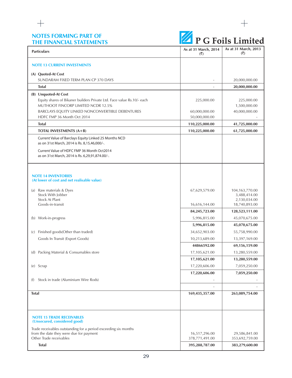

 $+$ 



 $\boldsymbol{+}$ 

| <b>Particulars</b>                                                                                                                                                                                     | As at 31 March, 2014<br>$(\overline{\zeta})$ | As at 31 March, 2013<br>$(\overline{\zeta})$ |
|--------------------------------------------------------------------------------------------------------------------------------------------------------------------------------------------------------|----------------------------------------------|----------------------------------------------|
| <b>NOTE 13 CURRENT INVESTMENTS</b>                                                                                                                                                                     |                                              |                                              |
| (A) Quoted-At Cost                                                                                                                                                                                     |                                              |                                              |
| SUNDARAM FIXED TERM PLAN CP 370 DAYS                                                                                                                                                                   |                                              | 20,000,000.00                                |
| <b>Total</b>                                                                                                                                                                                           | $\sim$                                       | 20,000,000.00                                |
| (B) Unquoted-At Cost                                                                                                                                                                                   |                                              |                                              |
| Equity shares of Bikaner builders Private Ltd. Face value Rs.10/- each<br>MUTHOOT FINCORP LIMITED NCDR 12.5%                                                                                           | 225,000.00                                   | 225,000.00                                   |
| BARCLAYS EQUITY LINKED NONCONVERTIBLE DEBENTURES                                                                                                                                                       | 60,000,000.00                                | 1,500,000.00<br>40,000,000.00                |
| HDFC FMP 36 Month Oct 2014                                                                                                                                                                             | 50,000,000.00                                |                                              |
| <b>Total</b>                                                                                                                                                                                           | 110,225,000.00                               | 41,725,000.00                                |
| <b>TOTAL INVESTMENTS (A+B)</b>                                                                                                                                                                         | 110,225,000.00                               | 61,725,000.00                                |
| Current Value of Barclays Equity Linked 25 Months NCD<br>as on 31st March, 2014 is Rs. 8,15,46,000/-.<br>Current Value of HDFC FMP 36 Month Oct2014<br>as on 31st March, 2014 is Rs. 6,29,91,874.00/-. |                                              |                                              |
| <b>NOTE 14 INVENTORIES</b><br>(At lower of cost and net realisable value)                                                                                                                              |                                              |                                              |
| (a) Raw materials & Dyes                                                                                                                                                                               | 67,629,579.00                                | 104,163,770.00                               |
| Stock With Jobber                                                                                                                                                                                      |                                              | 3,488,414.00                                 |
| Stock At Plant<br>Goods-in-transit                                                                                                                                                                     | 16,616,144.00                                | 2,130,034.00<br>18,740,893.00                |
|                                                                                                                                                                                                        | 84,245,723.00                                | 128,523,111.00                               |
| (b) Work-in-progress                                                                                                                                                                                   | 5,996,815.00                                 | 45,070,675.00                                |
|                                                                                                                                                                                                        | 5,996,815.00                                 | 45,070,675.00                                |
| Finished goods(Other than traded)<br>$\left( c\right)$                                                                                                                                                 | 34,652,903.00                                | 55,758,990.00                                |
| Goods In Transit (Export Goods)                                                                                                                                                                        | 10,213,689.00                                | 13,397,169.00                                |
|                                                                                                                                                                                                        | 44866592.00                                  | 69,156,159.00                                |
| (d) Packing Material & Consumables store                                                                                                                                                               | 17,105,621.00                                | 13,280,559.00                                |
|                                                                                                                                                                                                        | 17,105,621.00                                | 13,280,559.00                                |
| (e) Scrap                                                                                                                                                                                              | 17,220,606.00                                | 7,059,250.00                                 |
|                                                                                                                                                                                                        | 17,220,606.00                                | 7,059,250.00                                 |
| Stock in trade (Aluminium Wire Rods)<br>(t)                                                                                                                                                            |                                              |                                              |
|                                                                                                                                                                                                        |                                              |                                              |
| <b>Total</b>                                                                                                                                                                                           | 169,435,357.00                               | 263,089,754.00                               |
|                                                                                                                                                                                                        |                                              |                                              |
| <b>NOTE 15 TRADE RECEIVABLES</b><br>(Unsecured, considered good)                                                                                                                                       |                                              |                                              |
| Trade receivables outstanding for a period exceeding six months                                                                                                                                        |                                              |                                              |
| from the date they were due for payment<br>Other Trade receivables                                                                                                                                     | 16,517,296.00<br>378,771,491.00              | 29,586,841.00<br>353,692,759.00              |
| <b>Total</b>                                                                                                                                                                                           | 395,288,787.00                               | 383,279,600.00                               |
|                                                                                                                                                                                                        |                                              |                                              |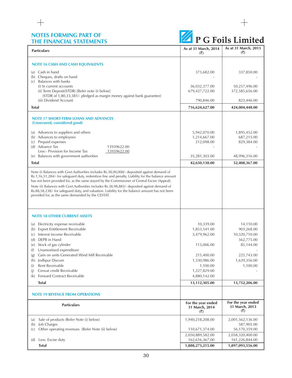

| <b>Particulars</b>                                                                                                                                                                                                                                                                                                                                   | As at 31 March, 2014<br>(3)                                  | As at 31 March, 2013<br>$(\overline{\zeta})$                 |
|------------------------------------------------------------------------------------------------------------------------------------------------------------------------------------------------------------------------------------------------------------------------------------------------------------------------------------------------------|--------------------------------------------------------------|--------------------------------------------------------------|
|                                                                                                                                                                                                                                                                                                                                                      |                                                              |                                                              |
| <b>NOTE 16 CASH AND CASH EQUIVALENTS</b>                                                                                                                                                                                                                                                                                                             |                                                              |                                                              |
| (a) Cash in hand<br>(b) Cheques, drafts on hand                                                                                                                                                                                                                                                                                                      | 373,682.00                                                   | 337,850.00                                                   |
| Balances with banks<br>(c)                                                                                                                                                                                                                                                                                                                           |                                                              |                                                              |
| (i) In current accounts                                                                                                                                                                                                                                                                                                                              | 36,032,377.00                                                | 50,257,496.00                                                |
| (ii) Term Deposit(STDR) [Refer note (i) below]                                                                                                                                                                                                                                                                                                       | 679,427,722.00                                               | 372,585,656.00                                               |
| (STDR of 1,80,33,381/- pledged as margin money against bank guarantee)<br>(iii) Dividend Account                                                                                                                                                                                                                                                     | 790,846.00                                                   | 823,446.00                                                   |
| <b>Total</b>                                                                                                                                                                                                                                                                                                                                         | 716,624,627.00                                               | 424,004,448.00                                               |
|                                                                                                                                                                                                                                                                                                                                                      |                                                              |                                                              |
| <b>NOTE 17 SHORT-TERM LOANS AND ADVANCES</b><br>(Unsecured, considered good)                                                                                                                                                                                                                                                                         |                                                              |                                                              |
| (a) Advances to suppliers and others                                                                                                                                                                                                                                                                                                                 | 5,942,070.00                                                 | 1,895,452.00                                                 |
| (b) Advances to employees                                                                                                                                                                                                                                                                                                                            | 1,214,667.00                                                 | 687,215.00                                                   |
| (c) Prepaid expenses                                                                                                                                                                                                                                                                                                                                 | 212,098.00                                                   | 829,384.00                                                   |
| (d) Advance Tax<br>13939622.00<br>Less:- Provision for Income Tax<br>13939622.00                                                                                                                                                                                                                                                                     |                                                              |                                                              |
| Balances with government authorities<br>(e)                                                                                                                                                                                                                                                                                                          | 35,281,303.00                                                | 48,996,316.00                                                |
| <b>Total</b>                                                                                                                                                                                                                                                                                                                                         | 42,650,138.00                                                | 52,408,367.00                                                |
| has not been provided for, as the same stayed by the Commisioner of Central Excise (Appeal).<br>Note (ii) Balances with Govt.Authorities includes Rs.38,98,883/- deposited against demand of<br>Rs.88,58,238/- for safeguard duty, and valuation. Liability for the balance amount has not been<br>provided for, as the same demanded by the CESTAT. |                                                              |                                                              |
| <b>NOTE 18 OTHER CURRENT ASSETS</b>                                                                                                                                                                                                                                                                                                                  |                                                              |                                                              |
| (a) Electricity expense receivable                                                                                                                                                                                                                                                                                                                   | 10,339.00                                                    | 14,110.00                                                    |
| <b>Export Entitlement Receivable</b><br>(b)                                                                                                                                                                                                                                                                                                          | 1,853,541.00                                                 | 903,268.00                                                   |
| Interest income Receivable<br>(c)<br>DEPB in Hand                                                                                                                                                                                                                                                                                                    | 3,479,962.00                                                 | 10,320,710.00                                                |
| (d)<br>Stock of gas cylinder<br>(e)                                                                                                                                                                                                                                                                                                                  | 113,006.00                                                   | 562,775.00<br>85,144.00                                      |
| Unamortised expenditure<br>(f)                                                                                                                                                                                                                                                                                                                       |                                                              |                                                              |
| Gain on units Generated Wind Mill Receivable<br>(g)                                                                                                                                                                                                                                                                                                  | 215,400.00                                                   | 225,743.00                                                   |
| (h) Jodhpur Discom                                                                                                                                                                                                                                                                                                                                   | 1,330,986.00                                                 | 1,639,356.00                                                 |
| Rent Receivable<br>(i)                                                                                                                                                                                                                                                                                                                               | 1,100.00                                                     | 1,100.00                                                     |
| Cenvat credit Receivable<br>(i)<br>Forward Contract Receivable<br>(k)                                                                                                                                                                                                                                                                                | 1,227,829.00<br>4,880,142.00                                 |                                                              |
| <b>Total</b>                                                                                                                                                                                                                                                                                                                                         | 13,112,305.00                                                | 13,752,206.00                                                |
|                                                                                                                                                                                                                                                                                                                                                      |                                                              |                                                              |
| <b>NOTE 19 REVENUE FROM OPERATIONS</b>                                                                                                                                                                                                                                                                                                               |                                                              |                                                              |
| <b>Particulars</b>                                                                                                                                                                                                                                                                                                                                   | For the year ended<br>31 March, 2014<br>$(\overline{\zeta})$ | For the year ended<br>31 March, 2013<br>$(\overline{\zeta})$ |
| Sale of products (Refer Note (i) below)<br>(a)                                                                                                                                                                                                                                                                                                       | 1,940,218,208.00                                             | 2,001,562,136.00                                             |
| Job Charges<br>(b)                                                                                                                                                                                                                                                                                                                                   |                                                              | 587,905.00                                                   |
| Other operating revenues (Refer Note (ii) below)<br>$\left( c\right)$                                                                                                                                                                                                                                                                                | 110,671,374.00                                               | 56,170,359.00                                                |
| Less: Excise duty<br>(d)                                                                                                                                                                                                                                                                                                                             | 2,050,889,582.00<br>162,616,367.00                           | 2,058,320,400.00<br>161,226,844.00                           |
| <b>Total</b>                                                                                                                                                                                                                                                                                                                                         | 1,888,273,215.00                                             | 1,897,093,556.00                                             |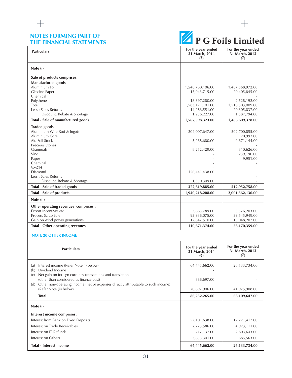$+$ 



 $\boldsymbol{+}$ 

| <b>Particulars</b>                                                                                                  | For the year ended<br>31 March, 2014<br>$(\overline{\zeta})$ | For the year ended<br>31 March, 2013<br>$(\overline{\zeta})$ |
|---------------------------------------------------------------------------------------------------------------------|--------------------------------------------------------------|--------------------------------------------------------------|
| Note (i)                                                                                                            |                                                              |                                                              |
| Sale of products comprises:                                                                                         |                                                              |                                                              |
| <b>Manufactured goods</b>                                                                                           |                                                              |                                                              |
| Aluminium Foil                                                                                                      | 1,548,780,106.00                                             | 1,487,568,972.00                                             |
| <b>Glassine Paper</b>                                                                                               | 15,943,715.00                                                | 20,405,845.00                                                |
| Chemical<br>Polythene                                                                                               | 18,397,280.00                                                | 2,528,192.00                                                 |
| Total                                                                                                               | 1,583,121,101.00                                             | 1,510,503,009.00                                             |
| Less: Sales Returns                                                                                                 | 14,286,551.00                                                | 20,305,837.00                                                |
| Discount, Rebate & Shortage                                                                                         | 1,236,227.00                                                 | 1,587,794.00                                                 |
| Total - Sale of manufactured goods                                                                                  | 1,567,598,323.00                                             | 1,488,609,378.00                                             |
| <b>Traded goods</b>                                                                                                 |                                                              |                                                              |
| Aluminium Wire Rod & Ingots<br>Aluminium Core                                                                       | 204,007,647.00                                               | 502,700,855.00                                               |
| Alu Foil Stock                                                                                                      | 5,268,680.00                                                 | 20,992.00<br>9,671,144.00                                    |
| <b>Precious Stones</b>                                                                                              |                                                              |                                                              |
| Grannuals                                                                                                           | 8,252,429.00                                                 | 310,626.00                                                   |
| Vinol<br>Paper                                                                                                      |                                                              | 239,190.00<br>9,951.00                                       |
| Chemical                                                                                                            |                                                              |                                                              |
| <b>VMCH</b>                                                                                                         |                                                              |                                                              |
| Diamond                                                                                                             | 156,441,438.00                                               |                                                              |
| Less: Sales Returns<br>Discount, Rebate & Shortage                                                                  | 1,350,309.00                                                 |                                                              |
| <b>Total - Sale of traded goods</b>                                                                                 | 372,619,885.00                                               | 512,952,758.00                                               |
| <b>Total - Sale of products</b>                                                                                     | 1,940,218,208.00                                             | 2,001,562,136.00                                             |
| Note (ii)                                                                                                           |                                                              |                                                              |
|                                                                                                                     |                                                              |                                                              |
| Other operating revenues comprises :<br>Export Incentives etc                                                       | 3,885,789.00                                                 | 3,576,203.00                                                 |
| Process Scrap Sale                                                                                                  | 93,938,075.00                                                | 39,545,949.00                                                |
| Gain on wind power generations                                                                                      | 12,847,510.00                                                | 13,048,207.00                                                |
| <b>Total - Other operating revenues</b>                                                                             | 110,671,374.00                                               | 56,170,359.00                                                |
| <b>NOTE 20 OTHER INCOME</b>                                                                                         |                                                              |                                                              |
|                                                                                                                     |                                                              | For the year ended                                           |
| <b>Particulars</b>                                                                                                  | For the year ended<br>31 March, 2014<br>(₹)                  | 31 March, 2013<br>(3)                                        |
| Interest income (Refer Note (i) below)<br>(a)                                                                       | 64,445,662.00                                                | 26, 133, 734.00                                              |
| Dividend Income<br>(b)                                                                                              |                                                              |                                                              |
| Net gain on foreign currency transactions and translation<br>(c)                                                    |                                                              |                                                              |
| (other than considered as finance cost)                                                                             | 888,697.00                                                   |                                                              |
| Other non-operating income (net of expenses directly attributable to such income)<br>(d)<br>(Refer Note (ii) below) | 20,897,906.00                                                | 41,975,908.00                                                |
|                                                                                                                     |                                                              |                                                              |
| <b>Total</b>                                                                                                        | 86,232,265.00                                                | 68,109,642.00                                                |
| Note (i)                                                                                                            |                                                              |                                                              |
| Interest income comprises:                                                                                          |                                                              |                                                              |
| Interest from Bank on Fixed Deposits                                                                                | 57,101,638.00                                                | 17,721,417.00                                                |
| Interest on Trade Receivables                                                                                       | 2,773,586.00                                                 | 4,923,111.00                                                 |
| Interest on IT Refunds                                                                                              | 717,137.00                                                   | 2,803,643.00                                                 |
| Interest on Others                                                                                                  | 3,853,301.00                                                 | 685,563.00                                                   |
| <b>Total - Interest income</b>                                                                                      | 64,445,662.00                                                | 26, 133, 734.00                                              |
|                                                                                                                     |                                                              |                                                              |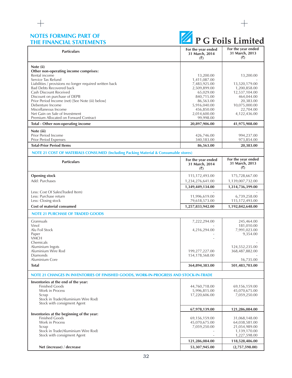| P G Foils Limited |  |
|-------------------|--|
|-------------------|--|

 $\! \!+\!$ 

| V M VCD AL D'IT AL LIVILI V LO                                                                 |                                                              |                                                              |
|------------------------------------------------------------------------------------------------|--------------------------------------------------------------|--------------------------------------------------------------|
| <b>Particulars</b>                                                                             | For the year ended<br>31 March, 2014<br>$(\overline{\zeta})$ | For the year ended<br>31 March, 2013<br>(3)                  |
| Note (ii)                                                                                      |                                                              |                                                              |
| Other non-operating income comprises:                                                          |                                                              |                                                              |
| Rental income                                                                                  | 13,200.00                                                    | 13,200.00                                                    |
| Service Tax Refund<br>Liabilities / provisions no longer required written back                 | 1,411,087.00<br>7,483,925.00                                 | 13,520,179.00                                                |
| <b>Bad Debts Recovered back</b>                                                                | 2,509,899.00                                                 | 1,200,858.00                                                 |
| Cash Discount Received                                                                         | 65,029.00                                                    | 12,537,104.00                                                |
| Discount on purchase of DEPB                                                                   | 840,715.00                                                   | 464,044.00                                                   |
| Prior Period Income (net) [See Note (iii) below]<br>Debenture Income                           | 86,563.00<br>5,916,040.00                                    | 20,383.00<br>10,075,000.00                                   |
| Miscellaneous Income                                                                           | 456,850.00                                                   | 22,704.00                                                    |
| Net Gain on Sale of Investment<br>Premium Allocated on Forward Contract                        | 2,014,600.00                                                 | 4,122,436.00                                                 |
| Total - Other non-operating income                                                             | 99,998.00<br>20,897,906.00                                   | 41,975,908.00                                                |
|                                                                                                |                                                              |                                                              |
| Note (iii)<br>Prior Period Income                                                              | 426,746.00                                                   | 994,237.00                                                   |
| Prior Period Expenses                                                                          | 340,183.00                                                   | 973,854.00                                                   |
| <b>Total-Prior Period Items</b>                                                                | 86,563.00                                                    | 20,383.00                                                    |
| <b>NOTE 21 COST OF MATERIALS CONSUMED (Including Packing Material &amp; Consumable stores)</b> |                                                              |                                                              |
| <b>Particulars</b>                                                                             | For the year ended<br>31 March, 2014<br>$(\overline{\zeta})$ | For the year ended<br>31 March, 2013<br>$(\overline{\zeta})$ |
| <b>Opening stock</b>                                                                           | 115,172,493.00                                               | 175,728,667.00                                               |
| Add: Purchases                                                                                 | 1,234,276,641.00                                             | 1,139,007,732.00                                             |
|                                                                                                | 1,349,449,134.00                                             | 1,314,736,399.00                                             |
| Less: Cost Of Sales(Traded Item)                                                               |                                                              |                                                              |
| Less: Purchase return<br>Less: Closing stock                                                   | 11,996,619.00<br>79,618,573.00                               | 6,739,258.00<br>115,172,493.00                               |
| Cost of material consumed                                                                      | 1,257,833,942.00                                             | 1,192,842,648.00                                             |
| <b>NOTE 21 PURCHASE OF TRADED GOODS</b>                                                        |                                                              |                                                              |
| Grannuals                                                                                      | 7,222,294.00                                                 | 245,464.00                                                   |
| Vinol                                                                                          |                                                              | 181,010.00                                                   |
| Alu Foil Stock                                                                                 | 4,216,294.00                                                 | 7,991,023.00                                                 |
| Paper<br><b>VMCH</b>                                                                           |                                                              | 9,354.00                                                     |
| Chemicals                                                                                      |                                                              |                                                              |
| Aluminium Ingots<br>Aluminium Wire Rod                                                         | 199,277,227.00                                               | 124,552,235.00<br>368,487,882.00                             |
| Diamonds                                                                                       | 154,178,568.00                                               |                                                              |
| Aluminium Core                                                                                 |                                                              | 16,735.00                                                    |
| <b>Total</b>                                                                                   | 364,894,383.00                                               | 501,483,703.00                                               |
| NOTE 21 CHANGES IN INVENTORIES OF FINISHED GOODS, WORK-IN-PROGRESS AND STOCK-IN-TRADE          |                                                              |                                                              |
| Inventories at the end of the year:                                                            |                                                              |                                                              |
| <b>Finished Goods</b><br>Work in Process                                                       | 44,760,718.00<br>5,996,815.00                                | 69,156,159.00<br>45,070,675.00                               |
| Scrap                                                                                          | 17,220,606.00                                                | 7,059,250.00                                                 |
| Stock in Trade(Aluminium Wire Rod)<br>Stock with consigment Agent                              |                                                              |                                                              |
|                                                                                                | 67,978,139.00                                                | 121,286,084.00                                               |
| Inventories at the beginning of the year:                                                      |                                                              |                                                              |
| <b>Finished Goods</b>                                                                          | 69,156,159.00                                                | 31,068,148.00                                                |
| Work in Process<br>Scrap                                                                       | 45,070,675.00<br>7,059,250.00                                | 64,038,581.00<br>21,054,989.00                               |
| Stock in Trade(Aluminium Wire Rod)                                                             |                                                              | 1,139,170.00                                                 |
| Stock with consigment Agent                                                                    |                                                              | 1,227,598.00                                                 |
|                                                                                                | 121,286,084.00                                               | 118,528,486.00                                               |
| Net (increase) / decrease                                                                      | 53,307,945.00                                                | (2,757,598.00)                                               |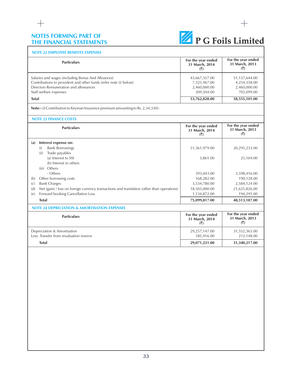

# **NOTE 22 EMPLOYEE BENEFITS EXPENSES**

| <b>Particulars</b>                                                                                                                                                                         | For the year ended<br>31 March, 2014<br>$(\overline{\zeta})$ | For the year ended<br>31 March, 2013<br>(3)                  |
|--------------------------------------------------------------------------------------------------------------------------------------------------------------------------------------------|--------------------------------------------------------------|--------------------------------------------------------------|
| Salaries and wages (including Bonus And Alloances)<br>Contributions to provident and other funds (refer note (i) below)<br>Directors Remuneration and allowances<br>Staff welfare expenses | 43,667,357.00<br>7,325,967.00<br>2,460,000.00<br>309,504.00  | 51,137,644.00<br>4,254,358.00<br>2,460,000.00<br>703,099.00  |
| <b>Total</b>                                                                                                                                                                               | 53,762,828.00                                                | 58,555,101.00                                                |
| Note:- (i) Contribution to Keyman Insurance premium amounting to Rs. 2,34,330/-                                                                                                            |                                                              |                                                              |
| <b>NOTE 23 FINANCE COSTS</b>                                                                                                                                                               |                                                              |                                                              |
| <b>Particulars</b>                                                                                                                                                                         | For the year ended<br>31 March, 2014<br>$(\overline{\zeta})$ | For the year ended<br>31 March, 2013<br>$(\overline{\zeta})$ |
| Interest expense on:<br>(a)<br><b>Bank Borrowings</b><br>(i)<br>Trade payables<br>(ii)                                                                                                     | 51,361,979.00                                                | 20,295,233.00                                                |
| (a) Interest to SSI<br>(b) Interest to others<br>(iii) Others                                                                                                                              | 3,861.00                                                     | 25,169.00                                                    |
| - Others                                                                                                                                                                                   | 393,043.00                                                   | 3,598,416.00                                                 |
| Other borrowing costs<br>(b)                                                                                                                                                               | 168,282.00                                                   | 190,128.00                                                   |
| <b>Bank Charges</b><br>(c)                                                                                                                                                                 | 3,534,780.00                                                 | 2,584,124.00                                                 |
| Net (gain) / loss on foreign currency transactions and translation (other than operations)<br>(d)                                                                                          | 18,503,000.00                                                | 21,625,826.00                                                |
| Forward booking Cancellation Loss<br>(e)                                                                                                                                                   | 1,134,872.00                                                 | 194,291.00                                                   |
| <b>Total</b>                                                                                                                                                                               | 75,099,817.00                                                | 48,513,187.00                                                |
| <b>NOTE 24 DEPRECIATION &amp; AMORTISATION EXPENSES</b>                                                                                                                                    |                                                              |                                                              |
| <b>Particulars</b>                                                                                                                                                                         | For the year ended<br>31 March, 2014<br>$(\overline{\zeta})$ | For the year ended<br>31 March, 2013<br>$(\overline{\zeta})$ |
| Depreciation & Amortisation<br>Less: Transfer from revaluation reserve                                                                                                                     | 29,257,147.00<br>185,916.00                                  | 31,552,365.00<br>212,148.00                                  |
| <b>Total</b>                                                                                                                                                                               | 29,071,231.00                                                | 31,340,217.00                                                |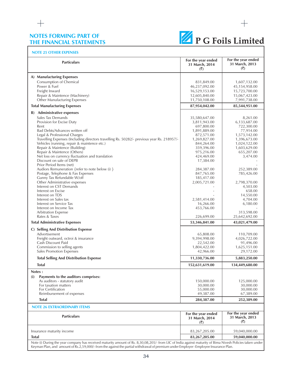

# **NOTE 25 OTHER EXPENSES**

 $\qquad \qquad +$ 

L

| <b>Particulars</b>                                                                                                                                                                                                                                                                                | For the year ended<br>31 March, 2014<br>$(\overline{\zeta})$ | For the year ended<br>31 March, 2013<br>$(\overline{\zeta})$ |
|---------------------------------------------------------------------------------------------------------------------------------------------------------------------------------------------------------------------------------------------------------------------------------------------------|--------------------------------------------------------------|--------------------------------------------------------------|
| A) Manufacturing Expenses                                                                                                                                                                                                                                                                         |                                                              |                                                              |
| Consumption of Chemical                                                                                                                                                                                                                                                                           | 831,849.00                                                   | 1,607,132.00                                                 |
| Power & Fuel                                                                                                                                                                                                                                                                                      | 46,237,092.00                                                | 45,154,958.00                                                |
| Freight Inward                                                                                                                                                                                                                                                                                    | 16,529,153.00                                                | 15,723,700.00                                                |
| Repair & Maintence (Machinery)                                                                                                                                                                                                                                                                    | 12,605,840.00                                                | 15,067,423.00                                                |
| Other Manufacturing Expenses                                                                                                                                                                                                                                                                      | 11,750,108.00                                                | 7,991,738.00                                                 |
| <b>Total Manufacturing Expenses</b>                                                                                                                                                                                                                                                               | 87,954,042.00                                                | 85,544,951.00                                                |
| B) Administrative expenses                                                                                                                                                                                                                                                                        |                                                              |                                                              |
| Sales Tax Demands                                                                                                                                                                                                                                                                                 | 35,580,647.00                                                | 8,261.00                                                     |
| Provision for Excise Duty                                                                                                                                                                                                                                                                         | 3,811,943.00                                                 | 6,133,687.00                                                 |
| Rent                                                                                                                                                                                                                                                                                              | 697,800.00                                                   | 722,300.00                                                   |
| Bad Debts/Advances written off                                                                                                                                                                                                                                                                    | 1,891,889.00                                                 | 77,914.00                                                    |
| Legal & Professional Charges                                                                                                                                                                                                                                                                      | 872,571.00                                                   | 1,573,142.00                                                 |
| Travelling Expenses (Including directors travelling Rs. 50282/- previous year Rs. 218957/-                                                                                                                                                                                                        | 1,269,827.00                                                 | 1,396,673.00                                                 |
| Vehicles (running, repair & maintence etc.)                                                                                                                                                                                                                                                       | 844,264.00                                                   | 1,024,122.00                                                 |
| Repair & Maintence (Building)                                                                                                                                                                                                                                                                     | 359,396.00                                                   | 1,603,629.00                                                 |
| Repair & Maintence (Others)                                                                                                                                                                                                                                                                       | 975,216.00                                                   | 655,207.00                                                   |
| Net loss on currency fluctuation and translation                                                                                                                                                                                                                                                  | 424,469.00                                                   | 3,474.00                                                     |
| Discount on sale of DEPB                                                                                                                                                                                                                                                                          | 17,384.00                                                    |                                                              |
| Prior Period Items (net)                                                                                                                                                                                                                                                                          |                                                              |                                                              |
| Audiors Remuneration {refer to note below (i) }                                                                                                                                                                                                                                                   | 284,387.00                                                   | 252,389.00                                                   |
| Postage, Telephone & Fax Expenses                                                                                                                                                                                                                                                                 | 847,765.00                                                   | 785,426.00                                                   |
| Gunny Tax Refundable W/off                                                                                                                                                                                                                                                                        | 185,417.00                                                   |                                                              |
| Other Administrative expenses<br>Interest on CST Demands                                                                                                                                                                                                                                          | 2,005,721.00                                                 | 2,798,370.00<br>4,503.00                                     |
| Interest on Excise                                                                                                                                                                                                                                                                                |                                                              | 658.00                                                       |
| Interest on TDS                                                                                                                                                                                                                                                                                   |                                                              | 14,550.00                                                    |
| Interest on Sales tax                                                                                                                                                                                                                                                                             | 2,581,414.00                                                 | 4,704.00                                                     |
| Interest on Service Tax                                                                                                                                                                                                                                                                           | 16,266.00                                                    | 6,180.00                                                     |
| Interest on Income Tax                                                                                                                                                                                                                                                                            | 453,766.00                                                   |                                                              |
| <b>Arbitration Expense</b>                                                                                                                                                                                                                                                                        |                                                              | 313,598.00                                                   |
| Rates & Taxes                                                                                                                                                                                                                                                                                     | 226,699.00                                                   | 25,642,692.00                                                |
| <b>Total Administrative Expenses</b>                                                                                                                                                                                                                                                              | 53,346,841.00                                                | 43,021,479.00                                                |
| C) Selling And Distribution Expense                                                                                                                                                                                                                                                               |                                                              |                                                              |
| Advertisement                                                                                                                                                                                                                                                                                     | 65,808.00                                                    | 110,709.00                                                   |
| Freight outward, octroi & insurance                                                                                                                                                                                                                                                               | 9,394,998.00                                                 | 4,026,722.00                                                 |
| Cash Discount Paid                                                                                                                                                                                                                                                                                | 22,542.00                                                    | 91,496.00                                                    |
| Commission to selling agents                                                                                                                                                                                                                                                                      | 1,804,422.00                                                 | 1,625,151.00                                                 |
| Sales Promotion Expenses                                                                                                                                                                                                                                                                          | 42,966.00                                                    | 29,172.00                                                    |
| <b>Total Selling And Distribution Expense</b>                                                                                                                                                                                                                                                     | 11,330,736.00                                                | 5,883,250.00                                                 |
| <b>Total</b>                                                                                                                                                                                                                                                                                      | 152,631,619.00                                               | 134,449,680.00                                               |
| Notes :                                                                                                                                                                                                                                                                                           |                                                              |                                                              |
| Payments to the auditors comprises:<br>(i)                                                                                                                                                                                                                                                        |                                                              |                                                              |
| As auditors - statutory audit                                                                                                                                                                                                                                                                     | 150,000.00                                                   | 125,000.00                                                   |
| For taxation matters                                                                                                                                                                                                                                                                              | 30,000.00                                                    | 30,000.00                                                    |
| For Certification                                                                                                                                                                                                                                                                                 | 55,000.00                                                    | 30,000.00                                                    |
| Reimbursement of expenses                                                                                                                                                                                                                                                                         | 49,387.00                                                    | 67,389.00                                                    |
| <b>Total</b>                                                                                                                                                                                                                                                                                      | 284,387.00                                                   | 252,389.00                                                   |
| <b>NOTE 26 EXTRAORDINARY ITEMS</b>                                                                                                                                                                                                                                                                |                                                              |                                                              |
| <b>Particulars</b>                                                                                                                                                                                                                                                                                | For the year ended<br>31 March, 2014<br>$(\overline{\zeta})$ | For the year ended<br>31 March, 2013<br>$(\overline{\zeta})$ |
| Insurance maturity income                                                                                                                                                                                                                                                                         | 83,267,205.00                                                | 59,040,000.00                                                |
| <b>Total</b>                                                                                                                                                                                                                                                                                      | 83,267,205.00                                                | 59,040,000.00                                                |
| Note (i) During the year company has received maturity amount of Rs. 8,30,08,205/- from LIC of India against maturity of Bima Nivesh Policies taken under<br>Keyman Plan, and amount of Rs.2,59,000/- from the against the partial withdrawal of premium under Employer -Employee Insurance Plan. |                                                              |                                                              |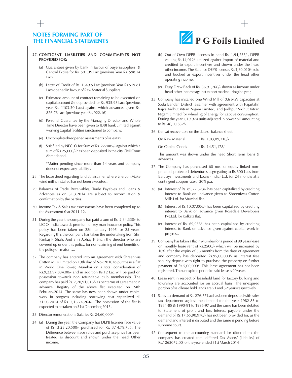

# **27. CONTIGENT LIABILITIES AND COMMITMENTS NOT PROVIDED FOR:**

- (a) Guarantees given by bank in favour of buyers/suppliers, & Central Excise for Rs. 501.39 Lac (previous Year Rs. 598.24 Lac).
- (b) Letter of Credit of Rs. 1649.5 Lac (previous Year Rs.519.81 Lac) opened in favour of Raw Material Suppliers.
- (c) Estimated amount of contract remaining to be executed on capital account & not provided for Rs. 935.98 Lacs (previous year Rs. 1103.30 Lacs) against which advances given Rs. 826.76 Lacs (previous year Rs. 922.16)
- (d) Personal Guarantee by the Managing Director and Whole Time Director have been given to IDBI bank Limited against working Capital facilities sanctioned to company.
- (e) Uncompleted/reopened assessments of sales tax
- (f) Suit filed by NECLO for Sum of Rs. 227085/- against which a sum of Rs.25,000/- has been deposited in the city Civil Court Ahmedabad.

\*Matter pending since more than 14 years and company does not expect any liability.\

- 28. The lease deed regarding land at Jaisalmer where Enercon Make wind mill is installed has not been executed..
- 29. Balances of Trade Receivables, Trade Payables and Loans & Advances as on 31.3.2014 are subject to reconciliation & confirmation by the parties.
- 30. Income Tax & Sales tax assessments have been completed up to the Assessment Year 2011-12.
- 31. During the year the company has paid a sum of Rs. 2,34,330/- to LIC Of India towards premium of key man insurance policy. This policy has been taken on 28th January 1995 for 25 years. Regarding this the company has taken the undertaking from Shri Pankaj P Shah, And Shri Abhay P Shah the director who are covered up under this policy, for non-claiming of end benefits of the policy on maturity..
- 32. The company has entered into an agreement with Shreenivas Cotton Mills Limited on 19th day of Nov.2010 to purchase a flat in World One Tower, Mumbai on a total consideration of Rs.9,23,97,834.00/- and in addition Rs.12 Lac will be paid on possession towards non refundable club membership. The company has paid Rs. 7,70,91,016/- as per terms of agreement in advance. Registry of the above flat executed on 24th February,2014. The same has now been shown under capital work in progress including borrowing cost capitalized till 31.03.2014 of Rs. 2,16,74,264/-. The possession of the flat is expected to be taken on 31st December,2015.
- 33. Director remuneration : Salaries Rs. 24,60,000/-
- 34. (a) During the year, the Company has DEPB licenses face value of Rs. 3,23,20,500/- purchased for Rs. 3,14,79,785. The Difference between face value and purchase price has been treated as discount and shown under the head Other income.
- (b) Out of Own DEPB Licenses in hand Rs. 1,94,255/-, DEPB valuing Rs.14,012/- utilized against import of material and credited to export incentives and shown under the head other income. The Balance DEPB licenses Rs.1,80,010/- sold and booked as export incentives under the head other operating income.
- (c) Duty Draw Back of Rs. 36,91,766/- shown as income under head other income against export made during the year,.
- 35. Company has installed one Wind Mill of 0.6 MW capacities at Soda Bandan District Jaisalmer with agreement with Rajastahn Rajya Vidhut Vitran Nigam Limited, and Jodhpur Vidhut Vitran Nigam Limited for wheeling of Energy for captive consumption. During the year 7,19,974 units adjusted in power bill amounting to Rs. 46,50,832/-.
- 36. Cenvat recoverable on the date of balance sheet.

On Raw Material : Rs. 1,03,09,210/-

On Capital Goods : Rs. 14,51,178/-

This amount was shown under the head Short Term loans & advances.

- 37. The Company has purchased 60 nos. of equity linked nonprincipal protected debentures aggregating to Rs.600 Lacs from Barclays Investments and Loans (India) Ltd. for 24 months at a contingent coupon rate of 20% p.a.
- 38. (a) Interest of Rs. 89,72,373/- has been capitalized by crediting interest to Bank on advance given to Shreeniwas Cotton Mills Ltd. for Mumbai flat.
	- (b) Interest of Rs.10,07,006/- has been capitalized by crediting interest to Bank on advance given Rosedale Developers Pvt.Ltd. for Kolkata flat.
	- (c) Interest of Rs. 69,936/- has been capitalized by crediting interest to Bank on advance given against capital work in progress.
- 39. Company has taken a flat in Mumbai for a period of 99 years lease on monthly lease rent of Rs.2500/- which will be increased by 10% after the expiry of 36 months from the date of agreement and company has deposited Rs.95,00,000/- as interest free security deposit with right to purchase the property on further payment of Rs.5,00,000/- This lease agreement has not been registered. The unexpired period to said lease is 90 years.
- 40. Lease rent in respect of leasehold land for factory building and township are accounted for on accrual basis. The unexpired portion of said lease hold lands are 51 and 52 years respectively.
- 41. Sales tax demand of Rs. 276.77 Lac has been deposited with sales tax department against the demand for the year 1982-83 to 1984-85 & 1990-91 to 1996-97 and the same has been debited to Statement of profit and loss Interest payable under the demand of Rs.17,65,90,970/- has not been provided for, as the demand and interest is disputed and the same is pending before supreme court.
- 42. Consequent to the accounting standard for differed tax the company has created total differed Tax Assets/ (Liability) of Rs.1262072.00 for the year ended 31st March 2014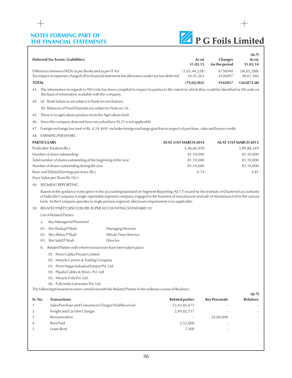# **THE FINANCIAL STATEMENTS**



| Deferred Tax Assets/(Liabilities)                                                                                                                                                                           |                                                                                                                                                                                                                                                                                                                                                                                                | As on<br>31.03.13          | <b>Changes</b><br>for the period | (In ₹)<br>As on<br>31.03.14 |
|-------------------------------------------------------------------------------------------------------------------------------------------------------------------------------------------------------------|------------------------------------------------------------------------------------------------------------------------------------------------------------------------------------------------------------------------------------------------------------------------------------------------------------------------------------------------------------------------------------------------|----------------------------|----------------------------------|-----------------------------|
| Difference between WDV as per Books and as per IT Act<br>Tax impact of expenses charged off in financial statement but allowance under tax law deferred                                                     |                                                                                                                                                                                                                                                                                                                                                                                                | (1,03,44,228)<br>24,41,263 | 6738940<br>2426097               | (36,05,288)<br>48,67,360    |
| <b>TOTAL</b>                                                                                                                                                                                                |                                                                                                                                                                                                                                                                                                                                                                                                | (79, 02, 965)              | 9165037                          | 1262072.00                  |
| 43. The information in regards to SSI Units has been compiled in respect to parties to the extent to which they could be identified as SSI units on<br>the basis of information available with the company. |                                                                                                                                                                                                                                                                                                                                                                                                |                            |                                  |                             |
| 44. (a) Bank balances are subject to bank reconciliations.                                                                                                                                                  |                                                                                                                                                                                                                                                                                                                                                                                                |                            |                                  |                             |
| (b) Balances of Fixed Deposits are subject to Note no.16.                                                                                                                                                   |                                                                                                                                                                                                                                                                                                                                                                                                |                            |                                  |                             |
| 45. There is no agriculture produce from the Agriculture land.                                                                                                                                              |                                                                                                                                                                                                                                                                                                                                                                                                |                            |                                  |                             |
| Since the company does not have any subsidiary AS 21 is not applicable<br>46.                                                                                                                               |                                                                                                                                                                                                                                                                                                                                                                                                |                            |                                  |                             |
| 47.                                                                                                                                                                                                         | Foreign exchange loss (net) of Rs. 4,24,469/- includes foreign exchange gain/loss in respect of purchase, sales and buyers credit.                                                                                                                                                                                                                                                             |                            |                                  |                             |
| EARNING PER SHARE:<br>48.                                                                                                                                                                                   |                                                                                                                                                                                                                                                                                                                                                                                                |                            |                                  |                             |
| <b>PARTICULARS</b>                                                                                                                                                                                          |                                                                                                                                                                                                                                                                                                                                                                                                | AS AT 31ST MARCH 2014      |                                  | AS AT 31ST MARCH 2013       |
| Profit after Taxation (Rs,)                                                                                                                                                                                 |                                                                                                                                                                                                                                                                                                                                                                                                | 5,46,60,918                |                                  | 3,89,88,249                 |
| Number of share outstanding:                                                                                                                                                                                |                                                                                                                                                                                                                                                                                                                                                                                                | 81,10,000                  |                                  | 81,10,000                   |
| Total number of shares outstanding at the beginning of the year                                                                                                                                             |                                                                                                                                                                                                                                                                                                                                                                                                | 81,10,000                  |                                  | 81,10,000                   |
| Number of shares outstanding during the year                                                                                                                                                                |                                                                                                                                                                                                                                                                                                                                                                                                | 81,10,000                  |                                  | 81,10,000                   |
| Basic and Diluted Earnings per share (Rs,)                                                                                                                                                                  |                                                                                                                                                                                                                                                                                                                                                                                                | 6.74                       |                                  | 4.81                        |
| (Face Value per Share Rs.10/-)                                                                                                                                                                              |                                                                                                                                                                                                                                                                                                                                                                                                |                            |                                  |                             |
| 49. SEGMENT REPORTING                                                                                                                                                                                       |                                                                                                                                                                                                                                                                                                                                                                                                |                            |                                  |                             |
|                                                                                                                                                                                                             | Based on the guidance notes given in the accounting standard on Segment Reporting (AS 17) issued by the Institute of Chartered accountants<br>of India the Company is single reportable segment company, engaged in the business of manufacture and sale of Aluminium Foil in the various<br>form. As the Company operates in single primary segment, disclosure requirement is no applicable. |                            |                                  |                             |
| 50. RELATED PARTY DISCLOSURE AS PER ACCOUNTING STANDARD 18:                                                                                                                                                 |                                                                                                                                                                                                                                                                                                                                                                                                |                            |                                  |                             |
| List of Related Parties:                                                                                                                                                                                    |                                                                                                                                                                                                                                                                                                                                                                                                |                            |                                  |                             |
| Key Managerial Personnel<br>a.                                                                                                                                                                              |                                                                                                                                                                                                                                                                                                                                                                                                |                            |                                  |                             |
| 01. Shri Pankaj P Shah                                                                                                                                                                                      | Managing Director                                                                                                                                                                                                                                                                                                                                                                              |                            |                                  |                             |
| 02. Shri Abhay P Shah                                                                                                                                                                                       | Whole Time Director                                                                                                                                                                                                                                                                                                                                                                            |                            |                                  |                             |
| 03. Shri Sahil P Shah                                                                                                                                                                                       | Director                                                                                                                                                                                                                                                                                                                                                                                       |                            |                                  |                             |
| Related Parties with whom transactions have been taken place.<br>b.                                                                                                                                         |                                                                                                                                                                                                                                                                                                                                                                                                |                            |                                  |                             |
| 01. Prem Cables Private Limited                                                                                                                                                                             |                                                                                                                                                                                                                                                                                                                                                                                                |                            |                                  |                             |
| 02. Miracle Carriers & Trading Company                                                                                                                                                                      |                                                                                                                                                                                                                                                                                                                                                                                                |                            |                                  |                             |
| 03. Prem Nagar Industrial Estates Pvt. Ltd.                                                                                                                                                                 |                                                                                                                                                                                                                                                                                                                                                                                                |                            |                                  |                             |
| 04. Pipalia Cables & Wires Pvt. Ltd                                                                                                                                                                         |                                                                                                                                                                                                                                                                                                                                                                                                |                            |                                  |                             |
| 05. Miracle Foils Pvt. Ltd.                                                                                                                                                                                 |                                                                                                                                                                                                                                                                                                                                                                                                |                            |                                  |                             |
| 06. Foils India Laminates Pvt. Ltd.                                                                                                                                                                         |                                                                                                                                                                                                                                                                                                                                                                                                |                            |                                  |                             |
| The following transactions were carried out with the Related Parties in the ordinary course of Business:                                                                                                    |                                                                                                                                                                                                                                                                                                                                                                                                |                            |                                  | (In ₹)                      |
| <b>Transactions</b><br>Sr. No.                                                                                                                                                                              |                                                                                                                                                                                                                                                                                                                                                                                                | <b>Related parties</b>     | <b>Key Personals</b>             | <b>Relatives</b>            |
| Sales/Purchase and Conversion Charges Paid/Received<br>1                                                                                                                                                    |                                                                                                                                                                                                                                                                                                                                                                                                | 13,43,85,671               |                                  |                             |
| Freight and Car Hire Charges<br>2                                                                                                                                                                           |                                                                                                                                                                                                                                                                                                                                                                                                | 2,49,82,757                |                                  |                             |
| Remuneration<br>3                                                                                                                                                                                           |                                                                                                                                                                                                                                                                                                                                                                                                |                            | 24,60,000                        |                             |
| Rent Paid<br>4                                                                                                                                                                                              |                                                                                                                                                                                                                                                                                                                                                                                                | 2,52,000                   |                                  |                             |
| Lease Rent<br>5                                                                                                                                                                                             |                                                                                                                                                                                                                                                                                                                                                                                                | 7,500                      |                                  |                             |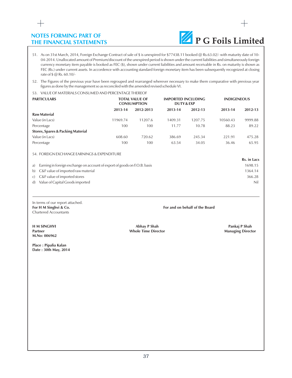

- 51. As on 31st March, 2014, Foreign Exchange Contract of sale of \$ is unexpired for \$77438.11 booked @ Rs.63.02/- with maturity date of 10- 04-2014. Unallocated amount of Premium/discount of the unexpired period is shown under the current liabilities and simultaneously foreign currency monetary item payable is booked as FEC (\$), shown under current liabilities and amount receivable in Rs. on maturity is shown as FEC (Rs.) under current assets. In accordence with accounting standard foreign monetary item has been subsequently recognized at closing rate of \$ @ Rs. 60.10/-
- 52. The Figures of the previous year have been regrouped and rearranged wherever necessary to make them comparative with previous year figures as done by the management so as reconciled with the amended revised schedule VI.

53. VALUE OF MATERIALS CONSUMED AND PERCENTAGE THEREOF

| <b>PARTICULARS</b>                |          | <b>TOTAL VALUE OF</b><br><b>CONSUMPTION</b> | <b>IMPORTED INCLUDING</b><br><b>DUTY &amp; EXP</b> |         | <b>INDIGENEOUS</b> |         |
|-----------------------------------|----------|---------------------------------------------|----------------------------------------------------|---------|--------------------|---------|
|                                   | 2013-14  | 2012-2013                                   | 2013-14                                            | 2012-13 | 2013-14            | 2012-13 |
| <b>Raw Material</b>               |          |                                             |                                                    |         |                    |         |
| Value (in Lacs)                   | 11969.74 | 11207.6                                     | 1409.31                                            | 1207.75 | 10560.43           | 9999.88 |
| Percentage                        | 100      | 100                                         | 11.77                                              | 10.78   | 88.23              | 89.22   |
| Stores, Spares & Packing Material |          |                                             |                                                    |         |                    |         |
| Value (in Lacs)                   | 608.60   | 720.62                                      | 386.69                                             | 245.34  | 221.91             | 475.28  |
| Percentage                        | 100      | 100                                         | 63.54                                              | 34.05   | 36.46              | 65.95   |
|                                   |          |                                             |                                                    |         |                    |         |

54. FOREIGN EXCHANGE EARNINGS & EXPENDITURE

| a) Earning in foreign exchange on account of export of goods on F.O.B. basis | 1698.15 |
|------------------------------------------------------------------------------|---------|
| b) C&F value of imported raw material                                        | 1364.14 |
| c) C&F value of imported stores                                              | 366.28  |
| d) Value of Capital Goods imported                                           | Nil     |
|                                                                              |         |

In terms of our report attached.<br>For H M Singhvi & Co. Chartered Accountants

# For and on behalf of the Board

**M.No: 006962** 

**Place : Pipalia Kalan Date : 30th May, 2014**

**H M SINGHVI Abhay P Shah Pankaj P Shah**

**Managing Director** 

**Rs. in Lacs**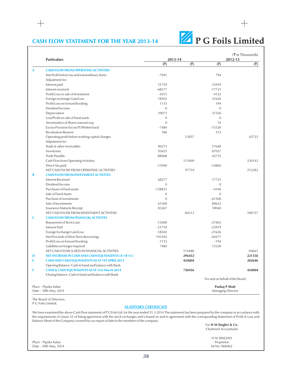

 $+$ 

| <b>Particulars</b>                                     |                      | 2013-14                         | (₹in Thousands)<br>2012-13     |                      |  |
|--------------------------------------------------------|----------------------|---------------------------------|--------------------------------|----------------------|--|
|                                                        | $(\overline{\zeta})$ | $\overline{(\overline{\zeta})}$ | $(\overline{\zeta})$           | $(\overline{\zeta})$ |  |
| <b>CASH FLOW FROM OPERATING ACTIVITIES</b><br>A        |                      |                                 |                                |                      |  |
| Net Profit before tax and extraordinary items          | $-7041$              |                                 | 794                            |                      |  |
| Adjustment for:                                        |                      |                                 |                                |                      |  |
| Interest paid                                          | 51759                |                                 | 23919                          |                      |  |
| Interest received                                      | $-68277$             |                                 | $-17721$                       |                      |  |
| Profit/Loss on sale of Investment                      | $-2015$              |                                 | $-4122$                        |                      |  |
| Foreign exchange Gain/Loss                             | 18503                |                                 | 21626                          |                      |  |
| Profit/Loss on forward booking                         | 1135                 |                                 | 194                            |                      |  |
| Dividend Income                                        | $\overline{0}$       |                                 | $\overline{0}$                 |                      |  |
| Depreciation                                           | 29071                |                                 | 31326                          |                      |  |
| Loss/Profit on sale of fixed assets                    | $\overline{0}$       |                                 | $\overline{0}$                 |                      |  |
| Amortization of Shares warrant exp.                    | $\overline{0}$       |                                 | 14                             |                      |  |
| Excess Provision Excise/IT/Written back                | $-7484$              |                                 | $-13520$                       |                      |  |
| <b>Revaluation Reserve</b>                             | 186                  |                                 | 212                            |                      |  |
| Operating profit before working capital changes        |                      | 15837                           |                                | 42722                |  |
| Adjustment for:                                        |                      |                                 |                                |                      |  |
| Trade & other receivables                              | 90275                |                                 | 57648                          |                      |  |
| Inventories                                            | 93655                |                                 | 87037                          |                      |  |
| Trade Payable                                          | $-88068$             |                                 | 42735                          |                      |  |
| Cash Flow from Operating Activities                    |                      | 111699                          |                                | 230142               |  |
| Direct Tax paid                                        | $-13940$             |                                 | $-14860$                       |                      |  |
| NET CASH FLOW FROM OPERATING ACTIVITIES                |                      | 97759                           |                                | 215282               |  |
| <b>CASH FLOW FROM INVETSMENT ACTIVITES</b><br>B        |                      |                                 |                                |                      |  |
| <b>Interest Received</b>                               | 68277                |                                 | 17721                          |                      |  |
| Dividend Income                                        | $\overline{0}$       |                                 | $\overline{0}$                 |                      |  |
| Purchases of fixed assets                              | $-128831$            |                                 | $-4146$                        |                      |  |
| Sale of Fixed Assets                                   | $\overline{0}$       |                                 | $\overline{0}$                 |                      |  |
| Purchase of investments                                | $\overline{0}$       |                                 | $-61500$                       |                      |  |
| Sale of Investments                                    | 61500                |                                 | 89622                          |                      |  |
| Insurance Maturity Receipt                             | 83267                |                                 | 59040                          |                      |  |
| NET CASH FLOW FROM INVESTMENT ACTIVITIES               |                      | 84213                           |                                | 100737               |  |
| C<br><b>CASH FLOW FROM FINANCIAL ACTIVITES</b>         |                      |                                 |                                |                      |  |
| Repayment of Term Loan                                 | $-15000$             |                                 | $-21965$                       |                      |  |
| Interest Paid                                          | $-51759$             |                                 | $-23919$                       |                      |  |
| Foreign Exchange Gain/Loss                             | $-18502$             |                                 | $-21626$                       |                      |  |
| Net Proceeds of Short Term Borrowings                  | 193392               |                                 | $-40477$                       |                      |  |
| Profit/Loss on forward booking                         | $-1135$              |                                 | $-194$                         |                      |  |
| Liabilities no longer required                         | 7484                 |                                 | 13520                          |                      |  |
| NET CASH FLOW (USED) IN FINANCIAL ACTIVITIES           |                      | 114480                          |                                | $-94661$             |  |
| NET INCREASE IN CASH AND CASH EQUIVALENTS (A+B+C)<br>D |                      | 296452                          |                                | 221358               |  |
| Е<br>CASH AND CASH EQUIVALENTS AS AT 1ST APRIL 2013    |                      | 424004                          |                                | 202646               |  |
| Opening Balance: Cash in hand and balance with Bank.   |                      |                                 |                                |                      |  |
| CASH & CASH EQUIVALENTS AS AT 31st March 2014<br>F     |                      | 720456                          |                                | 424004               |  |
| Closing balance: Cash in hand and balance with Bank.   |                      |                                 | For and on behalf of the Board |                      |  |
| Place: Pipalia Kalan                                   |                      |                                 | Pankaj P Shah                  |                      |  |
| Date: 30th May, 2014                                   |                      |                                 | Managing Director              |                      |  |

The Board of Directors, P G Foils Limited,

# **AUDITOR'S CERTIFICATE**

We have examined the above Cash Flow statement of P G Foils Ltd. for the year ended 31.3.2014 The statement has been prepared by the company in accordance with the requirements of clause 32 of listing agreement with the stock exchanges and is based on and in agreement with the corresponding Statement of Profit & Loss and Balance Sheet of the Company covered by our report of date to the members of the company.

For **H M Singhvi & Co.** Chartered Accountants

H M SINGHVI<br>Proprietor

Place : Pipalia Kalan Proprietor (1996)<br>
Date : 30th May, 2014 (1996)<br>
M.No: 006962 Date : 30th May, 2014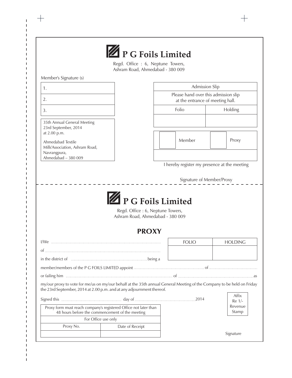# **P G Foils Limited**

 $\hspace{.1cm} +$ 

Regd. Office : 6, Neptune Towers, Ashram Road, Ahmedabad - 380 009

# Member's Signature (s)

 $\bar{\mathbf{I}}$  $\bar{\rm I}$  $\mathbf{I}$  $\mathbf I$  $\mathbf I$  $\mathbf{I}$  $\mathbf{I}$  $\mathbf I$  $\mathbf I$  $\mathbf{I}$  $\mathbf{I}$  $\mathbf I$  $\mathbf I$  $\mathbf I$  $\mathbf{I}$  $\mathbf{I}$ J.  $\mathbf{I}$  $\mathbf{I}$ J. J.  $\overline{1}$  $\overline{1}$ J. J. J.  $\mathbf{I}$  $\mathbf{I}$ J.  $\mathbf{I}$  $\overline{1}$  $\mathbf{I}$  $\mathbf{I}$ J. J.  $\overline{\phantom{a}}$  $\overline{1}$ J. J.  $\overline{1}$  $\overline{1}$  $\overline{\phantom{a}}$ J. J. J.  $\overline{1}$ J. J. J.  $\overline{1}$  $\mathbf{I}$  $\mathbf{I}$ п J.  $\overline{1}$  $\overline{1}$ J.  $\mathbf{I}$  $\mathbf{I}$  $\overline{\phantom{a}}$  $\mathbf{I}$  $\mathbf{I}$  $\mathbf{I}$  $\mathbf I$  $\mathbf I$  $\mathbf I$  $\mathbf{I}$  $\overline{1}$  $\mathbf I$  $\mathbf I$  $\mathsf I$  $\mathbf I$ 

|                                                                                             |                                                                                                                                                                                                 | Admission Slip                                                           |                  |
|---------------------------------------------------------------------------------------------|-------------------------------------------------------------------------------------------------------------------------------------------------------------------------------------------------|--------------------------------------------------------------------------|------------------|
| 2.                                                                                          |                                                                                                                                                                                                 | Please hand over this admission slip<br>at the entrance of meeting hall. |                  |
| 3.                                                                                          |                                                                                                                                                                                                 | Folio                                                                    | Holding          |
| 35th Annual General Meeting<br>23rd September, 2014<br>at 2.00 p.m.                         |                                                                                                                                                                                                 |                                                                          |                  |
| Ahmedabad Textile<br>Mills'Association, Ashram Road,<br>Navrangpura,<br>Ahmedabad - 380 009 |                                                                                                                                                                                                 | Member                                                                   | Proxy            |
|                                                                                             |                                                                                                                                                                                                 | I hereby register my presence at the meeting                             |                  |
|                                                                                             |                                                                                                                                                                                                 | Signature of Member/Proxy                                                |                  |
|                                                                                             |                                                                                                                                                                                                 |                                                                          |                  |
|                                                                                             | Ashram Road, Ahmedabad - 380 009                                                                                                                                                                |                                                                          |                  |
|                                                                                             | <b>PROXY</b>                                                                                                                                                                                    |                                                                          |                  |
|                                                                                             |                                                                                                                                                                                                 | <b>FOLIO</b>                                                             | <b>HOLDING</b>   |
|                                                                                             |                                                                                                                                                                                                 |                                                                          |                  |
|                                                                                             | in the district of <b>William Communication</b> being a                                                                                                                                         |                                                                          |                  |
|                                                                                             |                                                                                                                                                                                                 |                                                                          |                  |
|                                                                                             |                                                                                                                                                                                                 |                                                                          |                  |
|                                                                                             | my/our proxy to vote for me/us on my/our behalf at the 35th annual General Meeting of the Company to be held on Friday<br>the 23rd September, 2014 at 2.00 p.m. and at any adjournment thereof. |                                                                          |                  |
|                                                                                             |                                                                                                                                                                                                 | .2014                                                                    | Affix<br>Re 1/-  |
|                                                                                             | Proxy form must reach company's registered Office not later than                                                                                                                                |                                                                          | Revenue<br>Stamp |
|                                                                                             | 48 hours before the commencement of the meeting<br>For Office use only                                                                                                                          |                                                                          |                  |
| Proxy No.                                                                                   | Date of Receipt                                                                                                                                                                                 |                                                                          |                  |